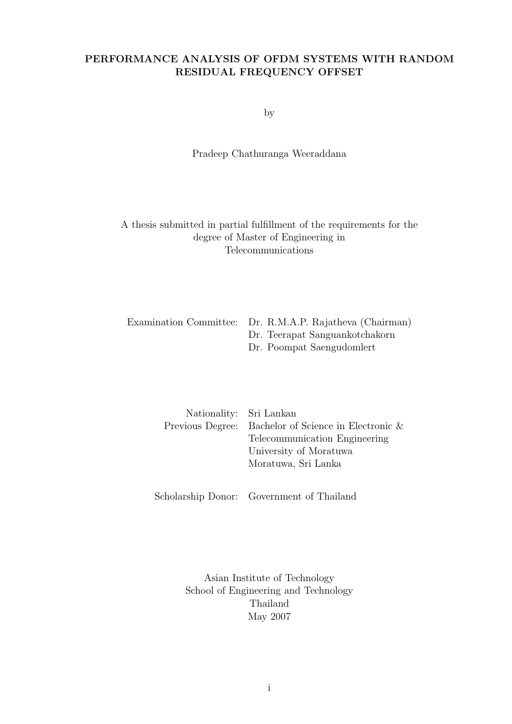### **PERFORMANCE ANALYSIS OF OFDM SYSTEMS WITH RANDOM RESIDUAL FREQUENCY OFFSET**

by

### Pradeep Chathuranga Weeraddana

A thesis submitted in partial fulfillment of the requirements for the degree of Master of Engineering in Telecommunications

| Examination Committee: Dr. R.M.A.P. Rajatheva (Chairman) |
|----------------------------------------------------------|
| Dr. Teerapat Sanguankotchakorn                           |
| Dr. Poompat Saengudomlert                                |

| Nationality: Sri Lankan |                                                      |
|-------------------------|------------------------------------------------------|
|                         | Previous Degree: Bachelor of Science in Electronic & |
|                         | Telecommunication Engineering                        |
|                         | University of Moratuwa                               |
|                         | Moratuwa, Sri Lanka                                  |
|                         |                                                      |

Scholarship Donor: Government of Thailand

Asian Institute of Technology School of Engineering and Technology Thailand May 2007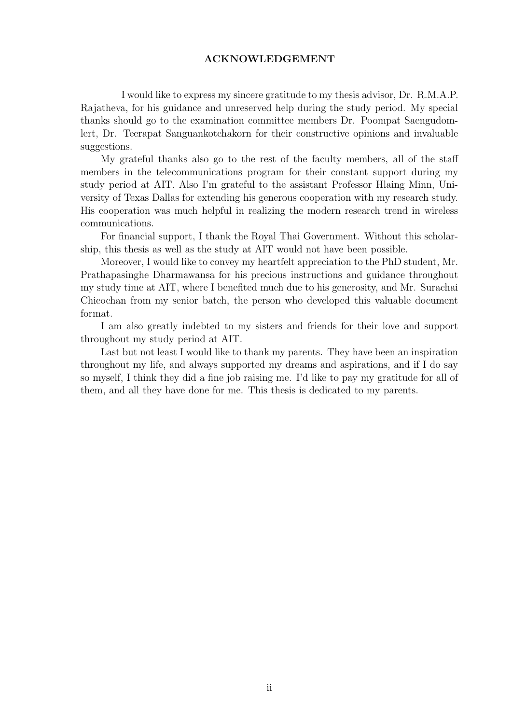### **ACKNOWLEDGEMENT**

I would like to express my sincere gratitude to my thesis advisor, Dr. R.M.A.P. Rajatheva, for his guidance and unreserved help during the study period. My special thanks should go to the examination committee members Dr. Poompat Saengudomlert, Dr. Teerapat Sanguankotchakorn for their constructive opinions and invaluable suggestions.

My grateful thanks also go to the rest of the faculty members, all of the staff members in the telecommunications program for their constant support during my study period at AIT. Also I'm grateful to the assistant Professor Hlaing Minn, University of Texas Dallas for extending his generous cooperation with my research study. His cooperation was much helpful in realizing the modern research trend in wireless communications.

For financial support, I thank the Royal Thai Government. Without this scholarship, this thesis as well as the study at AIT would not have been possible.

Moreover, I would like to convey my heartfelt appreciation to the PhD student, Mr. Prathapasinghe Dharmawansa for his precious instructions and guidance throughout my study time at AIT, where I benefited much due to his generosity, and Mr. Surachai Chieochan from my senior batch, the person who developed this valuable document format.

I am also greatly indebted to my sisters and friends for their love and support throughout my study period at AIT.

Last but not least I would like to thank my parents. They have been an inspiration throughout my life, and always supported my dreams and aspirations, and if I do say so myself, I think they did a fine job raising me. I'd like to pay my gratitude for all of them, and all they have done for me. This thesis is dedicated to my parents.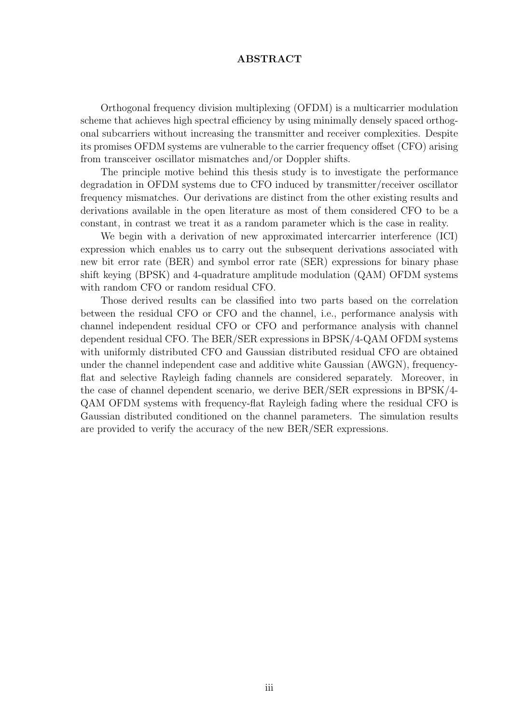### **ABSTRACT**

Orthogonal frequency division multiplexing (OFDM) is a multicarrier modulation scheme that achieves high spectral efficiency by using minimally densely spaced orthogonal subcarriers without increasing the transmitter and receiver complexities. Despite its promises OFDM systems are vulnerable to the carrier frequency offset (CFO) arising from transceiver oscillator mismatches and/or Doppler shifts.

The principle motive behind this thesis study is to investigate the performance degradation in OFDM systems due to CFO induced by transmitter/receiver oscillator frequency mismatches. Our derivations are distinct from the other existing results and derivations available in the open literature as most of them considered CFO to be a constant, in contrast we treat it as a random parameter which is the case in reality.

We begin with a derivation of new approximated intercarrier interference (ICI) expression which enables us to carry out the subsequent derivations associated with new bit error rate (BER) and symbol error rate (SER) expressions for binary phase shift keying (BPSK) and 4-quadrature amplitude modulation (QAM) OFDM systems with random CFO or random residual CFO.

Those derived results can be classified into two parts based on the correlation between the residual CFO or CFO and the channel, i.e., performance analysis with channel independent residual CFO or CFO and performance analysis with channel dependent residual CFO. The BER/SER expressions in BPSK/4-QAM OFDM systems with uniformly distributed CFO and Gaussian distributed residual CFO are obtained under the channel independent case and additive white Gaussian (AWGN), frequencyflat and selective Rayleigh fading channels are considered separately. Moreover, in the case of channel dependent scenario, we derive BER/SER expressions in BPSK/4- QAM OFDM systems with frequency-flat Rayleigh fading where the residual CFO is Gaussian distributed conditioned on the channel parameters. The simulation results are provided to verify the accuracy of the new BER/SER expressions.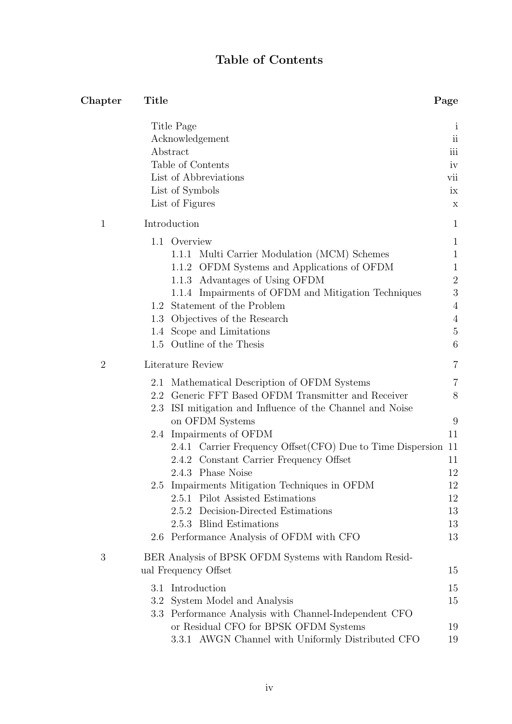## **Table of Contents**

| Chapter        | Title                                                                                                               | Page                                            |
|----------------|---------------------------------------------------------------------------------------------------------------------|-------------------------------------------------|
|                | Title Page<br>Acknowledgement<br>Abstract                                                                           | $\mathbf{l}$<br>$\overline{\textbf{ii}}$<br>iii |
|                | Table of Contents                                                                                                   | iv                                              |
|                | List of Abbreviations                                                                                               | vii                                             |
|                | List of Symbols                                                                                                     | ix                                              |
|                | List of Figures                                                                                                     | X                                               |
| $\mathbf{1}$   | Introduction                                                                                                        | $\mathbf{1}$                                    |
|                | 1.1 Overview                                                                                                        | $\mathbf{1}$                                    |
|                | Multi Carrier Modulation (MCM) Schemes<br>1.1.1                                                                     | $\mathbf{1}$                                    |
|                | 1.1.2 OFDM Systems and Applications of OFDM                                                                         | $\mathbf{1}$                                    |
|                | 1.1.3 Advantages of Using OFDM                                                                                      | $\overline{2}$<br>3                             |
|                | 1.1.4 Impairments of OFDM and Mitigation Techniques<br>1.2 Statement of the Problem                                 | $\overline{4}$                                  |
|                | 1.3 Objectives of the Research                                                                                      | $\overline{4}$                                  |
|                | 1.4 Scope and Limitations                                                                                           | $\overline{5}$                                  |
|                | 1.5 Outline of the Thesis                                                                                           | 6                                               |
| $\overline{2}$ | Literature Review                                                                                                   | 7                                               |
|                | Mathematical Description of OFDM Systems<br>2.1                                                                     | 7                                               |
|                | 2.2 Generic FFT Based OFDM Transmitter and Receiver<br>ISI mitigation and Influence of the Channel and Noise<br>2.3 | 8                                               |
|                | on OFDM Systems                                                                                                     | 9                                               |
|                | 2.4 Impairments of OFDM                                                                                             | 11                                              |
|                | 2.4.1 Carrier Frequency Offset (CFO) Due to Time Dispersion 11                                                      |                                                 |
|                | 2.4.2 Constant Carrier Frequency Offset                                                                             | 11                                              |
|                | 2.4.3 Phase Noise                                                                                                   | 12                                              |
|                | 2.5 Impairments Mitigation Techniques in OFDM<br>2.5.1 Pilot Assisted Estimations                                   | 12<br>12                                        |
|                | 2.5.2 Decision-Directed Estimations                                                                                 | 13                                              |
|                | 2.5.3 Blind Estimations                                                                                             | 13                                              |
|                | 2.6 Performance Analysis of OFDM with CFO                                                                           | 13                                              |
| 3              | BER Analysis of BPSK OFDM Systems with Random Resid-<br>ual Frequency Offset                                        | 15                                              |
|                | Introduction<br>3.1                                                                                                 | 15                                              |
|                | System Model and Analysis<br>$3.2\,$                                                                                | 15                                              |
|                | 3.3 Performance Analysis with Channel-Independent CFO                                                               |                                                 |
|                | or Residual CFO for BPSK OFDM Systems                                                                               | 19                                              |
|                | 3.3.1 AWGN Channel with Uniformly Distributed CFO                                                                   | 19                                              |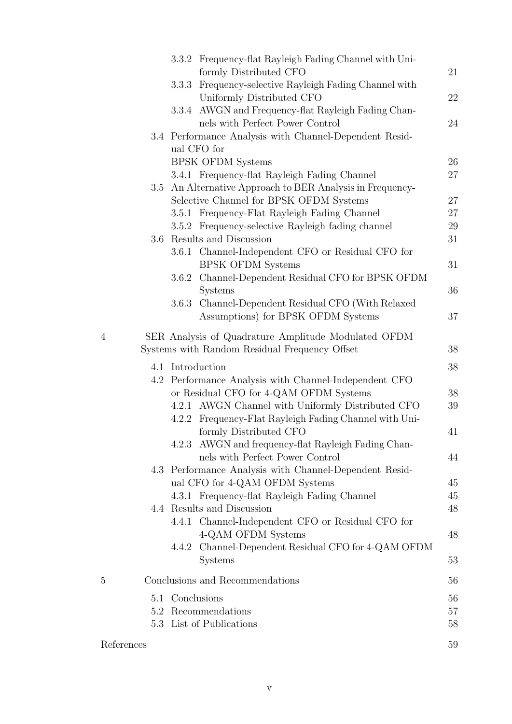|                |                  | 3.3.2 Frequency-flat Rayleigh Fading Channel with Uni-    |          |
|----------------|------------------|-----------------------------------------------------------|----------|
|                |                  | formly Distributed CFO                                    | 21       |
|                | 3.3.3            | Frequency-selective Rayleigh Fading Channel with          |          |
|                |                  | Uniformly Distributed CFO                                 | 22       |
|                |                  | 3.3.4 AWGN and Frequency-flat Rayleigh Fading Chan-       |          |
|                |                  | nels with Perfect Power Control                           | 24       |
|                |                  | 3.4 Performance Analysis with Channel-Dependent Resid-    |          |
|                |                  | ual CFO for                                               |          |
|                |                  | <b>BPSK OFDM Systems</b>                                  | $26\,$   |
|                |                  | 3.4.1 Frequency-flat Rayleigh Fading Channel              | $27\,$   |
|                |                  | 3.5 An Alternative Approach to BER Analysis in Frequency- |          |
|                |                  | Selective Channel for BPSK OFDM Systems                   | 27       |
|                |                  | 3.5.1 Frequency-Flat Rayleigh Fading Channel              | $27\,$   |
|                |                  | 3.5.2 Frequency-selective Rayleigh fading channel         | 29       |
|                | 3.6              | Results and Discussion                                    | 31       |
|                |                  | 3.6.1 Channel-Independent CFO or Residual CFO for         |          |
|                |                  | <b>BPSK OFDM Systems</b>                                  | 31       |
|                |                  | 3.6.2 Channel-Dependent Residual CFO for BPSK OFDM        |          |
|                |                  | <b>Systems</b>                                            | 36       |
|                | 3.6.3            | Channel-Dependent Residual CFO (With Relaxed              |          |
|                |                  | Assumptions) for BPSK OFDM Systems                        | 37       |
| $\overline{4}$ |                  | SER Analysis of Quadrature Amplitude Modulated OFDM       |          |
|                |                  |                                                           | 38       |
|                |                  |                                                           |          |
|                |                  | Systems with Random Residual Frequency Offset             |          |
|                | 4.1 Introduction |                                                           | 38       |
|                |                  | 4.2 Performance Analysis with Channel-Independent CFO     |          |
|                |                  | or Residual CFO for 4-QAM OFDM Systems                    | 38       |
|                |                  | 4.2.1 AWGN Channel with Uniformly Distributed CFO         | 39       |
|                |                  | 4.2.2 Frequency-Flat Rayleigh Fading Channel with Uni-    |          |
|                |                  | formly Distributed CFO                                    | 41       |
|                |                  | 4.2.3 AWGN and frequency-flat Rayleigh Fading Chan-       |          |
|                |                  | nels with Perfect Power Control                           | 44       |
|                |                  | 4.3 Performance Analysis with Channel-Dependent Resid-    |          |
|                |                  | ual CFO for 4-QAM OFDM Systems                            | 45       |
|                |                  | 4.3.1 Frequency-flat Rayleigh Fading Channel              | 45       |
|                |                  | 4.4 Results and Discussion                                | 48       |
|                |                  | 4.4.1 Channel-Independent CFO or Residual CFO for         |          |
|                |                  | 4-QAM OFDM Systems                                        | 48       |
|                |                  | 4.4.2 Channel-Dependent Residual CFO for 4-QAM OFDM       |          |
|                |                  | <b>Systems</b>                                            | 53       |
| 5              |                  | Conclusions and Recommendations                           | 56       |
|                |                  |                                                           |          |
|                | 5.1              | Conclusions                                               | 56       |
|                |                  | 5.2 Recommendations                                       | 57       |
| References     |                  | 5.3 List of Publications                                  | 58<br>59 |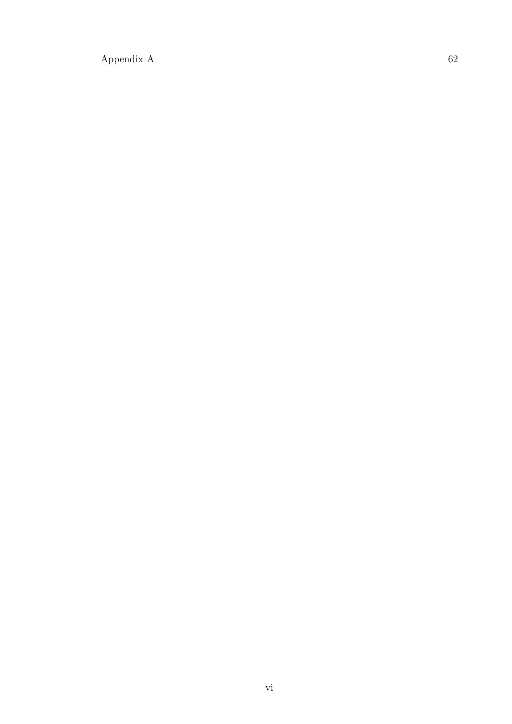$\begin{tabular}{c} Appendix A\\ \end{tabular}$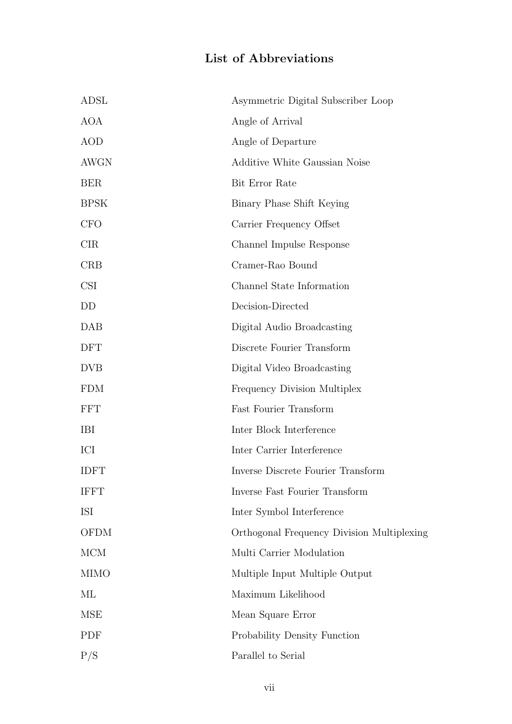# **List of Abbreviations**

| ADSL        | Asymmetric Digital Subscriber Loop         |
|-------------|--------------------------------------------|
| <b>AOA</b>  | Angle of Arrival                           |
| <b>AOD</b>  | Angle of Departure                         |
| AWGN        | Additive White Gaussian Noise              |
| <b>BER</b>  | Bit Error Rate                             |
| <b>BPSK</b> | Binary Phase Shift Keying                  |
| <b>CFO</b>  | Carrier Frequency Offset                   |
| <b>CIR</b>  | Channel Impulse Response                   |
| <b>CRB</b>  | Cramer-Rao Bound                           |
| <b>CSI</b>  | Channel State Information                  |
| DD          | Decision-Directed                          |
| DAB         | Digital Audio Broadcasting                 |
| <b>DFT</b>  | Discrete Fourier Transform                 |
| <b>DVB</b>  | Digital Video Broadcasting                 |
| <b>FDM</b>  | Frequency Division Multiplex               |
| <b>FFT</b>  | Fast Fourier Transform                     |
| <b>IBI</b>  | Inter Block Interference                   |
| ICI         | Inter Carrier Interference                 |
| <b>IDFT</b> | Inverse Discrete Fourier Transform         |
| <b>IFFT</b> | Inverse Fast Fourier Transform             |
| <b>ISI</b>  | Inter Symbol Interference                  |
| <b>OFDM</b> | Orthogonal Frequency Division Multiplexing |
| MCM         | Multi Carrier Modulation                   |
| <b>MIMO</b> | Multiple Input Multiple Output             |
| ML          | Maximum Likelihood                         |
| <b>MSE</b>  | Mean Square Error                          |
| PDF         | Probability Density Function               |
| P/S         | Parallel to Serial                         |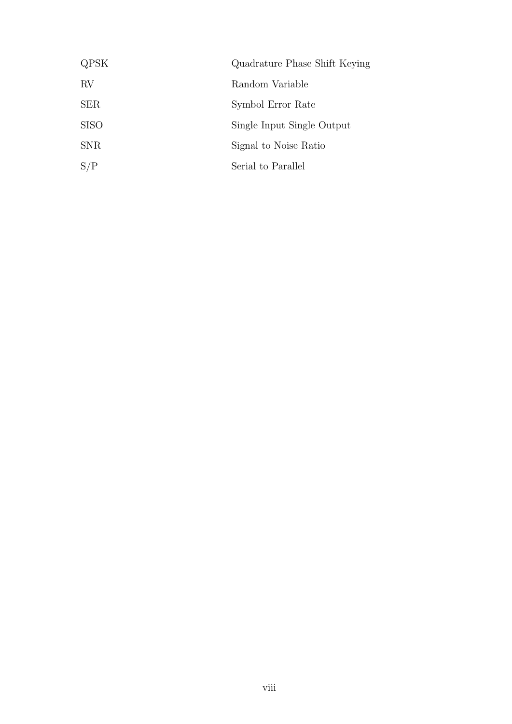| QPSK        | Quadrature Phase Shift Keying |
|-------------|-------------------------------|
| RV          | Random Variable               |
| <b>SER</b>  | Symbol Error Rate             |
| <b>SISO</b> | Single Input Single Output    |
| <b>SNR</b>  | Signal to Noise Ratio         |
| S/P         | Serial to Parallel            |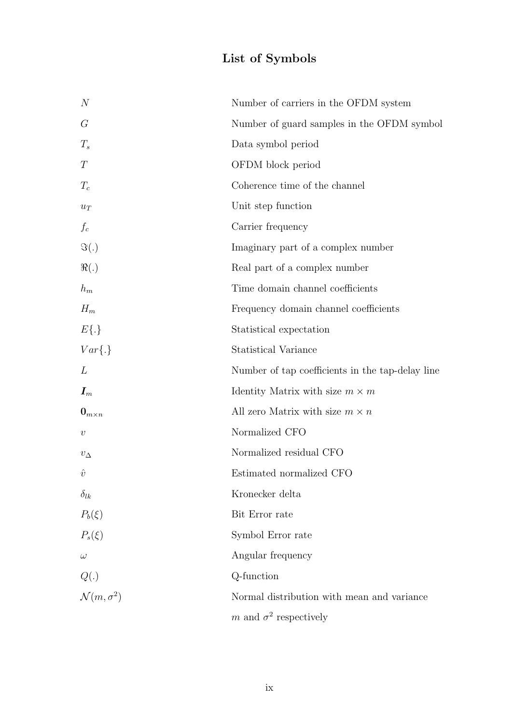# **List of Symbols**

| $\boldsymbol{N}$           | Number of carriers in the OFDM system            |
|----------------------------|--------------------------------------------------|
| $G\$                       | Number of guard samples in the OFDM symbol       |
| $T_{s}$                    | Data symbol period                               |
| $\boldsymbol{T}$           | OFDM block period                                |
| $T_c$                      | Coherence time of the channel                    |
| $u_T$                      | Unit step function                               |
| $f_c$                      | Carrier frequency                                |
| $\Im(.)$                   | Imaginary part of a complex number               |
| $\Re(.)$                   | Real part of a complex number                    |
| $\mathfrak{h}_m$           | Time domain channel coefficients                 |
| $H_m$                      | Frequency domain channel coefficients            |
| $E\{\cdot\}$               | Statistical expectation                          |
| $Var\{.\}$                 | <b>Statistical Variance</b>                      |
| L                          | Number of tap coefficients in the tap-delay line |
| $\boldsymbol{I}_m$         | Identity Matrix with size $m \times m$           |
| $\mathbf{0}_{m \times n}$  | All zero Matrix with size $m \times n$           |
| $\upsilon$                 | Normalized CFO                                   |
| $v_{\Delta}$               | Normalized residual CFO                          |
| $\hat{v}$                  | Estimated normalized CFO                         |
| $\delta_{lk}$              | Kronecker delta                                  |
| $P_b(\xi)$                 | Bit Error rate                                   |
| $P_s(\xi)$                 | Symbol Error rate                                |
| $\omega$                   | Angular frequency                                |
| Q(.)                       | Q-function                                       |
| $\mathcal{N}(m, \sigma^2)$ | Normal distribution with mean and variance       |
|                            | m and $\sigma^2$ respectively                    |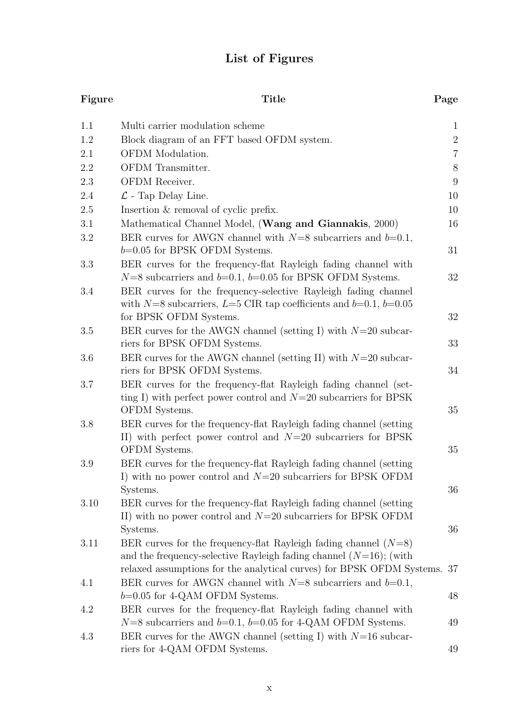# **List of Figures**

| Figure   | Title                                                                                                                                                 | Page           |
|----------|-------------------------------------------------------------------------------------------------------------------------------------------------------|----------------|
| 1.1      | Multi carrier modulation scheme                                                                                                                       | $\mathbf{1}$   |
| 1.2      | Block diagram of an FFT based OFDM system.                                                                                                            | $\overline{2}$ |
| 2.1      | OFDM Modulation.                                                                                                                                      | $\overline{7}$ |
| 2.2      | OFDM Transmitter.                                                                                                                                     | 8              |
| 2.3      | OFDM Receiver.                                                                                                                                        | $9\phantom{.}$ |
| 2.4      | $\mathcal{L}$ - Tap Delay Line.                                                                                                                       | 10             |
| 2.5      | Insertion & removal of cyclic prefix.                                                                                                                 | 10             |
| 3.1      | Mathematical Channel Model, (Wang and Giannakis, 2000)                                                                                                | 16             |
| 3.2      | BER curves for AWGN channel with $N=8$ subcarriers and $b=0.1$ ,<br>$b=0.05$ for BPSK OFDM Systems.                                                   | 31             |
| 3.3      | BER curves for the frequency-flat Rayleigh fading channel with<br>$N=8$ subcarriers and $b=0.1$ , $b=0.05$ for BPSK OFDM Systems.                     | 32             |
| 3.4      | BER curves for the frequency-selective Rayleigh fading channel<br>with $N=8$ subcarriers, $L=5$ CIR tap coefficients and $b=0.1$ , $b=0.05$           |                |
|          | for BPSK OFDM Systems.                                                                                                                                | 32             |
| 3.5      | BER curves for the AWGN channel (setting I) with $N=20$ subcar-<br>riers for BPSK OFDM Systems.                                                       | 33             |
| 3.6      | BER curves for the AWGN channel (setting II) with $N=20$ subcar-<br>riers for BPSK OFDM Systems.                                                      | 34             |
| 3.7      | BER curves for the frequency-flat Rayleigh fading channel (set-<br>ting I) with perfect power control and $N=20$ subcarriers for BPSK                 |                |
|          | OFDM Systems.                                                                                                                                         | 35             |
| 3.8      | BER curves for the frequency-flat Rayleigh fading channel (setting<br>II) with perfect power control and $N=20$ subcarriers for BPSK<br>OFDM Systems. | 35             |
| 3.9      | BER curves for the frequency-flat Rayleigh fading channel (setting                                                                                    |                |
|          | I) with no power control and $N=20$ subcarriers for BPSK OFDM<br>Systems.                                                                             | 36             |
| $3.10\,$ | BER curves for the frequency-flat Rayleigh fading channel (setting)<br>II) with no power control and $N=20$ subcarriers for BPSK OFDM                 |                |
| 3.11     | Systems.<br>BER curves for the frequency-flat Rayleigh fading channel $(N=8)$                                                                         | 36             |
|          | and the frequency-selective Rayleigh fading channel $(N=16)$ ; (with<br>relaxed assumptions for the analytical curves) for BPSK OFDM Systems. 37      |                |
| 4.1      | BER curves for AWGN channel with $N=8$ subcarriers and $b=0.1$ ,<br>$b=0.05$ for 4-QAM OFDM Systems.                                                  | 48             |
| 4.2      | BER curves for the frequency-flat Rayleigh fading channel with<br>$N=8$ subcarriers and $b=0.1$ , $b=0.05$ for 4-QAM OFDM Systems.                    | 49             |
| 4.3      | BER curves for the AWGN channel (setting I) with $N=16$ subcar-<br>riers for 4-QAM OFDM Systems.                                                      | 49             |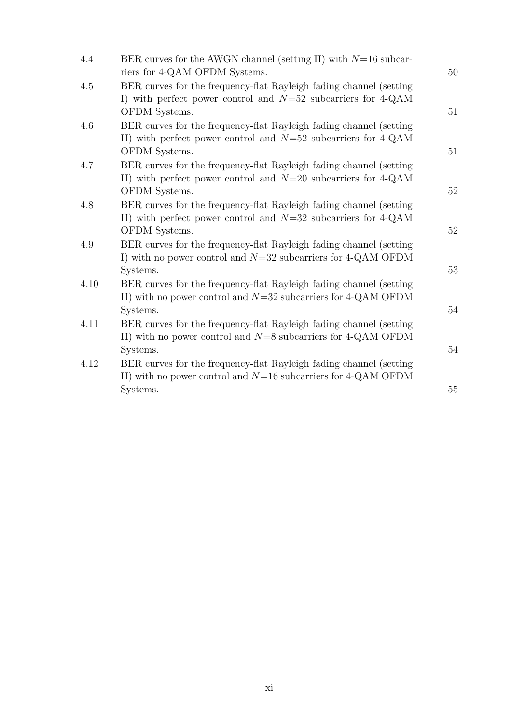| 4.4  | BER curves for the AWGN channel (setting II) with $N=16$ subcar-<br>riers for 4-QAM OFDM Systems.                                                                        | 50 |
|------|--------------------------------------------------------------------------------------------------------------------------------------------------------------------------|----|
| 4.5  | BER curves for the frequency-flat Rayleigh fading channel (setting<br>I) with perfect power control and $N=52$ subcarriers for 4-QAM<br>OFDM Systems.                    | 51 |
| 4.6  | BER curves for the frequency-flat Rayleigh fading channel (setting)<br>II) with perfect power control and $N=52$ subcarriers for 4-QAM<br>OFDM Systems.                  | 51 |
| 4.7  | BER curves for the frequency-flat Rayleigh fading channel (setting<br>II) with perfect power control and $N=20$ subcarriers for 4-QAM                                    | 52 |
| 4.8  | OFDM Systems.<br>BER curves for the frequency-flat Rayleigh fading channel (setting)<br>II) with perfect power control and $N=32$ subcarriers for 4-QAM<br>OFDM Systems. | 52 |
| 4.9  | BER curves for the frequency-flat Rayleigh fading channel (setting<br>I) with no power control and $N=32$ subcarriers for 4-QAM OFDM<br>Systems.                         | 53 |
| 4.10 | BER curves for the frequency-flat Rayleigh fading channel (setting<br>II) with no power control and $N=32$ subcarriers for 4-QAM OFDM                                    | 54 |
| 4.11 | Systems.<br>BER curves for the frequency-flat Rayleigh fading channel (setting<br>II) with no power control and $N=8$ subcarriers for 4-QAM OFDM                         | 54 |
| 4.12 | Systems.<br>BER curves for the frequency-flat Rayleigh fading channel (setting)<br>II) with no power control and $N=16$ subcarriers for 4-QAM OFDM                       |    |
|      | Systems.                                                                                                                                                                 | 55 |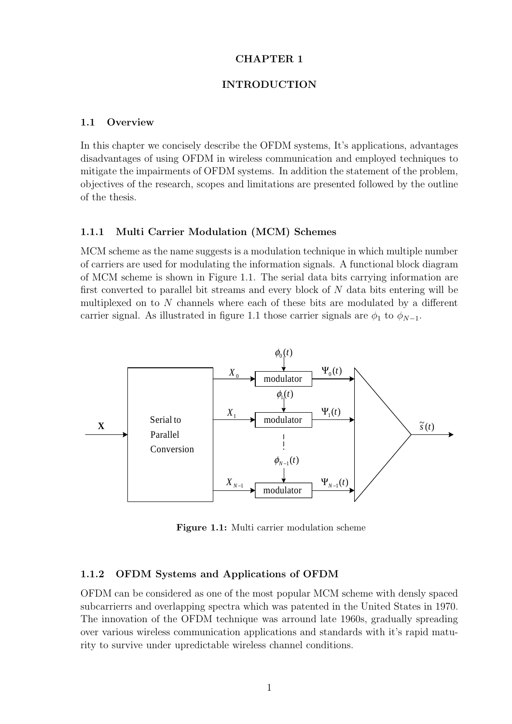### **CHAPTER 1**

### **INTRODUCTION**

### **1.1 Overview**

In this chapter we concisely describe the OFDM systems, It's applications, advantages disadvantages of using OFDM in wireless communication and employed techniques to mitigate the impairments of OFDM systems. In addition the statement of the problem, objectives of the research, scopes and limitations are presented followed by the outline of the thesis.

### **1.1.1 Multi Carrier Modulation (MCM) Schemes**

MCM scheme as the name suggests is a modulation technique in which multiple number of carriers are used for modulating the information signals. A functional block diagram of MCM scheme is shown in Figure 1.1. The serial data bits carrying information are first converted to parallel bit streams and every block of  $N$  data bits entering will be multiplexed on to N channels where each of these bits are modulated by a different carrier signal. As illustrated in figure 1.1 those carrier signals are  $\phi_1$  to  $\phi_{N-1}$ .



**Figure 1.1:** Multi carrier modulation scheme

### **1.1.2 OFDM Systems and Applications of OFDM**

OFDM can be considered as one of the most popular MCM scheme with densly spaced subcarrierrs and overlapping spectra which was patented in the United States in 1970. The innovation of the OFDM technique was arround late 1960s, gradually spreading over various wireless communication applications and standards with it's rapid maturity to survive under upredictable wireless channel conditions.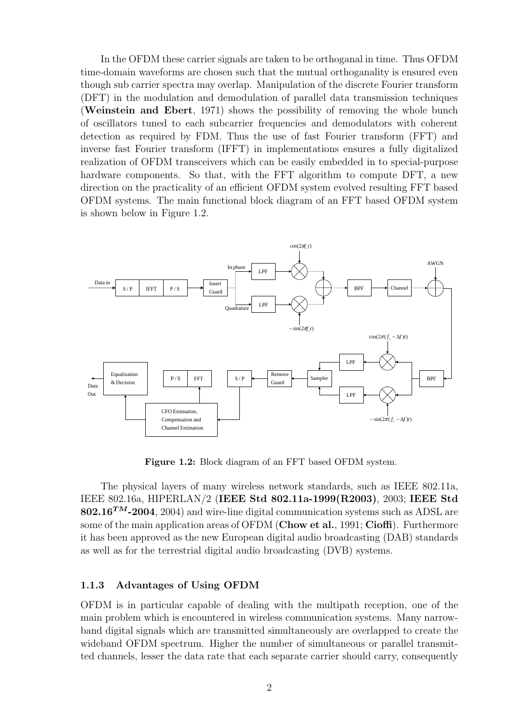In the OFDM these carrier signals are taken to be orthoganal in time. Thus OFDM time-domain waveforms are chosen such that the mutual orthoganality is ensured even though sub carrier spectra may overlap. Manipulation of the discrete Fourier transform (DFT) in the modulation and demodulation of parallel data transmission techniques (**Weinstein and Ebert**, 1971) shows the possibility of removing the whole bunch of oscillators tuned to each subcarrier frequencies and demodulators with coherent detection as required by FDM. Thus the use of fast Fourier transform (FFT) and inverse fast Fourier transform (IFFT) in implementations ensures a fully digitalized realization of OFDM transceivers which can be easily embedded in to special-purpose hardware components. So that, with the FFT algorithm to compute DFT, a new direction on the practicality of an efficient OFDM system evolved resulting FFT based OFDM systems. The main functional block diagram of an FFT based OFDM system is shown below in Figure 1.2.



**Figure 1.2:** Block diagram of an FFT based OFDM system.

The physical layers of many wireless network standards, such as IEEE 802.11a, IEEE 802.16a, HIPERLAN/2 (**IEEE Std 802.11a-1999(R2003)**, 2003; **IEEE Std 802.16<sup>***TM***</sup>-2004**, 2004) and wire-line digital communication systems such as ADSL are some of the main application areas of OFDM (**Chow et al.**, 1991; **Cioffi**). Furthermore it has been approved as the new European digital audio broadcasting (DAB) standards as well as for the terrestrial digital audio broadcasting (DVB) systems.

### **1.1.3 Advantages of Using OFDM**

OFDM is in particular capable of dealing with the multipath reception, one of the main problem which is encountered in wireless communication systems. Many narrowband digital signals which are transmitted simultaneously are overlapped to create the wideband OFDM spectrum. Higher the number of simultaneous or parallel transmitted channels, lesser the data rate that each separate carrier should carry, consequently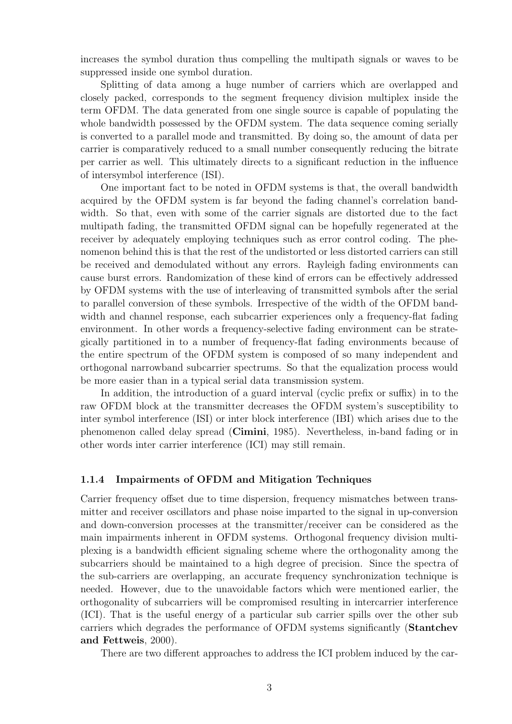increases the symbol duration thus compelling the multipath signals or waves to be suppressed inside one symbol duration.

Splitting of data among a huge number of carriers which are overlapped and closely packed, corresponds to the segment frequency division multiplex inside the term OFDM. The data generated from one single source is capable of populating the whole bandwidth possessed by the OFDM system. The data sequence coming serially is converted to a parallel mode and transmitted. By doing so, the amount of data per carrier is comparatively reduced to a small number consequently reducing the bitrate per carrier as well. This ultimately directs to a significant reduction in the influence of intersymbol interference (ISI).

One important fact to be noted in OFDM systems is that, the overall bandwidth acquired by the OFDM system is far beyond the fading channel's correlation bandwidth. So that, even with some of the carrier signals are distorted due to the fact multipath fading, the transmitted OFDM signal can be hopefully regenerated at the receiver by adequately employing techniques such as error control coding. The phenomenon behind this is that the rest of the undistorted or less distorted carriers can still be received and demodulated without any errors. Rayleigh fading environments can cause burst errors. Randomization of these kind of errors can be effectively addressed by OFDM systems with the use of interleaving of transmitted symbols after the serial to parallel conversion of these symbols. Irrespective of the width of the OFDM bandwidth and channel response, each subcarrier experiences only a frequency-flat fading environment. In other words a frequency-selective fading environment can be strategically partitioned in to a number of frequency-flat fading environments because of the entire spectrum of the OFDM system is composed of so many independent and orthogonal narrowband subcarrier spectrums. So that the equalization process would be more easier than in a typical serial data transmission system.

In addition, the introduction of a guard interval (cyclic prefix or suffix) in to the raw OFDM block at the transmitter decreases the OFDM system's susceptibility to inter symbol interference (ISI) or inter block interference (IBI) which arises due to the phenomenon called delay spread (**Cimini**, 1985). Nevertheless, in-band fading or in other words inter carrier interference (ICI) may still remain.

### **1.1.4 Impairments of OFDM and Mitigation Techniques**

Carrier frequency offset due to time dispersion, frequency mismatches between transmitter and receiver oscillators and phase noise imparted to the signal in up-conversion and down-conversion processes at the transmitter/receiver can be considered as the main impairments inherent in OFDM systems. Orthogonal frequency division multiplexing is a bandwidth efficient signaling scheme where the orthogonality among the subcarriers should be maintained to a high degree of precision. Since the spectra of the sub-carriers are overlapping, an accurate frequency synchronization technique is needed. However, due to the unavoidable factors which were mentioned earlier, the orthogonality of subcarriers will be compromised resulting in intercarrier interference (ICI). That is the useful energy of a particular sub carrier spills over the other sub carriers which degrades the performance of OFDM systems significantly (**Stantchev and Fettweis**, 2000).

There are two different approaches to address the ICI problem induced by the car-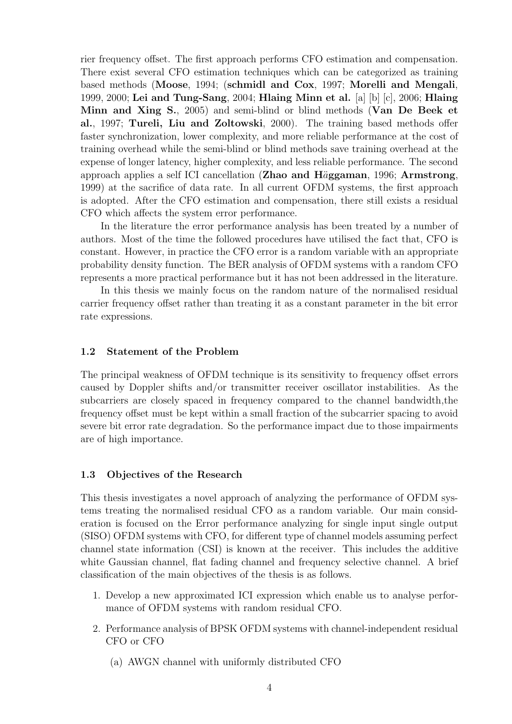rier frequency offset. The first approach performs CFO estimation and compensation. There exist several CFO estimation techniques which can be categorized as training based methods (**Moose**, 1994; (**schmidl and Cox**, 1997; **Morelli and Mengali**, 1999, 2000; **Lei and Tung-Sang**, 2004; **Hlaing Minn et al.** [a] [b] [c], 2006; **Hlaing Minn and Xing S.**, 2005) and semi-blind or blind methods (**Van De Beek et al.**, 1997; **Tureli, Liu and Zoltowski**, 2000). The training based methods offer faster synchronization, lower complexity, and more reliable performance at the cost of training overhead while the semi-blind or blind methods save training overhead at the expense of longer latency, higher complexity, and less reliable performance. The second approach applies a self ICI cancellation (**Zhao and H**a¨**ggaman**, 1996; **Armstrong**, 1999) at the sacrifice of data rate. In all current OFDM systems, the first approach is adopted. After the CFO estimation and compensation, there still exists a residual CFO which affects the system error performance.

In the literature the error performance analysis has been treated by a number of authors. Most of the time the followed procedures have utilised the fact that, CFO is constant. However, in practice the CFO error is a random variable with an appropriate probability density function. The BER analysis of OFDM systems with a random CFO represents a more practical performance but it has not been addressed in the literature.

In this thesis we mainly focus on the random nature of the normalised residual carrier frequency offset rather than treating it as a constant parameter in the bit error rate expressions.

### **1.2 Statement of the Problem**

The principal weakness of OFDM technique is its sensitivity to frequency offset errors caused by Doppler shifts and/or transmitter receiver oscillator instabilities. As the subcarriers are closely spaced in frequency compared to the channel bandwidth,the frequency offset must be kept within a small fraction of the subcarrier spacing to avoid severe bit error rate degradation. So the performance impact due to those impairments are of high importance.

### **1.3 Objectives of the Research**

This thesis investigates a novel approach of analyzing the performance of OFDM systems treating the normalised residual CFO as a random variable. Our main consideration is focused on the Error performance analyzing for single input single output (SISO) OFDM systems with CFO, for different type of channel models assuming perfect channel state information (CSI) is known at the receiver. This includes the additive white Gaussian channel, flat fading channel and frequency selective channel. A brief classification of the main objectives of the thesis is as follows.

- 1. Develop a new approximated ICI expression which enable us to analyse performance of OFDM systems with random residual CFO.
- 2. Performance analysis of BPSK OFDM systems with channel-independent residual CFO or CFO
	- (a) AWGN channel with uniformly distributed CFO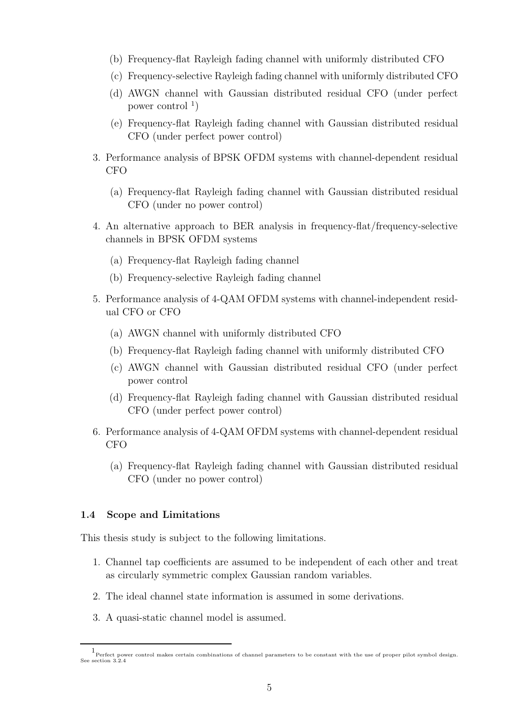- (b) Frequency-flat Rayleigh fading channel with uniformly distributed CFO
- (c) Frequency-selective Rayleigh fading channel with uniformly distributed CFO
- (d) AWGN channel with Gaussian distributed residual CFO (under perfect power control  $\binom{1}{1}$
- (e) Frequency-flat Rayleigh fading channel with Gaussian distributed residual CFO (under perfect power control)
- 3. Performance analysis of BPSK OFDM systems with channel-dependent residual CFO
	- (a) Frequency-flat Rayleigh fading channel with Gaussian distributed residual CFO (under no power control)
- 4. An alternative approach to BER analysis in frequency-flat/frequency-selective channels in BPSK OFDM systems
	- (a) Frequency-flat Rayleigh fading channel
	- (b) Frequency-selective Rayleigh fading channel
- 5. Performance analysis of 4-QAM OFDM systems with channel-independent residual CFO or CFO
	- (a) AWGN channel with uniformly distributed CFO
	- (b) Frequency-flat Rayleigh fading channel with uniformly distributed CFO
	- (c) AWGN channel with Gaussian distributed residual CFO (under perfect power control
	- (d) Frequency-flat Rayleigh fading channel with Gaussian distributed residual CFO (under perfect power control)
- 6. Performance analysis of 4-QAM OFDM systems with channel-dependent residual CFO
	- (a) Frequency-flat Rayleigh fading channel with Gaussian distributed residual CFO (under no power control)

### **1.4 Scope and Limitations**

This thesis study is subject to the following limitations.

- 1. Channel tap coefficients are assumed to be independent of each other and treat as circularly symmetric complex Gaussian random variables.
- 2. The ideal channel state information is assumed in some derivations.
- 3. A quasi-static channel model is assumed.

<sup>1</sup> Perfect power control makes certain combinations of channel parameters to be constant with the use of proper pilot symbol design. See section 3.2.4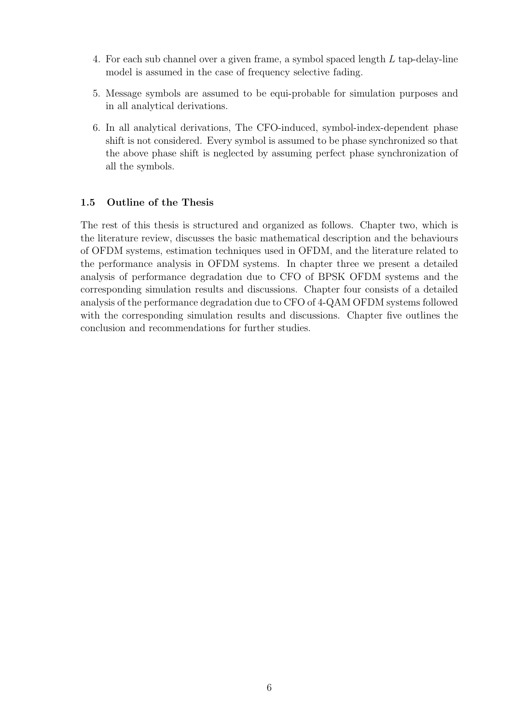- 4. For each sub channel over a given frame, a symbol spaced length L tap-delay-line model is assumed in the case of frequency selective fading.
- 5. Message symbols are assumed to be equi-probable for simulation purposes and in all analytical derivations.
- 6. In all analytical derivations, The CFO-induced, symbol-index-dependent phase shift is not considered. Every symbol is assumed to be phase synchronized so that the above phase shift is neglected by assuming perfect phase synchronization of all the symbols.

### **1.5 Outline of the Thesis**

The rest of this thesis is structured and organized as follows. Chapter two, which is the literature review, discusses the basic mathematical description and the behaviours of OFDM systems, estimation techniques used in OFDM, and the literature related to the performance analysis in OFDM systems. In chapter three we present a detailed analysis of performance degradation due to CFO of BPSK OFDM systems and the corresponding simulation results and discussions. Chapter four consists of a detailed analysis of the performance degradation due to CFO of 4-QAM OFDM systems followed with the corresponding simulation results and discussions. Chapter five outlines the conclusion and recommendations for further studies.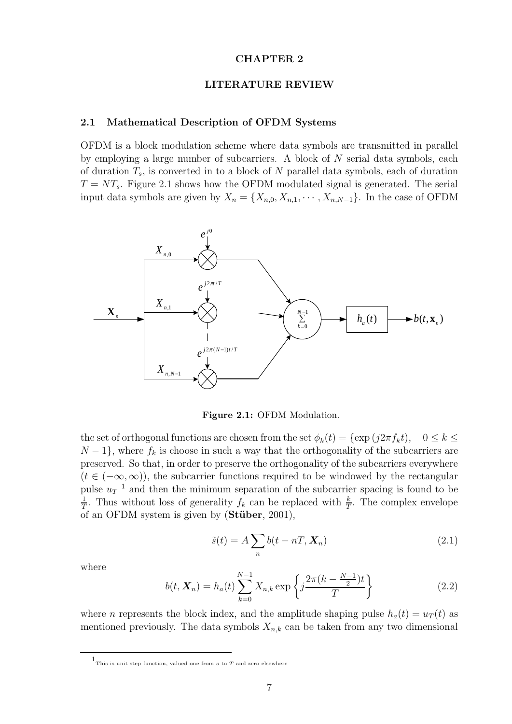### **CHAPTER 2**

### **LITERATURE REVIEW**

#### **2.1 Mathematical Description of OFDM Systems**

OFDM is a block modulation scheme where data symbols are transmitted in parallel by employing a large number of subcarriers. A block of N serial data symbols, each of duration  $T_s$ , is converted in to a block of N parallel data symbols, each of duration  $T = NT<sub>s</sub>$ . Figure 2.1 shows how the OFDM modulated signal is generated. The serial input data symbols are given by  $X_n = \{X_{n,0}, X_{n,1}, \cdots, X_{n,N-1}\}.$  In the case of OFDM



**Figure 2.1:** OFDM Modulation.

the set of orthogonal functions are chosen from the set  $\phi_k(t) = {\exp (j2\pi f_k t)}, 0 \le k \le$  $N-1$ , where  $f_k$  is choose in such a way that the orthogonality of the subcarriers are preserved. So that, in order to preserve the orthogonality of the subcarriers everywhere  $(t \in (-\infty, \infty))$ , the subcarrier functions required to be windowed by the rectangular pulse  $u_T^{-1}$  and then the minimum separation of the subcarrier spacing is found to be  $\frac{1}{T}$ . Thus without loss of generality  $f_k$  can be replaced with  $\frac{k}{T}$ . The complex envelope of an OFDM system is given by (**St¨uber**, 2001),

$$
\tilde{s}(t) = A \sum_{n} b(t - nT, \mathbf{X}_n)
$$
\n(2.1)

where

$$
b(t, \mathbf{X}_n) = h_a(t) \sum_{k=0}^{N-1} X_{n,k} \exp\left\{ j \frac{2\pi (k - \frac{N-1}{2})t}{T} \right\}
$$
 (2.2)

where *n* represents the block index, and the amplitude shaping pulse  $h_a(t) = u_T(t)$  as mentioned previously. The data symbols  $X_{n,k}$  can be taken from any two dimensional

 $1$ This is unit step function, valued one from  $o$  to  $T$  and zero elsewhere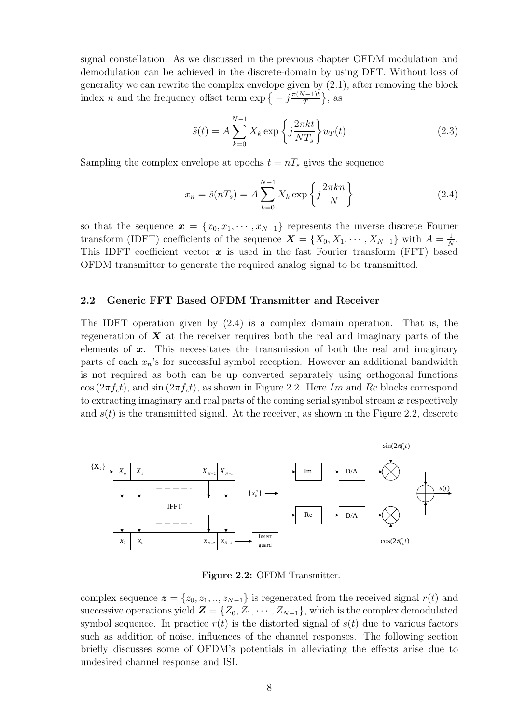signal constellation. As we discussed in the previous chapter OFDM modulation and demodulation can be achieved in the discrete-domain by using DFT. Without loss of generality we can rewrite the complex envelope given by (2.1), after removing the block index n and the frequency offset term  $\exp \left\{-j\frac{\pi(N-1)t}{T}\right\}$  $\}$ , as

$$
\tilde{s}(t) = A \sum_{k=0}^{N-1} X_k \exp\left\{j \frac{2\pi kt}{NT_s} \right\} u_T(t)
$$
\n(2.3)

Sampling the complex envelope at epochs  $t = nT_s$  gives the sequence

$$
x_n = \tilde{s}(nT_s) = A \sum_{k=0}^{N-1} X_k \exp\left\{j \frac{2\pi k n}{N}\right\}
$$
 (2.4)

so that the sequence  $\boldsymbol{x} = \{x_0, x_1, \dots, x_{N-1}\}\$  represents the inverse discrete Fourier transform (IDFT) coefficients of the sequence  $\mathbf{X} = \{X_0, X_1, \dots, X_{N-1}\}\$  with  $A = \frac{1}{N}$ .<br>This IDFT coefficient vector  $\boldsymbol{x}$  is used in the fast Fourier transform (FFT) based This IDFT coefficient vector  $x$  is used in the fast Fourier transform (FFT) based OFDM transmitter to generate the required analog signal to be transmitted.

### **2.2 Generic FFT Based OFDM Transmitter and Receiver**

The IDFT operation given by (2.4) is a complex domain operation. That is, the regeneration of *X* at the receiver requires both the real and imaginary parts of the elements of *x*. This necessitates the transmission of both the real and imaginary parts of each  $x_n$ 's for successful symbol reception. However an additional bandwidth is not required as both can be up converted separately using orthogonal functions  $\cos(2\pi f_c t)$ , and  $\sin(2\pi f_c t)$ , as shown in Figure 2.2. Here Im and Re blocks correspond to extracting imaginary and real parts of the coming serial symbol stream *x* respectively and  $s(t)$  is the transmitted signal. At the receiver, as shown in the Figure 2.2, descrete



Figure 2.2: OFDM Transmitter.

complex sequence  $\boldsymbol{z} = \{z_0, z_1, ..., z_{N-1}\}\$ is regenerated from the received signal  $r(t)$  and successive operations yield  $\mathbf{Z} = \{Z_0, Z_1, \cdots, Z_{N-1}\},$  which is the complex demodulated symbol sequence. In practice  $r(t)$  is the distorted signal of  $s(t)$  due to various factors such as addition of noise, influences of the channel responses. The following section briefly discusses some of OFDM's potentials in alleviating the effects arise due to undesired channel response and ISI.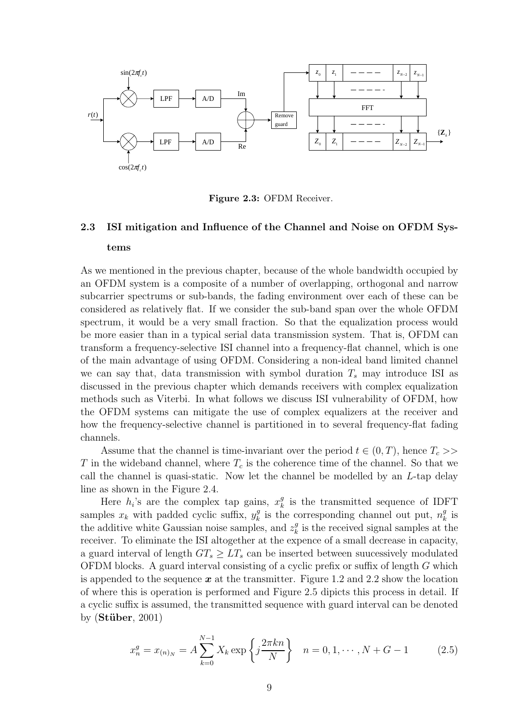

**Figure 2.3:** OFDM Receiver.

## **2.3 ISI mitigation and Influence of the Channel and Noise on OFDM Systems**

As we mentioned in the previous chapter, because of the whole bandwidth occupied by an OFDM system is a composite of a number of overlapping, orthogonal and narrow subcarrier spectrums or sub-bands, the fading environment over each of these can be considered as relatively flat. If we consider the sub-band span over the whole OFDM spectrum, it would be a very small fraction. So that the equalization process would be more easier than in a typical serial data transmission system. That is, OFDM can transform a frequency-selective ISI channel into a frequency-flat channel, which is one of the main advantage of using OFDM. Considering a non-ideal band limited channel we can say that, data transmission with symbol duration  $T_s$  may introduce ISI as discussed in the previous chapter which demands receivers with complex equalization methods such as Viterbi. In what follows we discuss ISI vulnerability of OFDM, how the OFDM systems can mitigate the use of complex equalizers at the receiver and how the frequency-selective channel is partitioned in to several frequency-flat fading channels.

Assume that the channel is time-invariant over the period  $t \in (0, T)$ , hence  $T_c$ T in the wideband channel, where  $T_c$  is the coherence time of the channel. So that we call the channel is quasi-static. Now let the channel be modelled by an  $L$ -tap delay line as shown in the Figure 2.4.

Here  $h_i$ 's are the complex tap gains,  $x_k^g$  is the transmitted sequence of IDFT samples  $x_k$  with padded cyclic suffix,  $y_k^g$  is the corresponding channel out put,  $n_k^g$  is<br>the additive white Caussian poise samples, and  $z^g$  is the required signal samples at the the additive white Gaussian noise samples, and  $z_k^g$  is the received signal samples at the receiver. To eliminate the ISI alteration at the expanse of a small degrees in capacity. receiver. To eliminate the ISI altogether at the expence of a small decrease in capacity, a guard interval of length  $GT_s \geq LT_s$  can be inserted between suucessively modulated OFDM blocks. A guard interval consisting of a cyclic prefix or suffix of length G which is appended to the sequence *x* at the transmitter. Figure 1.2 and 2.2 show the location of where this is operation is performed and Figure 2.5 dipicts this process in detail. If a cyclic suffix is assumed, the transmitted sequence with guard interval can be denoted by (**St¨uber**, 2001)

$$
x_n^g = x_{(n)_N} = A \sum_{k=0}^{N-1} X_k \exp\left\{j \frac{2\pi k n}{N}\right\} \quad n = 0, 1, \cdots, N + G - 1 \tag{2.5}
$$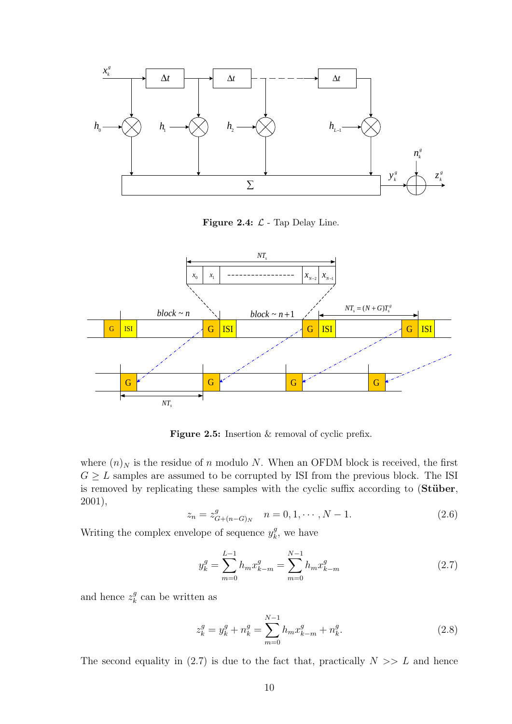

**Figure 2.4:**  $\mathcal{L}$  - Tap Delay Line.



Figure 2.5: Insertion & removal of cyclic prefix.

where  $(n)_N$  is the residue of n modulo N. When an OFDM block is received, the first  $G \geq L$  samples are assumed to be corrupted by ISI from the previous block. The ISI is removed by replicating these samples with the cyclic suffix according to (**Stüber**, 2001),

$$
z_n = z_{G+(n-G)_N}^g \quad n = 0, 1, \cdots, N-1.
$$
 (2.6)

Writing the complex envelope of sequence  $y_k^g$ , we have

$$
y_k^g = \sum_{m=0}^{L-1} h_m x_{k-m}^g = \sum_{m=0}^{N-1} h_m x_{k-m}^g
$$
 (2.7)

and hence  $z_k^g$  can be written as

$$
z_k^g = y_k^g + n_k^g = \sum_{m=0}^{N-1} h_m x_{k-m}^g + n_k^g.
$$
 (2.8)

The second equality in  $(2.7)$  is due to the fact that, practically  $N \gg L$  and hence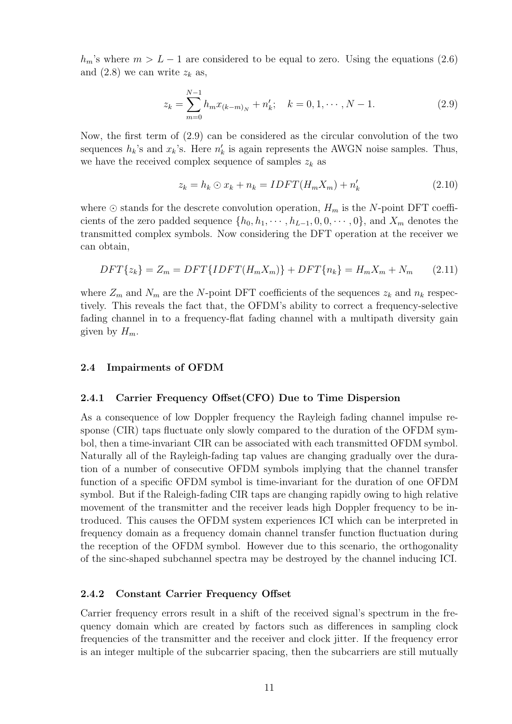$h_m$ 's where  $m>L-1$  are considered to be equal to zero. Using the equations (2.6) and  $(2.8)$  we can write  $z_k$  as,

$$
z_k = \sum_{m=0}^{N-1} h_m x_{(k-m)_N} + n'_k; \quad k = 0, 1, \cdots, N-1.
$$
 (2.9)

Now, the first term of (2.9) can be considered as the circular convolution of the two sequences  $h_k$ 's and  $x_k$ 's. Here  $n'_k$  is again represents the AWGN noise samples. Thus, we have the received complex sequence of samples  $z_k$  as

$$
z_k = h_k \odot x_k + n_k = IDFT(H_m X_m) + n'_k \tag{2.10}
$$

where  $\odot$  stands for the descrete convolution operation,  $H_m$  is the N-point DFT coefficients of the zero padded sequence  $\{h_0, h_1, \cdots, h_{L-1}, 0, 0, \cdots, 0\}$ , and  $X_m$  denotes the transmitted complex symbols. Now considering the DFT operation at the receiver we can obtain,

$$
DFT\{z_k\} = Z_m = DFT\{IDFT(H_mX_m)\} + DFT\{n_k\} = H_mX_m + N_m \qquad (2.11)
$$

where  $Z_m$  and  $N_m$  are the N-point DFT coefficients of the sequences  $z_k$  and  $n_k$  respectively. This reveals the fact that, the OFDM's ability to correct a frequency-selective fading channel in to a frequency-flat fading channel with a multipath diversity gain given by  $H_m$ .

### **2.4 Impairments of OFDM**

### **2.4.1 Carrier Frequency Offset(CFO) Due to Time Dispersion**

As a consequence of low Doppler frequency the Rayleigh fading channel impulse response (CIR) taps fluctuate only slowly compared to the duration of the OFDM symbol, then a time-invariant CIR can be associated with each transmitted OFDM symbol. Naturally all of the Rayleigh-fading tap values are changing gradually over the duration of a number of consecutive OFDM symbols implying that the channel transfer function of a specific OFDM symbol is time-invariant for the duration of one OFDM symbol. But if the Raleigh-fading CIR taps are changing rapidly owing to high relative movement of the transmitter and the receiver leads high Doppler frequency to be introduced. This causes the OFDM system experiences ICI which can be interpreted in frequency domain as a frequency domain channel transfer function fluctuation during the reception of the OFDM symbol. However due to this scenario, the orthogonality of the sinc-shaped subchannel spectra may be destroyed by the channel inducing ICI.

### **2.4.2 Constant Carrier Frequency Offset**

Carrier frequency errors result in a shift of the received signal's spectrum in the frequency domain which are created by factors such as differences in sampling clock frequencies of the transmitter and the receiver and clock jitter. If the frequency error is an integer multiple of the subcarrier spacing, then the subcarriers are still mutually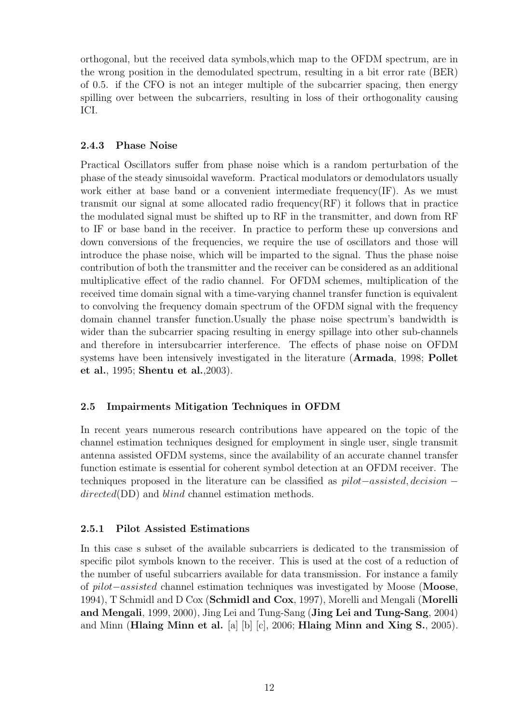orthogonal, but the received data symbols,which map to the OFDM spectrum, are in the wrong position in the demodulated spectrum, resulting in a bit error rate (BER) of 0.5. if the CFO is not an integer multiple of the subcarrier spacing, then energy spilling over between the subcarriers, resulting in loss of their orthogonality causing ICI.

### **2.4.3 Phase Noise**

Practical Oscillators suffer from phase noise which is a random perturbation of the phase of the steady sinusoidal waveform. Practical modulators or demodulators usually work either at base band or a convenient intermediate frequency(IF). As we must transmit our signal at some allocated radio frequency $(RF)$  it follows that in practice the modulated signal must be shifted up to RF in the transmitter, and down from RF to IF or base band in the receiver. In practice to perform these up conversions and down conversions of the frequencies, we require the use of oscillators and those will introduce the phase noise, which will be imparted to the signal. Thus the phase noise contribution of both the transmitter and the receiver can be considered as an additional multiplicative effect of the radio channel. For OFDM schemes, multiplication of the received time domain signal with a time-varying channel transfer function is equivalent to convolving the frequency domain spectrum of the OFDM signal with the frequency domain channel transfer function.Usually the phase noise spectrum's bandwidth is wider than the subcarrier spacing resulting in energy spillage into other sub-channels and therefore in intersubcarrier interference. The effects of phase noise on OFDM systems have been intensively investigated in the literature (**Armada**, 1998; **Pollet et al.**, 1995; **Shentu et al.**,2003).

## **2.5 Impairments Mitigation Techniques in OFDM**

In recent years numerous research contributions have appeared on the topic of the channel estimation techniques designed for employment in single user, single transmit antenna assisted OFDM systems, since the availability of an accurate channel transfer function estimate is essential for coherent symbol detection at an OFDM receiver. The techniques proposed in the literature can be classified as pilot−assisted, decision − directed(DD) and blind channel estimation methods.

## **2.5.1 Pilot Assisted Estimations**

In this case s subset of the available subcarriers is dedicated to the transmission of specific pilot symbols known to the receiver. This is used at the cost of a reduction of the number of useful subcarriers available for data transmission. For instance a family of pilot−assisted channel estimation techniques was investigated by Moose (**Moose**, 1994), T Schmidl and D Cox (**Schmidl and Cox**, 1997), Morelli and Mengali (**Morelli and Mengali**, 1999, 2000), Jing Lei and Tung-Sang (**Jing Lei and Tung-Sang**, 2004) and Minn (**Hlaing Minn et al.** [a] [b] [c], 2006; **Hlaing Minn and Xing S.**, 2005).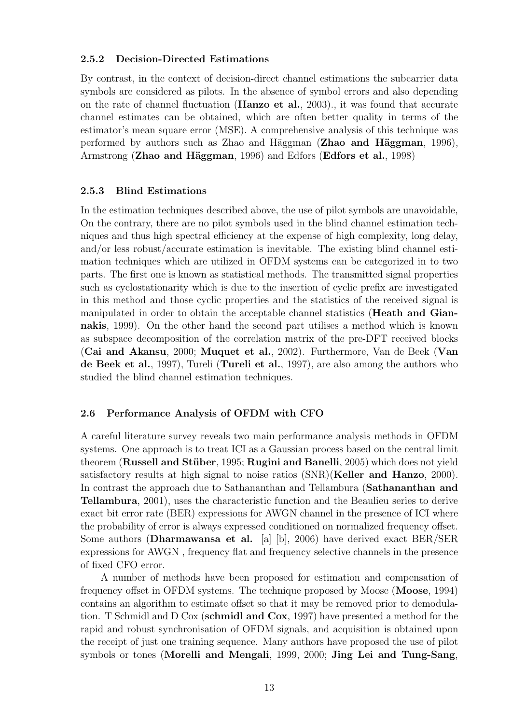### **2.5.2 Decision-Directed Estimations**

By contrast, in the context of decision-direct channel estimations the subcarrier data symbols are considered as pilots. In the absence of symbol errors and also depending on the rate of channel fluctuation (**Hanzo et al.**, 2003)., it was found that accurate channel estimates can be obtained, which are often better quality in terms of the estimator's mean square error (MSE). A comprehensive analysis of this technique was performed by authors such as Zhao and H¨aggman (**Zhao and H¨aggman**, 1996), Armstrong (**Zhao and H¨aggman**, 1996) and Edfors (**Edfors et al.**, 1998)

### **2.5.3 Blind Estimations**

In the estimation techniques described above, the use of pilot symbols are unavoidable, On the contrary, there are no pilot symbols used in the blind channel estimation techniques and thus high spectral efficiency at the expense of high complexity, long delay, and/or less robust/accurate estimation is inevitable. The existing blind channel estimation techniques which are utilized in OFDM systems can be categorized in to two parts. The first one is known as statistical methods. The transmitted signal properties such as cyclostationarity which is due to the insertion of cyclic prefix are investigated in this method and those cyclic properties and the statistics of the received signal is manipulated in order to obtain the acceptable channel statistics (**Heath and Giannakis**, 1999). On the other hand the second part utilises a method which is known as subspace decomposition of the correlation matrix of the pre-DFT received blocks (**Cai and Akansu**, 2000; **Muquet et al.**, 2002). Furthermore, Van de Beek (**Van de Beek et al.**, 1997), Tureli (**Tureli et al.**, 1997), are also among the authors who studied the blind channel estimation techniques.

### **2.6 Performance Analysis of OFDM with CFO**

A careful literature survey reveals two main performance analysis methods in OFDM systems. One approach is to treat ICI as a Gaussian process based on the central limit theorem (**Russell and St¨uber**, 1995; **Rugini and Banelli**, 2005) which does not yield satisfactory results at high signal to noise ratios (SNR)(**Keller and Hanzo**, 2000). In contrast the approach due to Sathananthan and Tellambura (**Sathananthan and Tellambura**, 2001), uses the characteristic function and the Beaulieu series to derive exact bit error rate (BER) expressions for AWGN channel in the presence of ICI where the probability of error is always expressed conditioned on normalized frequency offset. Some authors (**Dharmawansa et al.** [a] [b], 2006) have derived exact BER/SER expressions for AWGN , frequency flat and frequency selective channels in the presence of fixed CFO error.

A number of methods have been proposed for estimation and compensation of frequency offset in OFDM systems. The technique proposed by Moose (**Moose**, 1994) contains an algorithm to estimate offset so that it may be removed prior to demodulation. T Schmidl and D Cox (**schmidl and Cox**, 1997) have presented a method for the rapid and robust synchronisation of OFDM signals, and acquisition is obtained upon the receipt of just one training sequence. Many authors have proposed the use of pilot symbols or tones (**Morelli and Mengali**, 1999, 2000; **Jing Lei and Tung-Sang**,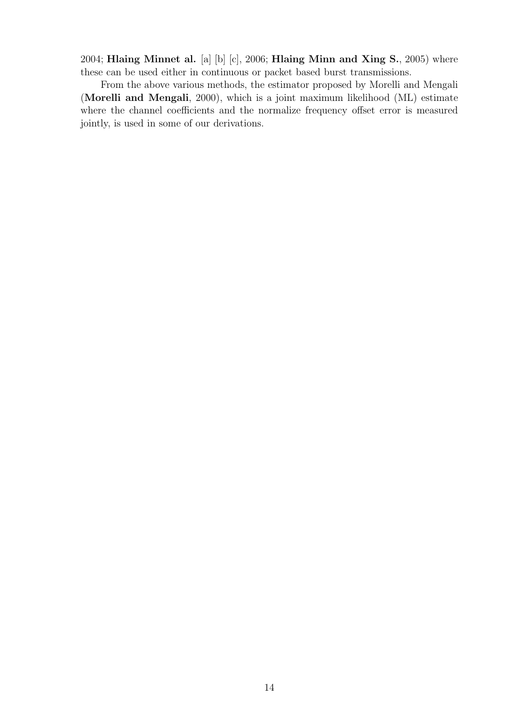2004; **Hlaing Minnet al.** [a] [b] [c], 2006; **Hlaing Minn and Xing S.**, 2005) where these can be used either in continuous or packet based burst transmissions.

From the above various methods, the estimator proposed by Morelli and Mengali (**Morelli and Mengali**, 2000), which is a joint maximum likelihood (ML) estimate where the channel coefficients and the normalize frequency offset error is measured jointly, is used in some of our derivations.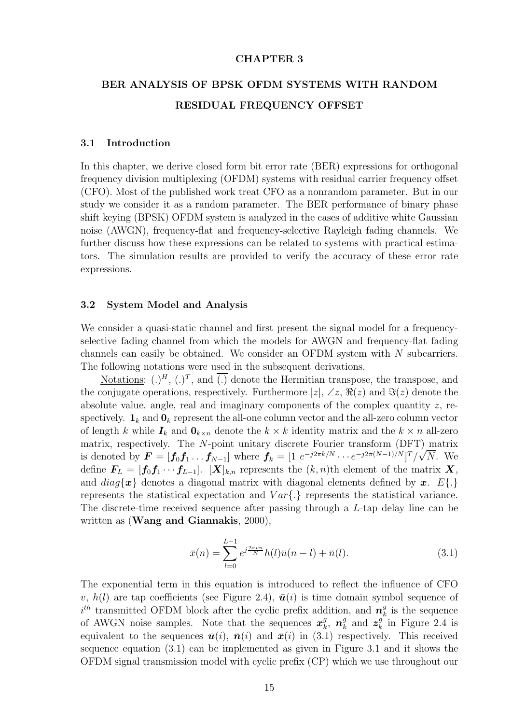### **CHAPTER 3**

## **BER ANALYSIS OF BPSK OFDM SYSTEMS WITH RANDOM RESIDUAL FREQUENCY OFFSET**

#### **3.1 Introduction**

In this chapter, we derive closed form bit error rate (BER) expressions for orthogonal frequency division multiplexing (OFDM) systems with residual carrier frequency offset (CFO). Most of the published work treat CFO as a nonrandom parameter. But in our study we consider it as a random parameter. The BER performance of binary phase shift keying (BPSK) OFDM system is analyzed in the cases of additive white Gaussian noise (AWGN), frequency-flat and frequency-selective Rayleigh fading channels. We further discuss how these expressions can be related to systems with practical estimators. The simulation results are provided to verify the accuracy of these error rate expressions.

### **3.2 System Model and Analysis**

We consider a quasi-static channel and first present the signal model for a frequencyselective fading channel from which the models for AWGN and frequency-flat fading channels can easily be obtained. We consider an OFDM system with N subcarriers. The following notations were used in the subsequent derivations.

Notations:  $(.)^H$ ,  $(.)^T$ , and  $\overline{(.)}$  denote the Hermitian transpose, the transpose, and the conjugate operations, respectively. Furthermore  $|z|$ ,  $\angle z$ ,  $\Re(z)$  and  $\Im(z)$  denote the absolute value, angle, real and imaginary components of the complex quantity  $z$ , respectively.  $\mathbf{1}_k$  and  $\mathbf{0}_k$  represent the all-one column vector and the all-zero column vector of length k while  $I_k$  and  $\mathbf{0}_{k \times n}$  denote the  $k \times k$  identity matrix and the  $k \times n$  all-zero matrix, respectively. The N-point unitary discrete Fourier transform  $(DFT)$  matrix is denoted by  $\mathbf{F} = [\mathbf{f}_0 \mathbf{f}_1 \dots \mathbf{f}_{N-1}]$  where  $\mathbf{f}_k = [1 \ e^{-j2\pi k/N} \cdots e^{-j2\pi(N-1)/N}]^T/\sqrt{N}$ . We define  $\mathbf{F}_L = [\mathbf{f}_0 \mathbf{f}_1 \cdots \mathbf{f}_{L-1}]$ .  $[\mathbf{X}]_{k,n}$  represents the  $(k,n)$ th element of the matrix  $\mathbf{X}_k$ , and  $diag{\lbrace x \rbrace}$  denotes a diagonal matrix with diagonal elements defined by *x*.  $E{\lbrace . \rbrace}$ represents the statistical expectation and  $Var\{\cdot\}$  represents the statistical variance. The discrete-time received sequence after passing through a L-tap delay line can be written as (**Wang and Giannakis**, 2000),

$$
\bar{x}(n) = \sum_{l=0}^{L-1} e^{j\frac{2\pi vn}{N}} h(l)\bar{u}(n-l) + \bar{n}(l). \tag{3.1}
$$

The exponential term in this equation is introduced to reflect the influence of CFO v,  $h(l)$  are tap coefficients (see Figure 2.4),  $\bar{u}(i)$  is time domain symbol sequence of  $i^{th}$  transmitted OFDM block after the cyclic prefix addition, and  $n_k^g$  is the sequence<br>of AWCN poise samples. Note that the sequences  $x^g$ ,  $x^g$  and  $z^g$  in Figure 2.4 is of AWGN noise samples. Note that the sequences  $x_k^g$ ,  $n_k^g$  and  $z_k^g$  in Figure 2.4 is<br>conjugate to the sequences  $\bar{y}(i)$ ,  $\bar{y}(i)$  and  $\bar{y}(i)$  in (2.1) respectively. This required equivalent to the sequences  $\bar{u}(i)$ ,  $\bar{n}(i)$  and  $\bar{x}(i)$  in (3.1) respectively. This received sequence equation (3.1) can be implemented as given in Figure 3.1 and it shows the OFDM signal transmission model with cyclic prefix (CP) which we use throughout our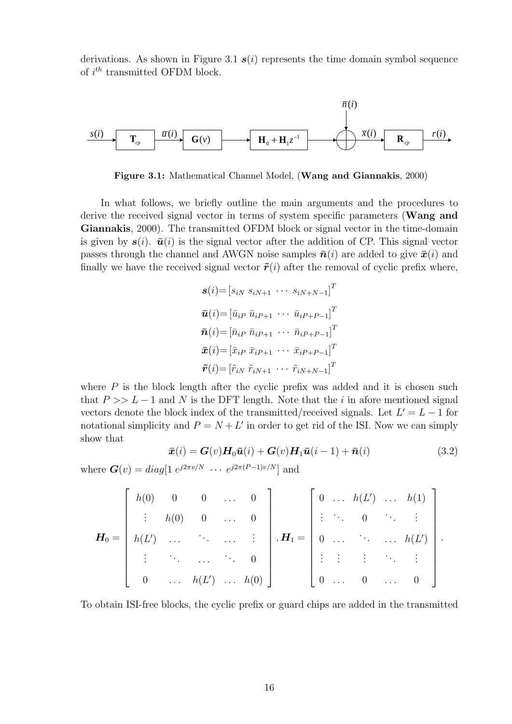derivations. As shown in Figure 3.1  $s(i)$  represents the time domain symbol sequence of  $i^{th}$  transmitted OFDM block.



**Figure 3.1:** Mathematical Channel Model, (**Wang and Giannakis**, 2000)

In what follows, we briefly outline the main arguments and the procedures to derive the received signal vector in terms of system specific parameters (**Wang and Giannakis**, 2000). The transmitted OFDM block or signal vector in the time-domain is given by  $s(i)$ .  $\bar{u}(i)$  is the signal vector after the addition of CP. This signal vector passes through the channel and AWGN noise samples  $\bar{n}(i)$  are added to give  $\bar{x}(i)$  and finally we have the received signal vector  $\tilde{r}(i)$  after the removal of cyclic prefix where,

$$
\mathbf{s}(i) = [s_{iN} \ s_{iN+1} \ \cdots \ s_{iN+N-1}]^T
$$
  
\n
$$
\bar{\mathbf{u}}(i) = [\bar{u}_{iP} \ \bar{u}_{iP+1} \ \cdots \ \bar{u}_{iP+P-1}]^T
$$
  
\n
$$
\bar{\mathbf{n}}(i) = [\bar{n}_{iP} \ \bar{n}_{iP+1} \ \cdots \ \bar{n}_{iP+P-1}]^T
$$
  
\n
$$
\bar{\mathbf{v}}(i) = [\bar{x}_{iP} \ \bar{x}_{iP+1} \ \cdots \ \bar{x}_{iP+P-1}]^T
$$
  
\n
$$
\tilde{\mathbf{r}}(i) = [\tilde{r}_{iN} \ \tilde{r}_{iN+1} \ \cdots \ \tilde{r}_{iN+N-1}]^T
$$

where  $P$  is the block length after the cyclic prefix was added and it is chosen such that  $P >> L - 1$  and N is the DFT length. Note that the i in afore mentioned signal vectors denote the block index of the transmitted/received signals. Let  $L' = L - 1$  for notational simplicity and  $P = N + L'$  in order to get rid of the ISI. Now we can simply show that

$$
\bar{\boldsymbol{x}}(i) = \boldsymbol{G}(v) \boldsymbol{H}_0 \bar{\boldsymbol{u}}(i) + \boldsymbol{G}(v) \boldsymbol{H}_1 \bar{\boldsymbol{u}}(i-1) + \bar{\boldsymbol{n}}(i)
$$
(3.2)

where  $G(v) = diag[1 e^{j2\pi v/N} \cdots e^{j2\pi (P-1)v/N}]$  and

$$
\boldsymbol{H}_0 = \begin{bmatrix} h(0) & 0 & 0 & \dots & 0 \\ \vdots & h(0) & 0 & \dots & 0 \\ h(L') & \dots & \dots & \dots & \vdots \\ \vdots & \vdots & \dots & \dots & 0 \\ 0 & \dots & h(L') & \dots & h(0) \end{bmatrix}, \boldsymbol{H}_1 = \begin{bmatrix} 0 & \dots & h(L') & \dots & h(1) \\ \vdots & \ddots & 0 & \ddots & \vdots \\ 0 & \dots & \dots & \dots & h(L') \\ \vdots & \vdots & \vdots & \ddots & \vdots \\ 0 & \dots & 0 & \dots & 0 \end{bmatrix}.
$$

To obtain ISI-free blocks, the cyclic prefix or guard chips are added in the transmitted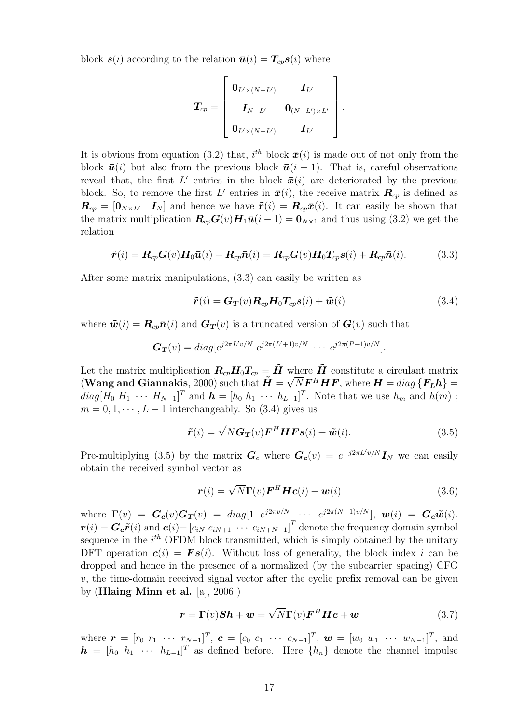block  $s(i)$  according to the relation  $\bar{u}(i) = T_{cp}s(i)$  where

$$
\boldsymbol{T_{cp}} = \left[ \begin{array}{ccc} \boldsymbol{0}_{L' \times (N-L')} & \boldsymbol{I_{L'}} \\ \boldsymbol{I_{N-L'}} & \boldsymbol{0}_{(N-L') \times L'} \\ \boldsymbol{0}_{L' \times (N-L')} & \boldsymbol{I_{L'}} \end{array} \right].
$$

It is obvious from equation (3.2) that,  $i^{th}$  block  $\bar{x}(i)$  is made out of not only from the block  $\bar{u}(i)$  but also from the previous block  $\bar{u}(i - 1)$ . That is, careful observations reveal that, the first  $L'$  entries in the block  $\bar{x}(i)$  are deteriorated by the previous block. So, to remove the first L' entries in  $\bar{x}(i)$ , the receive matrix  $R_{cp}$  is defined as  $\boldsymbol{R}_{cp} = [\boldsymbol{0}_{N \times L'} \quad \boldsymbol{I}_N]$  and hence we have  $\tilde{\boldsymbol{r}}(i) = \boldsymbol{R}_{cp} \bar{\boldsymbol{x}}(i)$ . It can easily be shown that the matrix multiplication  $\mathbf{R}_{cp}\mathbf{G}(v)\mathbf{H}_1\bar{\mathbf{u}}(i-1) = \mathbf{0}_{N\times1}$  and thus using (3.2) we get the relation

$$
\tilde{\boldsymbol{r}}(i) = \boldsymbol{R}_{cp}\boldsymbol{G}(v)\boldsymbol{H}_0\bar{\boldsymbol{u}}(i) + \boldsymbol{R}_{cp}\bar{\boldsymbol{n}}(i) = \boldsymbol{R}_{cp}\boldsymbol{G}(v)\boldsymbol{H}_0\boldsymbol{T}_{cp}\boldsymbol{s}(i) + \boldsymbol{R}_{cp}\bar{\boldsymbol{n}}(i).
$$
(3.3)

After some matrix manipulations, (3.3) can easily be written as

$$
\tilde{\boldsymbol{r}}(i) = \boldsymbol{G}_{\boldsymbol{T}}(v) \boldsymbol{R}_{cp} \boldsymbol{H}_0 \boldsymbol{T}_{cp} \boldsymbol{s}(i) + \tilde{\boldsymbol{w}}(i)
$$
\n(3.4)

where  $\tilde{\bm{w}}(i) = \bm{R}_{cp} \bar{\bm{n}}(i)$  and  $\bm{G}_{\bm{T}}(v)$  is a truncated version of  $\bm{G}(v)$  such that

$$
G_T(v) = diag[e^{j2\pi L'v/N} \ e^{j2\pi (L'+1)v/N} \ \cdots \ e^{j2\pi (P-1)v/N}].
$$

Let the matrix multiplication  $R_{cp}H_0T_{cp} = \tilde{H}$  where  $\tilde{H}$  constitute a circulant matrix Let the matrix multiplication  $\mathbf{R}_{cp}\mathbf{H}_0\mathbf{I}_{cp} = \mathbf{H}$  where  $\mathbf{H}$  constitute a circulant matrix (Wang and Giannakis, 2000) such that  $\tilde{\mathbf{H}} = \sqrt{N} \mathbf{F}^H \mathbf{H} \mathbf{F}$ , where  $\mathbf{H} = diag\left\{\mathbf{F_L}\mathbf{h}\right\} =$  $diag[H_0 H_1 \cdots H_{N-1}]^T$  and  $\boldsymbol{h} = [h_0 h_1 \cdots h_{L-1}]^T$ . Note that we use  $h_m$  and  $h(m)$ ;  $m = 0, 1, \dots, L - 1$  interchangeably. So (3.4) gives us

$$
\tilde{\boldsymbol{r}}(i) = \sqrt{N} \boldsymbol{G_T}(v) \boldsymbol{F}^H \boldsymbol{H} \boldsymbol{F} \boldsymbol{s}(i) + \tilde{\boldsymbol{w}}(i). \tag{3.5}
$$

Pre-multiplying (3.5) by the matrix  $G_c$  where  $G_c(v) = e^{-j2\pi L'v/N} I_N$  we can easily obtain the received symbol vector as

$$
\boldsymbol{r}(i) = \sqrt{N} \boldsymbol{\Gamma}(v) \boldsymbol{F}^H \boldsymbol{H} \boldsymbol{c}(i) + \boldsymbol{w}(i)
$$
\n(3.6)

where  $\mathbf{\Gamma}(v) = \mathbf{G_c}(v)\mathbf{G_T}(v) = diag[1 \ e^{j2\pi v/N} \ \cdots \ e^{j2\pi (N-1)v/N}], \ \bm{w}(i) = \mathbf{G_c}\tilde{\bm{w}}(i),$  $\boldsymbol{r}(i) = \boldsymbol{G_c}\tilde{\boldsymbol{r}}(i)$  and  $\boldsymbol{c}(i) = [c_{iN} \ c_{iN+1} \ \cdots \ c_{iN+N-1}]^T$  denote the frequency domain symbol sequence in the  $i<sup>th</sup>$  OFDM block transmitted, which is simply obtained by the unitary DFT operation  $c(i) = Fs(i)$ . Without loss of generality, the block index i can be dropped and hence in the presence of a normalized (by the subcarrier spacing) CFO  $v$ , the time-domain received signal vector after the cyclic prefix removal can be given by (**Hlaing Minn et al.** [a], 2006 )

$$
\boldsymbol{r} = \boldsymbol{\Gamma}(v)\boldsymbol{S}\boldsymbol{h} + \boldsymbol{w} = \sqrt{N}\boldsymbol{\Gamma}(v)\boldsymbol{F}^H\boldsymbol{H}\boldsymbol{c} + \boldsymbol{w}
$$
 (3.7)

where  $\mathbf{r} = [r_0 \ r_1 \ \cdots \ r_{N-1}]^T$ ,  $\mathbf{c} = [c_0 \ c_1 \ \cdots \ c_{N-1}]^T$ ,  $\mathbf{w} = [w_0 \ w_1 \ \cdots \ w_{N-1}]^T$ , and  $h = [h_0 \; h_1 \; \cdots \; h_{L-1}]^T$  as defined before. Here  $\{h_n\}$  denote the channel impulse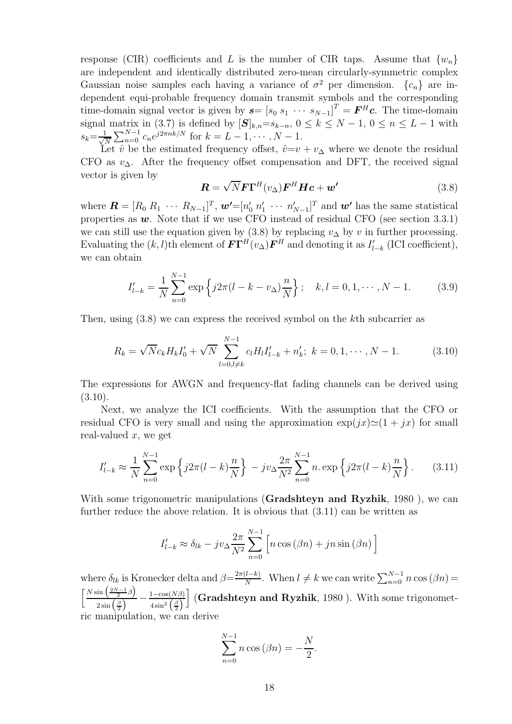response (CIR) coefficients and L is the number of CIR taps. Assume that  $\{w_n\}$ are independent and identically distributed zero-mean circularly-symmetric complex Gaussian noise samples each having a variance of  $\sigma^2$  per dimension.  $\{c_n\}$  are independent equi-probable frequency domain transmit symbols and the corresponding time-domain signal vector is given by  $\mathbf{s} = [s_0 \ s_1 \ \cdots \ s_{N-1}]^T = \mathbf{F}^H \mathbf{c}$ . The time-domain signal matrix in (3.7) is defined by  $[\mathbf{S}]_{k,n} = s_{k-n}, 0 \le k \le N-1, 0 \le n \le L-1$  with  $s_k = \frac{1}{\sqrt{i}}$  $\frac{1}{\sqrt{N}} \sum_{n=0}^{N-1} c_n e^{j2\pi nk/N}$  for  $k = L - 1, \dots, N - 1$ .<br>Let  $\hat{v}$  be the estimated frequency offset,  $\hat{v} = v + v_{\Delta}$  where we denote the residual

N CFO as  $v_{\Delta}$ . After the frequency offset compensation and DFT, the received signal vector is given by

$$
\mathbf{R} = \sqrt{N} \mathbf{F} \mathbf{\Gamma}^{H} (v_{\Delta}) \mathbf{F}^{H} \mathbf{H} \mathbf{c} + \mathbf{w'} \tag{3.8}
$$

where  $\mathbf{R} = [R_0 \, R_1 \, \cdots \, R_{N-1}]^T$ ,  $\mathbf{w'} = [n'_0 \, n'_1 \, \cdots \, n'_{N-1}]^T$  and  $\mathbf{w'}$  has the same statistical<br>properties as  $\mathbf{w}$ . Note that if we use CEO instead of residual CEO (see section 3.3.1) properties as  $w$ . Note that if we use CFO instead of residual CFO (see section 3.3.1) we can still use the equation given by (3.8) by replacing  $v_{\Delta}$  by v in further processing. Evaluating the  $(k, l)$ th element of  $\mathbf{F}\mathbf{\Gamma}^H(v_\Delta)\mathbf{F}^H$  and denoting it as  $I'_{l-k}$  (ICI coefficient), we can obtain

$$
I'_{l-k} = \frac{1}{N} \sum_{n=0}^{N-1} \exp\left\{ j2\pi (l - k - v_{\Delta}) \frac{n}{N} \right\}; \quad k, l = 0, 1, \cdots, N-1.
$$
 (3.9)

Then, using (3.8) we can express the received symbol on the kth subcarrier as

$$
R_k = \sqrt{N}c_k H_k I_0' + \sqrt{N} \sum_{l=0, l \neq k}^{N-1} c_l H_l I_{l-k}' + n_k'; \ k = 0, 1, \cdots, N-1.
$$
 (3.10)

The expressions for AWGN and frequency-flat fading channels can be derived using  $(3.10).$ 

Next, we analyze the ICI coefficients. With the assumption that the CFO or residual CFO is very small and using the approximation  $\exp(jx)\simeq(1+jx)$  for small real-valued  $x$ , we get

$$
I'_{l-k} \approx \frac{1}{N} \sum_{n=0}^{N-1} \exp\left\{ j2\pi (l-k) \frac{n}{N} \right\} - jv_{\Delta} \frac{2\pi}{N^2} \sum_{n=0}^{N-1} n \exp\left\{ j2\pi (l-k) \frac{n}{N} \right\}.
$$
 (3.11)

With some trigonometric manipulations (**Gradshteyn and Ryzhik**, 1980 ), we can further reduce the above relation. It is obvious that (3.11) can be written as

$$
I'_{l-k} \approx \delta_{lk} - jv_{\Delta} \frac{2\pi}{N^2} \sum_{n=0}^{N-1} \left[ n \cos{(\beta n)} + jn \sin{(\beta n)} \right]
$$

where  $\delta_{lk}$  is Kronecker delta and  $\beta = \frac{2\pi (l-k)}{N}$ . When  $l \neq k$  we can write  $\sum_{n=0}^{N-1} n \cos(\beta n) =$  $\left[\frac{N\sin\left(\frac{2N-1}{2}\beta\right)}{\left(\frac{N}{2}\right)}\right]$  $rac{\sin\left(\frac{\beta}{2}\right)}{2\sin\left(\frac{\beta}{2}\right)} - \frac{1-\cos(N\beta)}{4\sin^2\left(\frac{\beta}{2}\right)}$  (**Gradshteyn and Ryzhik**, 1980 ). With some trigonometric manipulation, we can derive

$$
\sum_{n=0}^{N-1} n \cos(\beta n) = -\frac{N}{2}.
$$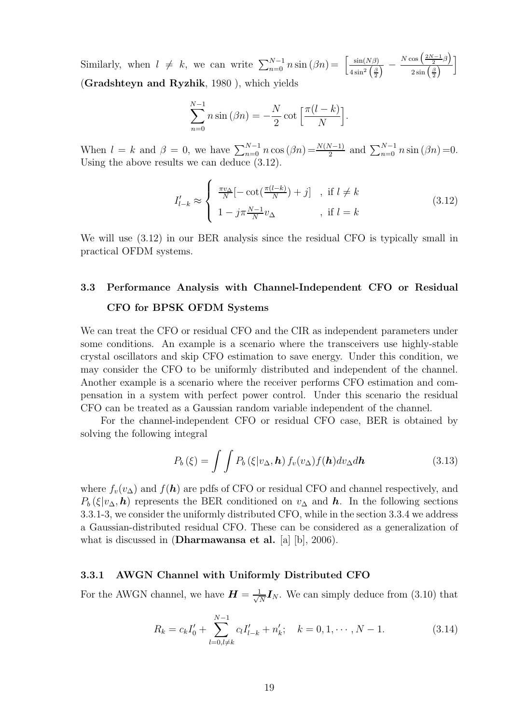Similarly, when  $l \neq k$ , we can write  $\sum_{n=0}^{N-1} n \sin(\beta n) = \left[\frac{\sin(N\beta)}{4 \sin^2(\frac{\beta}{2})} - \frac{N \cos(\frac{2N-1}{2})}{2 \sin(\frac{\beta}{2})}\right]$  $\frac{\sqrt{1-1}}{2} \beta$  $\frac{\cos\left(\frac{2N-1}{2}\beta\right)}{2\sin\left(\frac{\beta}{2}\right)}\right]$ (**Gradshteyn and Ryzhik**, 1980 ), which yields

$$
\sum_{n=0}^{N-1} n \sin (\beta n) = -\frac{N}{2} \cot \left[ \frac{\pi (l-k)}{N} \right].
$$

When  $l = k$  and  $\beta = 0$ , we have  $\sum_{n=0}^{N-1} n \cos(\beta n) = \frac{N(N-1)}{2}$  and  $\sum_{n=0}^{N-1} n \sin(\beta n) = 0$ . Using the above results we can deduce (3.12).

$$
I'_{l-k} \approx \begin{cases} \frac{\pi v_{\Delta}}{N} [-\cot(\frac{\pi(l-k)}{N}) + j] & , \text{ if } l \neq k \\ 1 - j\pi \frac{N-1}{N} v_{\Delta} & , \text{ if } l = k \end{cases}
$$
 (3.12)

We will use (3.12) in our BER analysis since the residual CFO is typically small in practical OFDM systems.

## **3.3 Performance Analysis with Channel-Independent CFO or Residual CFO for BPSK OFDM Systems**

We can treat the CFO or residual CFO and the CIR as independent parameters under some conditions. An example is a scenario where the transceivers use highly-stable crystal oscillators and skip CFO estimation to save energy. Under this condition, we may consider the CFO to be uniformly distributed and independent of the channel. Another example is a scenario where the receiver performs CFO estimation and compensation in a system with perfect power control. Under this scenario the residual CFO can be treated as a Gaussian random variable independent of the channel.

For the channel-independent CFO or residual CFO case, BER is obtained by solving the following integral

$$
P_b(\xi) = \int \int P_b(\xi|v_\Delta, \mathbf{h}) f_v(v_\Delta) f(\mathbf{h}) dv_\Delta d\mathbf{h}
$$
 (3.13)

where  $f_v(v_\Delta)$  and  $f(\mathbf{h})$  are pdfs of CFO or residual CFO and channel respectively, and  $P_b(\xi|v_\Delta, h)$  represents the BER conditioned on  $v_\Delta$  and *h*. In the following sections 3.3.1-3, we consider the uniformly distributed CFO, while in the section 3.3.4 we address a Gaussian-distributed residual CFO. These can be considered as a generalization of what is discussed in (**Dharmawansa et al.** [a] [b], 2006).

### **3.3.1 AWGN Channel with Uniformly Distributed CFO**

For the AWGN channel, we have  $\boldsymbol{H} = \frac{1}{\sqrt{N}} \boldsymbol{I}_N$ . We can simply deduce from (3.10) that

$$
R_k = c_k I'_0 + \sum_{l=0, l \neq k}^{N-1} c_l I'_{l-k} + n'_k; \quad k = 0, 1, \cdots, N-1.
$$
 (3.14)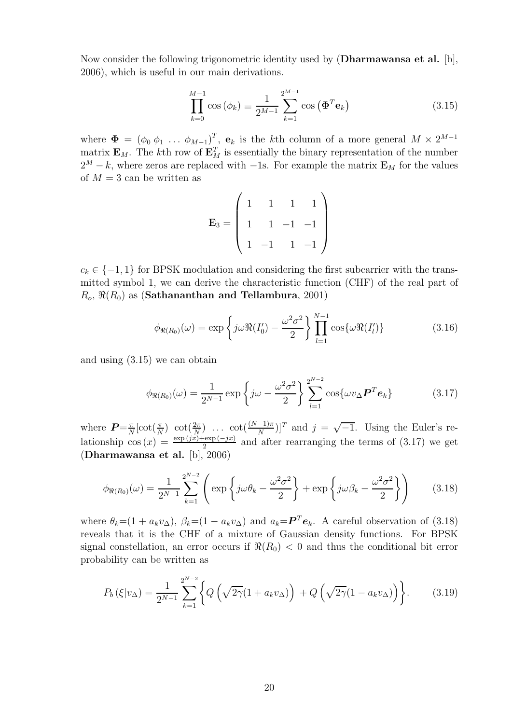Now consider the following trigonometric identity used by (**Dharmawansa et al.** [b], 2006), which is useful in our main derivations.

$$
\prod_{k=0}^{M-1} \cos (\phi_k) \equiv \frac{1}{2^{M-1}} \sum_{k=1}^{2^{M-1}} \cos (\mathbf{\Phi}^T \mathbf{e}_k)
$$
 (3.15)

where  $\mathbf{\Phi} = (\phi_0 \phi_1 \dots \phi_{M-1})^T$ ,  $\mathbf{e}_k$  is the kth column of a more general  $M \times 2^{M-1}$ matrix  $\mathbf{E}_M$ . The kth row of  $\mathbf{E}_M^T$  is essentially the binary representation of the number  $2^M$ , the whose gaps are replaced with the Form example the matrix  $\mathbf{F}$  for the values  $2^M - k$ , where zeros are replaced with  $-1$ s. For example the matrix **E**<sub>M</sub> for the values of  $M = 3$  can be written as

$$
\mathbf{E}_3 = \left( \begin{array}{rrrr} 1 & 1 & 1 & 1 \\ 1 & 1 & -1 & -1 \\ 1 & -1 & 1 & -1 \end{array} \right)
$$

 $c_k \in \{-1,1\}$  for BPSK modulation and considering the first subcarrier with the transmitted symbol 1, we can derive the characteristic function (CHF) of the real part of  $R_o$ ,  $\Re(R_0)$  as (**Sathananthan and Tellambura**, 2001)

$$
\phi_{\Re(R_0)}(\omega) = \exp\left\{j\omega\Re(I'_0) - \frac{\omega^2\sigma^2}{2}\right\} \prod_{l=1}^{N-1} \cos\{\omega\Re(I'_l)\}\tag{3.16}
$$

and using (3.15) we can obtain

$$
\phi_{\Re(R_0)}(\omega) = \frac{1}{2^{N-1}} \exp\left\{j\omega - \frac{\omega^2 \sigma^2}{2}\right\} \sum_{l=1}^{2^{N-2}} \cos\{\omega v_{\Delta} \boldsymbol{P}^T \boldsymbol{e}_k\}
$$
(3.17)

where  $P = \frac{\pi}{N} [\cot(\frac{\pi}{N}) \ \cot(\frac{2\pi}{N}) \ \ldots \ \cot(\frac{(N-1)\pi}{N})]^T$  and  $j = \sqrt{-1}$ . Using the Euler's relationship cos  $(x) = \frac{\exp(jx) + \exp(-jx)}{2}$  and after rearranging the terms of (3.17) we get (**Dharmawansa et al.** [b], 2006)

$$
\phi_{\Re(R_0)}(\omega) = \frac{1}{2^{N-1}} \sum_{k=1}^{2^{N-2}} \left( \exp\left\{ j\omega\theta_k - \frac{\omega^2 \sigma^2}{2} \right\} + \exp\left\{ j\omega\beta_k - \frac{\omega^2 \sigma^2}{2} \right\} \right) \tag{3.18}
$$

where  $\theta_k = (1 + a_k v_\Delta)$ ,  $\beta_k = (1 - a_k v_\Delta)$  and  $a_k = P^T e_k$ . A careful observation of (3.18) reveals that it is the CHF of a mixture of Gaussian density functions. For BPSK signal constellation, an error occurs if  $\Re(R_0) < 0$  and thus the conditional bit error probability can be written as

$$
P_b(\xi|v_{\Delta}) = \frac{1}{2^{N-1}} \sum_{k=1}^{2^{N-2}} \left\{ Q\left(\sqrt{2\gamma}(1 + a_k v_{\Delta})\right) + Q\left(\sqrt{2\gamma}(1 - a_k v_{\Delta})\right) \right\}.
$$
 (3.19)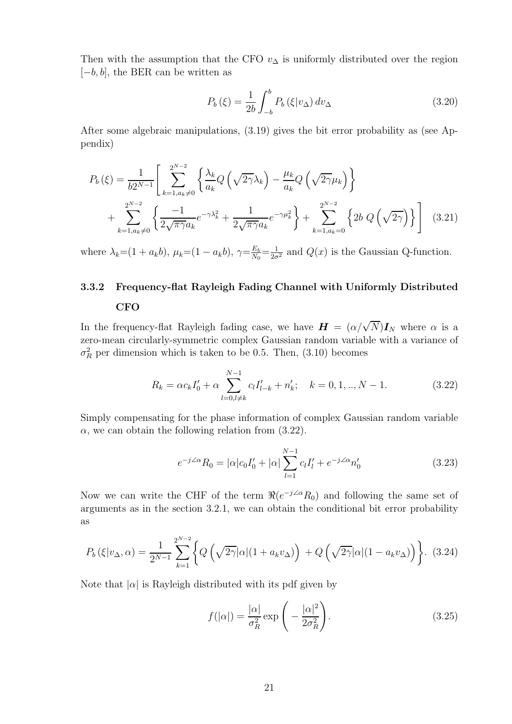Then with the assumption that the CFO  $v_{\Delta}$  is uniformly distributed over the region  $[-b, b]$ , the BER can be written as

$$
P_b(\xi) = \frac{1}{2b} \int_{-b}^{b} P_b(\xi | v_\Delta) dv_\Delta \tag{3.20}
$$

After some algebraic manipulations, (3.19) gives the bit error probability as (see Appendix)

$$
P_b(\xi) = \frac{1}{b2^{N-1}} \left[ \sum_{k=1, a_k \neq 0}^{2^{N-2}} \left\{ \frac{\lambda_k}{a_k} Q\left(\sqrt{2\gamma} \lambda_k\right) - \frac{\mu_k}{a_k} Q\left(\sqrt{2\gamma} \mu_k\right) \right\} + \sum_{k=1, a_k \neq 0}^{2^{N-2}} \left\{ \frac{-1}{2\sqrt{\pi \gamma} a_k} e^{-\gamma \lambda_k^2} + \frac{1}{2\sqrt{\pi \gamma} a_k} e^{-\gamma \mu_k^2} \right\} + \sum_{k=1, a_k = 0}^{2^{N-2}} \left\{ 2b \ Q\left(\sqrt{2\gamma}\right) \right\} \right] \tag{3.21}
$$

where  $\lambda_k = (1 + a_k b)$ ,  $\mu_k = (1 - a_k b)$ ,  $\gamma = \frac{E_b}{N_0} = \frac{1}{2\sigma^2}$  and  $Q(x)$  is the Gaussian Q-function.

## **3.3.2 Frequency-flat Rayleigh Fading Channel with Uniformly Distributed CFO**

In the frequency-flat Rayleigh fading case, we have  $H = (\alpha/\sqrt{N})I_N$  where  $\alpha$  is a zero-mean circularly-symmetric complex Gaussian random variable with a variance of  $\sigma_R^2$  per dimension which is taken to be 0.5. Then, (3.10) becomes

$$
R_k = \alpha c_k I_0' + \alpha \sum_{l=0, l \neq k}^{N-1} c_l I_{l-k}' + n_k'; \quad k = 0, 1, ..., N-1.
$$
 (3.22)

Simply compensating for the phase information of complex Gaussian random variable  $\alpha$ , we can obtain the following relation from (3.22).

$$
e^{-j\angle\alpha}R_0 = |\alpha|c_0I'_0 + |\alpha|\sum_{l=1}^{N-1} c_lI'_l + e^{-j\angle\alpha}n'_0
$$
\n(3.23)

Now we can write the CHF of the term  $\Re(e^{-j\angle\alpha}R_0)$  and following the same set of arguments as in the section 3.2.1, we can obtain the conditional bit error probability as

$$
P_b\left(\xi|v_\Delta,\alpha\right) = \frac{1}{2^{N-1}} \sum_{k=1}^{2^{N-2}} \left\{ Q\left(\sqrt{2\gamma}|\alpha|(1+a_k v_\Delta)\right) + Q\left(\sqrt{2\gamma}|\alpha|(1-a_k v_\Delta)\right) \right\}.
$$
 (3.24)

Note that  $|\alpha|$  is Rayleigh distributed with its pdf given by

$$
f(|\alpha|) = \frac{|\alpha|}{\sigma_R^2} \exp\left(-\frac{|\alpha|^2}{2\sigma_R^2}\right).
$$
 (3.25)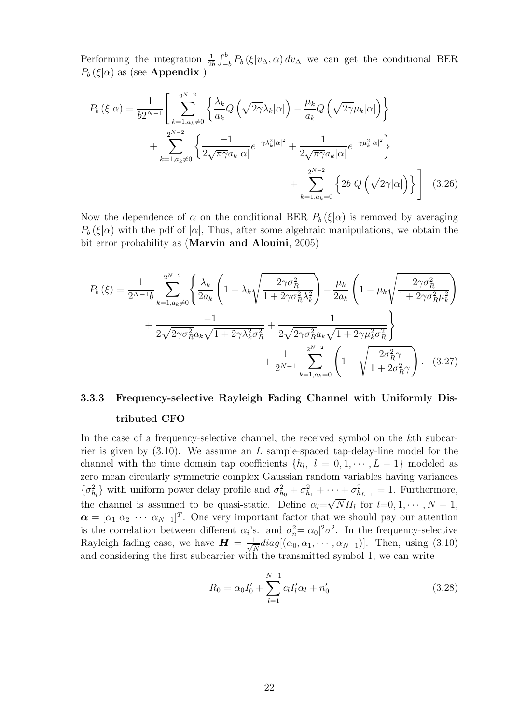Performing the integration  $\frac{1}{2}$  $\frac{1}{2b} \int_{-b}^{b} P_b(\xi | v_\Delta, \alpha) dv_\Delta$  we can get the conditional BER  $P_b(\xi|\alpha)$  as (see **Appendix**)

$$
P_b(\xi|\alpha) = \frac{1}{b2^{N-1}} \left[ \sum_{k=1, a_k \neq 0}^{2^{N-2}} \left\{ \frac{\lambda_k}{a_k} Q\left(\sqrt{2\gamma} \lambda_k|\alpha|\right) - \frac{\mu_k}{a_k} Q\left(\sqrt{2\gamma} \mu_k|\alpha|\right) \right\} + \sum_{k=1, a_k \neq 0}^{2^{N-2}} \left\{ \frac{-1}{2\sqrt{\pi \gamma} a_k|\alpha|} e^{-\gamma \lambda_k^2 |\alpha|^2} + \frac{1}{2\sqrt{\pi \gamma} a_k|\alpha|} e^{-\gamma \mu_k^2 |\alpha|^2} \right\} + \sum_{k=1, a_k = 0}^{2^{N-2}} \left\{ 2b \ Q\left(\sqrt{2\gamma}|\alpha|\right) \right\} \right] \tag{3.26}
$$

Now the dependence of  $\alpha$  on the conditional BER  $P_b(\xi|\alpha)$  is removed by averaging  $P_b(\xi|\alpha)$  with the pdf of  $|\alpha|$ , Thus, after some algebraic manipulations, we obtain the bit error probability as (**Marvin and Alouini**, 2005)

$$
P_b(\xi) = \frac{1}{2^{N-1}b} \sum_{k=1, a_k \neq 0}^{2^{N-2}} \left\{ \frac{\lambda_k}{2a_k} \left( 1 - \lambda_k \sqrt{\frac{2\gamma \sigma_R^2}{1 + 2\gamma \sigma_R^2 \lambda_k^2}} \right) - \frac{\mu_k}{2a_k} \left( 1 - \mu_k \sqrt{\frac{2\gamma \sigma_R^2}{1 + 2\gamma \sigma_R^2 \mu_k^2}} \right) \right. \\
\left. + \frac{-1}{2\sqrt{2\gamma \sigma_R^2 a_k} \sqrt{1 + 2\gamma \lambda_k^2 \sigma_R^2}} + \frac{1}{2\sqrt{2\gamma \sigma_R^2 a_k} \sqrt{1 + 2\gamma \mu_k^2 \sigma_R^2}} \right\} \\
+ \frac{1}{2^{N-1}} \sum_{k=1, a_k = 0}^{2^{N-2}} \left( 1 - \sqrt{\frac{2\sigma_R^2 \gamma}{1 + 2\sigma_R^2 \gamma}} \right). \tag{3.27}
$$

## **3.3.3 Frequency-selective Rayleigh Fading Channel with Uniformly Distributed CFO**

In the case of a frequency-selective channel, the received symbol on the kth subcarrier is given by  $(3.10)$ . We assume an L sample-spaced tap-delay-line model for the channel with the time domain tap coefficients  $\{h_l, l = 0, 1, \dots, L-1\}$  modeled as zero mean circularly symmetric complex Gaussian random variables having variances  $\{\sigma_{h_l}^2\}$  with uniform power delay profile and  $\sigma_{h_0}^2 + \sigma_{h_1}^2 + \cdots + \sigma_{h_{L-1}}^2 = 1$ . Furthermore, the channel is assumed to be quasi-static. Define  $\alpha_l = \sqrt{NH_l}$  for  $l = 0, 1, \dots, N - 1$ ,  $\alpha = [\alpha_1 \ \alpha_2 \ \cdots \ \alpha_{N-1}]^T$ . One very important factor that we should pay our attention is the correlation between different  $\alpha_i$ 's. and  $\sigma_n^2 = |\alpha_0|^2 \sigma^2$ . In the frequency-selective<br>Periodic feding ages, we have  $H = \frac{1}{2} d \alpha_0 [(\alpha_1, \alpha_2, \alpha_3)]$ . Then, wing (2.10) Rayleigh fading case, we have  $\mathbf{H} = \frac{1}{\sqrt{N}} diag[(\alpha_0, \alpha_1, \cdots, \alpha_{N-1})]$ . Then, using (3.10) and considering the first subcarrier with the transmitted symbol 1, we can write and considering the first subcarrier with the transmitted symbol 1, we can write

$$
R_0 = \alpha_0 I'_0 + \sum_{l=1}^{N-1} c_l I'_l \alpha_l + n'_0 \tag{3.28}
$$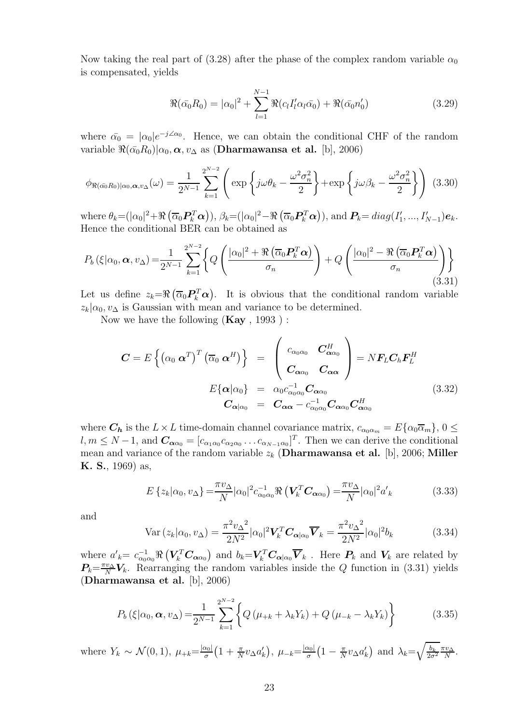Now taking the real part of (3.28) after the phase of the complex random variable  $\alpha_0$ is compensated, yields

$$
\Re(\bar{\alpha_0}R_0) = |\alpha_0|^2 + \sum_{l=1}^{N-1} \Re(c_l I_l' \alpha_l \bar{\alpha_0}) + \Re(\bar{\alpha_0} n_0')
$$
(3.29)

where  $\bar{\alpha}_0 = |\alpha_0|e^{-j\angle\alpha_0}$ . Hence, we can obtain the conditional CHF of the random variable  $\Re(\bar{\alpha_0}R_0)|\alpha_0, \alpha, v_\Delta$  as (**Dharmawansa et al.** [b], 2006)

$$
\phi_{\Re(\bar{\alpha_0}R_0)|\alpha_0,\alpha,v_{\Delta}}(\omega) = \frac{1}{2^{N-1}} \sum_{k=1}^{2^{N-2}} \left( \exp\left\{j\omega\theta_k - \frac{\omega^2\sigma_n^2}{2}\right\} + \exp\left\{j\omega\beta_k - \frac{\omega^2\sigma_n^2}{2}\right\} \right) (3.30)
$$

where  $\theta_k = (\vert \alpha_0 \vert^2 + \Re \left( \overline{\alpha}_0 P_k^T \alpha \right)), \beta_k = (\vert \alpha_0 \vert^2 - \Re \left( \overline{\alpha}_0 P_k^T \alpha \right)), \text{ and } P_k = diag(I'_1, ..., I'_{N-1})e_k.$ Hence the conditional BER can be obtained as

$$
P_b\left(\xi|\alpha_0,\boldsymbol{\alpha},v_{\Delta}\right) = \frac{1}{2^{N-1}}\sum_{k=1}^{2^{N-2}} \left\{ Q\left(\frac{|\alpha_0|^2 + \Re\left(\overline{\alpha}_0 \boldsymbol{P}_k^T \boldsymbol{\alpha}\right)}{\sigma_n}\right) + Q\left(\frac{|\alpha_0|^2 - \Re\left(\overline{\alpha}_0 \boldsymbol{P}_k^T \boldsymbol{\alpha}\right)}{\sigma_n}\right) \right\}
$$
(3.31)

Let us define  $z_k = \Re \left( \overline{\alpha}_0 P_k^T \alpha \right)$ . It is obvious that the conditional random variable  $z_k|\alpha_0, v_\Delta$  is Gaussian with mean and variance to be determined.

Now we have the following (**Kay** , 1993 ) :

$$
\mathbf{C} = E \left\{ \left( \alpha_0 \, \boldsymbol{\alpha}^T \right)^T \left( \overline{\alpha}_0 \, \boldsymbol{\alpha}^H \right) \right\} = \begin{pmatrix} c_{\alpha_0 \alpha_0} & \mathbf{C}_{\boldsymbol{\alpha} \alpha_0}^H \\ \mathbf{C}_{\alpha \alpha_0} & \mathbf{C}_{\alpha \alpha} \\ \mathbf{C}_{\alpha \alpha_0} & \mathbf{C}_{\alpha \alpha} \end{pmatrix} = N \mathbf{F}_L \mathbf{C}_h \mathbf{F}_L^H
$$
  
\n
$$
E \{ \boldsymbol{\alpha} | \alpha_0 \} = \alpha_0 c_{\alpha_0 \alpha_0}^{-1} \mathbf{C}_{\alpha \alpha_0}
$$
  
\n
$$
\mathbf{C}_{\alpha | \alpha_0} = \mathbf{C}_{\alpha \alpha} - c_{\alpha_0 \alpha_0}^{-1} \mathbf{C}_{\alpha \alpha_0} \mathbf{C}_{\alpha \alpha_0}^H
$$
\n(3.32)

where  $C_h$  is the  $L \times L$  time-domain channel covariance matrix,  $c_{\alpha_0 \alpha_m} = E\{\alpha_0 \overline{\alpha}_m\}$ ,  $0 \leq$  $l, m \leq N-1$ , and  $\mathbf{C}_{\alpha\alpha_0} = [c_{\alpha_1\alpha_0}c_{\alpha_2\alpha_0} \dots c_{\alpha_{N-1}\alpha_0}]^T$ . Then we can derive the conditional mean and variance of the random variable  $z_k$  (**Dharmawansa et al.** [b], 2006; **Miller K. S.**, 1969) as,

$$
E\left\{z_k|\alpha_0, v_{\Delta}\right\} = \frac{\pi v_{\Delta}}{N} |\alpha_0|^2 c_{\alpha_0 \alpha_0}^{-1} \Re\left(\mathbf{V}_k^T \mathbf{C}_{\alpha \alpha_0}\right) = \frac{\pi v_{\Delta}}{N} |\alpha_0|^2 a'_k \tag{3.33}
$$

and

$$
\text{Var}\left(z_k|\alpha_0, v_\Delta\right) = \frac{\pi^2 v_\Delta^2}{2N^2} |\alpha_0|^2 \mathbf{V}_k^T \mathbf{C}_{\alpha|\alpha_0} \overline{\mathbf{V}}_k = \frac{\pi^2 v_\Delta^2}{2N^2} |\alpha_0|^2 b_k \tag{3.34}
$$

where  $a'_k = c_{\alpha_0 \alpha_0}^{-1} \Re \left( V_k^T C_{\alpha \alpha_0} \right)$  and  $b_k = V_k^T C_{\alpha | \alpha_0} \overline{V}_k$ . Here  $P_k$  and  $V_k$  are related by  $P_k = \pi v_\alpha V_k$ . Because the readers unickles inside the *Q* function in (2.21) violent  $P_k = \frac{\pi v_\Delta}{N} V_k$ . Rearranging the random variables inside the Q function in (3.31) yields (Dharmawanea et al. [b] 2006) (**Dharmawansa et al.** [b], 2006)

$$
P_b(\xi|\alpha_0, \alpha, v_\Delta) = \frac{1}{2^{N-1}} \sum_{k=1}^{2^{N-2}} \left\{ Q\left(\mu_{+k} + \lambda_k Y_k\right) + Q\left(\mu_{-k} - \lambda_k Y_k\right) \right\} \tag{3.35}
$$

where  $Y_k \sim \mathcal{N}(0, 1), \ \mu_{+k} = \frac{|\alpha_0|}{\sigma}$  $\left(1+\frac{\pi}{N}v_{\Delta}a_{k}'\right)$  $), \mu_{-k} = \frac{|\alpha_0|}{\sigma}$  $\left(1 - \frac{\pi}{N} v_{\Delta} a'_k\right)$  and  $\lambda_k = \sqrt{\frac{b_k}{2\sigma}}$  $rac{b_k}{2\sigma^2} \frac{\pi v_\Delta}{N}$ .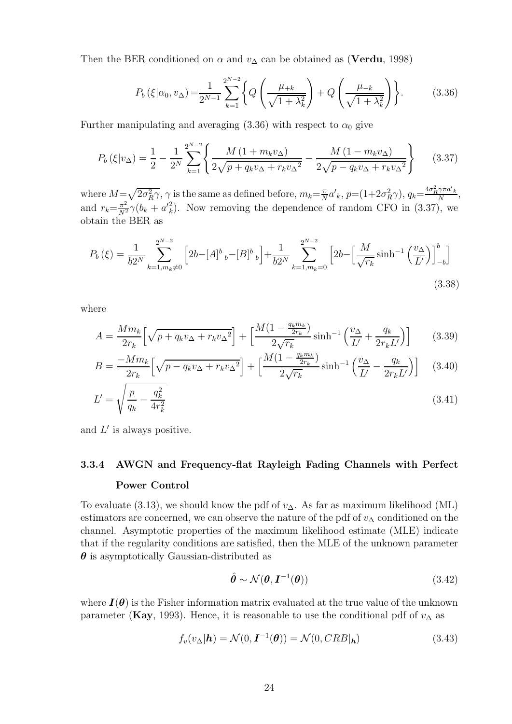Then the BER conditioned on  $\alpha$  and  $v_{\Delta}$  can be obtained as (**Verdu**, 1998)

$$
P_b(\xi|\alpha_0, v_\Delta) = \frac{1}{2^{N-1}} \sum_{k=1}^{2^{N-2}} \left\{ Q\left(\frac{\mu_{+k}}{\sqrt{1 + \lambda_k^2}}\right) + Q\left(\frac{\mu_{-k}}{\sqrt{1 + \lambda_k^2}}\right) \right\}.
$$
 (3.36)

Further manipulating and averaging (3.36) with respect to  $\alpha_0$  give

$$
P_b(\xi|v_{\Delta}) = \frac{1}{2} - \frac{1}{2^N} \sum_{k=1}^{2^{N-2}} \left\{ \frac{M\left(1 + m_k v_{\Delta}\right)}{2\sqrt{p + q_k v_{\Delta} + r_k v_{\Delta}^2}} - \frac{M\left(1 - m_k v_{\Delta}\right)}{2\sqrt{p - q_k v_{\Delta} + r_k v_{\Delta}^2}} \right\} \tag{3.37}
$$

where  $M = \sqrt{2\sigma_R^2 \gamma}$ ,  $\gamma$  is the same as defined before,  $m_k = \frac{\pi}{N} a'_{k}$ ,  $p = (1 + 2\sigma_R^2 \gamma)$ ,  $q_k = \frac{4\sigma_R^2 \gamma \pi a'_{k}}{N}$ , and  $r_k = \frac{\pi^2}{N^2} \gamma (b_k + a'_k)$ . Now removing the dependence of random CFO in (3.37), we obtain the BFB as obtain the BER as

$$
P_b(\xi) = \frac{1}{b2^N} \sum_{k=1, m_k \neq 0}^{2^{N-2}} \left[ 2b - [A]_{-b}^b - [B]_{-b}^b \right] + \frac{1}{b2^N} \sum_{k=1, m_k = 0}^{2^{N-2}} \left[ 2b - \left[ \frac{M}{\sqrt{r_k}} \sinh^{-1} \left( \frac{v_\Delta}{L'} \right) \right]_{-b}^b \right]
$$
\n(3.38)

where

$$
A = \frac{Mm_k}{2r_k} \left[ \sqrt{p + q_k v_\Delta + r_k v_\Delta^2} \right] + \left[ \frac{M(1 - \frac{q_k m_k}{2r_k})}{2\sqrt{r_k}} \sinh^{-1} \left( \frac{v_\Delta}{L'} + \frac{q_k}{2r_k L'} \right) \right] \tag{3.39}
$$

$$
B = \frac{-Mm_k}{2r_k} \left[ \sqrt{p - q_k v_\Delta + r_k v_\Delta^2} \right] + \left[ \frac{M(1 - \frac{q_k m_k}{2r_k})}{2\sqrt{r_k}} \sinh^{-1} \left( \frac{v_\Delta}{L'} - \frac{q_k}{2r_k L'} \right) \right] \tag{3.40}
$$

$$
L' = \sqrt{\frac{p}{q_k} - \frac{q_k^2}{4r_k^2}}
$$
\n(3.41)

and  $L'$  is always positive.

## **3.3.4 AWGN and Frequency-flat Rayleigh Fading Channels with Perfect Power Control**

To evaluate (3.13), we should know the pdf of  $v_{\Delta}$ . As far as maximum likelihood (ML) estimators are concerned, we can observe the nature of the pdf of  $v_{\Delta}$  conditioned on the channel. Asymptotic properties of the maximum likelihood estimate (MLE) indicate that if the regularity conditions are satisfied, then the MLE of the unknown parameter *θ* is asymptotically Gaussian-distributed as

$$
\hat{\boldsymbol{\theta}} \sim \mathcal{N}(\boldsymbol{\theta}, \boldsymbol{I}^{-1}(\boldsymbol{\theta})) \tag{3.42}
$$

where  $I(\theta)$  is the Fisher information matrix evaluated at the true value of the unknown parameter (**Kay**, 1993). Hence, it is reasonable to use the conditional pdf of  $v_{\Delta}$  as

$$
f_v(v_\Delta|\mathbf{h}) = \mathcal{N}(0, \mathbf{I}^{-1}(\boldsymbol{\theta})) = \mathcal{N}(0, CRB|\mathbf{h})
$$
\n(3.43)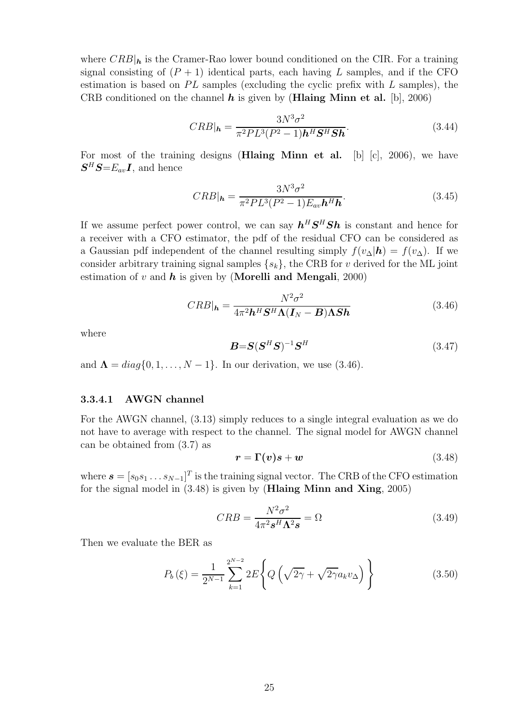where  $CRB|_h$  is the Cramer-Rao lower bound conditioned on the CIR. For a training signal consisting of  $(P + 1)$  identical parts, each having L samples, and if the CFO estimation is based on  $PL$  samples (excluding the cyclic prefix with L samples), the CRB conditioned on the channel *h* is given by (**Hlaing Minn et al.** [b], 2006)

$$
CRB|_{\mathbf{h}} = \frac{3N^3\sigma^2}{\pi^2PL^3(P^2 - 1)\mathbf{h}^H\mathbf{S}^H\mathbf{S}\mathbf{h}}.\tag{3.44}
$$

For most of the training designs (**Hlaing Minn et al.** [b] [c], 2006), we have  $S^H S = E_{av} I$ , and hence

$$
CRB|_{\mathbf{h}} = \frac{3N^3\sigma^2}{\pi^2PL^3(P^2 - 1)E_{av}\mathbf{h}^H\mathbf{h}}.\tag{3.45}
$$

If we assume perfect power control, we can say  $h^H S^H S h$  is constant and hence for a receiver with a CFO estimator, the pdf of the residual CFO can be considered as a Gaussian pdf independent of the channel resulting simply  $f(v_\Delta|\mathbf{h}) = f(v_\Delta)$ . If we consider arbitrary training signal samples  $\{s_k\}$ , the CRB for v derived for the ML joint estimation of v and *h* is given by (**Morelli and Mengali**, 2000)

$$
CRB|_{h} = \frac{N^2 \sigma^2}{4\pi^2 h^H S^H \Lambda (I_N - B) \Lambda Sh}
$$
(3.46)

where

$$
\boldsymbol{B} = \boldsymbol{S}(\boldsymbol{S}^H \boldsymbol{S})^{-1} \boldsymbol{S}^H \tag{3.47}
$$

and  $\Lambda = diag\{0, 1, \ldots, N-1\}$ . In our derivation, we use (3.46).

### **3.3.4.1 AWGN channel**

For the AWGN channel, (3.13) simply reduces to a single integral evaluation as we do not have to average with respect to the channel. The signal model for AWGN channel can be obtained from (3.7) as

$$
r = \Gamma(v)s + w \tag{3.48}
$$

where  $\mathbf{s} = [s_0 s_1 \dots s_{N-1}]^T$  is the training signal vector. The CRB of the CFO estimation for the signal model in (3.48) is given by (**Hlaing Minn and Xing**, 2005)

$$
CRB = \frac{N^2 \sigma^2}{4\pi^2 \mathbf{s}^H \mathbf{\Lambda}^2 \mathbf{s}} = \Omega \tag{3.49}
$$

Then we evaluate the BER as

$$
P_b(\xi) = \frac{1}{2^{N-1}} \sum_{k=1}^{2^{N-2}} 2E \left\{ Q \left( \sqrt{2\gamma} + \sqrt{2\gamma} a_k v_\Delta \right) \right\} \tag{3.50}
$$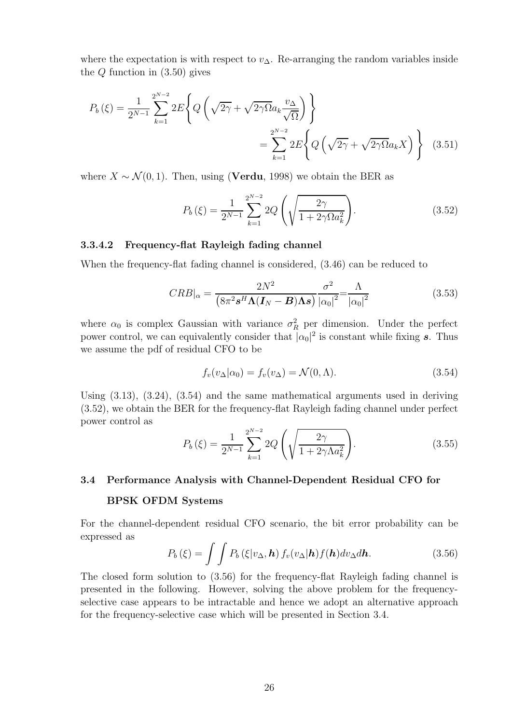where the expectation is with respect to  $v_{\Delta}$ . Re-arranging the random variables inside the  $Q$  function in  $(3.50)$  gives

$$
P_b(\xi) = \frac{1}{2^{N-1}} \sum_{k=1}^{2^{N-2}} 2E \left\{ Q \left( \sqrt{2\gamma} + \sqrt{2\gamma \Omega} a_k \frac{v_\Delta}{\sqrt{\Omega}} \right) \right\}
$$
  
= 
$$
\sum_{k=1}^{2^{N-2}} 2E \left\{ Q \left( \sqrt{2\gamma} + \sqrt{2\gamma \Omega} a_k X \right) \right\} (3.51)
$$

where  $X \sim \mathcal{N}(0, 1)$ . Then, using (**Verdu**, 1998) we obtain the BER as

$$
P_b(\xi) = \frac{1}{2^{N-1}} \sum_{k=1}^{2^{N-2}} 2Q\left(\sqrt{\frac{2\gamma}{1 + 2\gamma \Omega a_k^2}}\right).
$$
 (3.52)

#### **3.3.4.2 Frequency-flat Rayleigh fading channel**

When the frequency-flat fading channel is considered, (3.46) can be reduced to

$$
CRB|_{\alpha} = \frac{2N^2}{\left(8\pi^2 \mathbf{s}^H \mathbf{\Lambda} (\mathbf{I}_N - \mathbf{B}) \mathbf{\Lambda} \mathbf{s}\right)} \frac{\sigma^2}{\left|\alpha_0\right|^2} = \frac{\Lambda}{\left|\alpha_0\right|^2} \tag{3.53}
$$

where  $\alpha_0$  is complex Gaussian with variance  $\sigma_R^2$  per dimension. Under the perfect<br>power control, we can conjugately consider that  $|\alpha|^2$  is constant while fixing a Thug power control, we can equivalently consider that  $|\alpha_0|^2$  is constant while fixing *s*. Thus we assume the pdf of residual CFO to be

$$
f_v(v_\Delta|\alpha_0) = f_v(v_\Delta) = \mathcal{N}(0,\Lambda). \tag{3.54}
$$

Using (3.13), (3.24), (3.54) and the same mathematical arguments used in deriving (3.52), we obtain the BER for the frequency-flat Rayleigh fading channel under perfect power control as

$$
P_b(\xi) = \frac{1}{2^{N-1}} \sum_{k=1}^{2^{N-2}} 2Q\left(\sqrt{\frac{2\gamma}{1 + 2\gamma\Lambda a_k^2}}\right).
$$
 (3.55)

#### **3.4 Performance Analysis with Channel-Dependent Residual CFO for**

#### **BPSK OFDM Systems**

For the channel-dependent residual CFO scenario, the bit error probability can be expressed as

$$
P_b(\xi) = \int \int P_b(\xi|v_\Delta, \mathbf{h}) f_v(v_\Delta|\mathbf{h}) f(\mathbf{h}) dv_\Delta d\mathbf{h}.
$$
 (3.56)

The closed form solution to (3.56) for the frequency-flat Rayleigh fading channel is presented in the following. However, solving the above problem for the frequencyselective case appears to be intractable and hence we adopt an alternative approach for the frequency-selective case which will be presented in Section 3.4.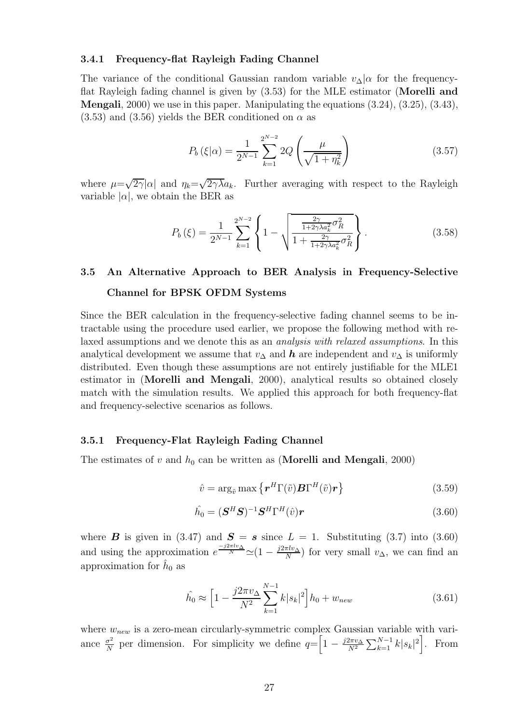#### **3.4.1 Frequency-flat Rayleigh Fading Channel**

The variance of the conditional Gaussian random variable  $v_{\Delta}|\alpha$  for the frequencyflat Rayleigh fading channel is given by (3.53) for the MLE estimator (**Morelli and Mengali**, 2000) we use in this paper. Manipulating the equations (3.24), (3.25), (3.43),  $(3.53)$  and  $(3.56)$  yields the BER conditioned on  $\alpha$  as

$$
P_b(\xi|\alpha) = \frac{1}{2^{N-1}} \sum_{k=1}^{2^{N-2}} 2Q\left(\frac{\mu}{\sqrt{1+\eta_k^2}}\right)
$$
(3.57)

where  $\mu=\sqrt{2\gamma}|\alpha|$  and  $\eta_k=\sqrt{2\gamma\lambda}a_k$ . Further averaging with respect to the Rayleigh variable  $|\alpha|$ , we obtain the BER as

$$
P_b(\xi) = \frac{1}{2^{N-1}} \sum_{k=1}^{2^{N-2}} \left\{ 1 - \sqrt{\frac{\frac{2\gamma}{1+2\gamma\lambda a_k^2} \sigma_R^2}{1 + \frac{2\gamma}{1+2\gamma\lambda a_k^2} \sigma_R^2}} \right\}.
$$
 (3.58)

# **3.5 An Alternative Approach to BER Analysis in Frequency-Selective Channel for BPSK OFDM Systems**

Since the BER calculation in the frequency-selective fading channel seems to be intractable using the procedure used earlier, we propose the following method with relaxed assumptions and we denote this as an *analysis with relaxed assumptions*. In this analytical development we assume that  $v_{\Delta}$  and  $h$  are independent and  $v_{\Delta}$  is uniformly distributed. Even though these assumptions are not entirely justifiable for the MLE1 estimator in (**Morelli and Mengali**, 2000), analytical results so obtained closely match with the simulation results. We applied this approach for both frequency-flat and frequency-selective scenarios as follows.

#### **3.5.1 Frequency-Flat Rayleigh Fading Channel**

The estimates of v and  $h_0$  can be written as (**Morelli and Mengali**, 2000)

$$
\hat{v} = \arg_{\tilde{v}} \max \left\{ \boldsymbol{r}^H \boldsymbol{\Gamma}(\tilde{v}) \boldsymbol{B} \boldsymbol{\Gamma}^H(\tilde{v}) \boldsymbol{r} \right\} \tag{3.59}
$$

$$
\hat{h_0} = (\mathbf{S}^H \mathbf{S})^{-1} \mathbf{S}^H \Gamma^H(\hat{v}) \mathbf{r}
$$
\n(3.60)

where *B* is given in (3.47) and  $S = s$  since  $L = 1$ . Substituting (3.7) into (3.60) and using the approximation  $e^{\frac{-j2\pi l v_A}{N}} \simeq (1 - \frac{j2\pi l v_A}{N})$  for very small  $v_A$ , we can find an approximation for  $h_0$  as

$$
\hat{h_0} \approx \left[1 - \frac{j2\pi v_\Delta}{N^2} \sum_{k=1}^{N-1} k|s_k|^2\right] h_0 + w_{new} \tag{3.61}
$$

where  $w_{new}$  is a zero-mean circularly-symmetric complex Gaussian variable with variance  $\frac{\sigma^2}{N}$  per dimension. For simplicity we define  $q = \left[1 - \frac{j2\pi v_{\Delta}}{N^2}\right]$  $N^2$  $\sum_{k=1}^{N-1} k|s_k|^2$ . From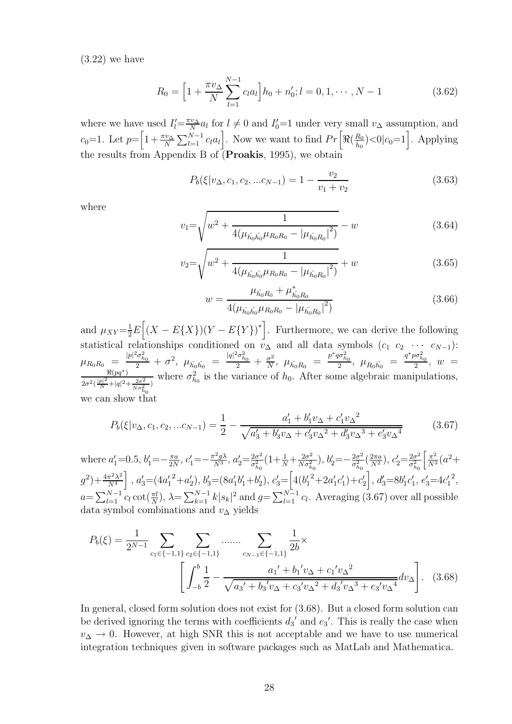(3.22) we have

$$
R_0 = \left[1 + \frac{\pi v_\Delta}{N} \sum_{l=1}^{N-1} c_l a_l\right] h_0 + n'_0; l = 0, 1, \cdots, N-1 \tag{3.62}
$$

where we have used  $I'_l = \frac{\pi v_\Delta}{N} a_l$  for  $l \neq 0$  and  $I'_0 = 1$  under very small  $v_\Delta$  assumption, and  $c_0=1$ . Let  $p=\left[1+\frac{\pi v_\Delta}{N}\sum_{l=1}^{N-1}c_l a_l\right]$ . Now we want to find  $Pr\left[\Re(\frac{R_0}{\hat{h}_0}\right]$ the results from Appendix B of  $($ **Proakis**, 1995 $)$ , we obtain  $\infty$  0  $|c_0=1$ . Applying

$$
P_b(\xi|v_\Delta, c_1, c_2, ... c_{N-1}) = 1 - \frac{v_2}{v_1 + v_2}
$$
\n(3.63)

where

$$
v_1 = \sqrt{w^2 + \frac{1}{4(\mu_{\hat{h}_0 \hat{h}_0} \mu_{R_0 R_0} - |\mu_{\hat{h}_0 R_0}|^2)} - w}
$$
(3.64)

$$
v_2 = \sqrt{w^2 + \frac{1}{4(\mu_{\hat{h}_0 \hat{h}_0} \mu_{R_0 R_0} - |\mu_{\hat{h}_0 R_0}|^2)}} + w
$$
 (3.65)

$$
w = \frac{\mu_{\hat{h}_0 R_0} + \mu_{\hat{h}_0 R_0}^*}{4(\mu_{\hat{h}_0 \hat{h}_0} \mu_{R_0 R_0} - |\mu_{\hat{h}_0 R_0}|^2)}
$$
(3.66)

and  $\mu_{XY} = \frac{1}{2}E\left[ (X - E\{X\}) (Y - E\{Y\})^* \right]$ . Furthermore, we can derive the following statistical relationships conditioned on  $v_{\Delta}$  and all data symbols  $(c_1 \ c_2 \ \cdots \ c_{N-1})$ :  $\mu_{R_0R_0} = \frac{|p|^2 \sigma_{h_0}^2}{2} + \sigma^2$ ,  $\mu_{\hat{h_0}\hat{h_0}} = \frac{|q|^2 \sigma_{h_0}^2}{2} + \frac{\sigma^2}{N}$ ,  $\mu_{\hat{h_0}R_0} = \frac{p^* q \sigma_{h_0}^2}{2}$ ,  $\mu_{R_0\hat{h_0}} = \frac{q^* p \sigma_{h_0}^2}{2}$ ,  $w =$ <br> $\frac{\Re(pq^*)}{2}$  where  $\sigma_{h_0}^2$  is the variance of  $h_$  $2\sigma^2\left(\frac{|p|^2}{N}+|q|^2+\frac{2\sigma^2}{N\sigma_{h_0}^2}\right)$ where  $\sigma_{h_0}^2$  is the variance of  $h_0$ . After some algebraic manipulations, we can show that

$$
P_b(\xi|v_{\Delta}, c_1, c_2, ...c_{N-1}) = \frac{1}{2} - \frac{a'_1 + b'_1 v_{\Delta} + c'_1 v_{\Delta}^2}{\sqrt{a'_3 + b'_3 v_{\Delta} + c'_3 v_{\Delta}^2 + d'_3 v_{\Delta}^3 + e'_3 v_{\Delta}^4}}
$$
(3.67)

where  $a'_1 = 0.5, b'_1 = -\frac{\pi a}{2N}, c'_1$  $\mathcal{L}'_1 = -\frac{\pi^2 g \lambda}{N^3}, \ a'_2 = \frac{2\sigma^2}{\sigma_{h_0}^2} \left(1 + \frac{1}{N} + \frac{2\sigma^2}{N\sigma_{h_0}^2}\right), \ b'_2 = -\frac{2\sigma^2}{\sigma_{h_0}^2} \left(\frac{2\pi a}{N^2}\right), \ c'_2 = \frac{2\sigma^2}{\sigma_{h_0}^2}$  $h_0$   $N \frac{1}{2} h_0$   $n_0$   $h_0$   $n_1$  $\int \frac{\pi^2}{N^3} (a^2 +$  $(g^2) + \frac{4\pi^2\lambda^2}{N^4}$  $\frac{N^4}{N}$  $\Big]$ ,  $a'_3 = (4a'_1)$  $a_2^2+a_2^{\prime}), b_3^{\prime} = (8a_1^{\prime}b_1^{\prime}+b_2^{\prime}), c_3^{\prime} = \Big[4(b_1^{\prime})$  $\left[2+2a_1'c_1'\right]+c_2'\right], d_3' = 8b_1'c_1', e_3' = 4c_1'$ 2 ,  $a=\sum_{l=1}^{N-1}c_l\cot(\frac{\pi l}{N}),\ \lambda=\sum_{k=1}^{N-1}k|s_k|^2$  and  $g=\sum_{l=1}^{N-1}c_l$ . Averaging (3.67) over all possible data symbol combinations and  $v_{\Delta}$  yields

$$
P_b(\xi) = \frac{1}{2^{N-1}} \sum_{c_1 \in \{-1,1\}} \sum_{c_2 \in \{-1,1\}} \dots \dots \sum_{c_{N-1} \in \{-1,1\}} \frac{1}{2b} \times \left[ \int_{-b}^b \frac{1}{2} - \frac{a_1' + b_1' v_\Delta + c_1' v_\Delta^2}{\sqrt{a_3' + b_3' v_\Delta + c_3' v_\Delta^2 + d_3' v_\Delta^3 + e_3' v_\Delta^4}} dv_\Delta \right].
$$
 (3.68)

In general, closed form solution does not exist for (3.68). But a closed form solution can be derived ignoring the terms with coefficients  $d_3'$  and  $e_3'$ . This is really the case when  $v_{\Delta} \rightarrow 0$ . However, at high SNR this is not acceptable and we have to use numerical integration techniques given in software packages such as MatLab and Mathematica.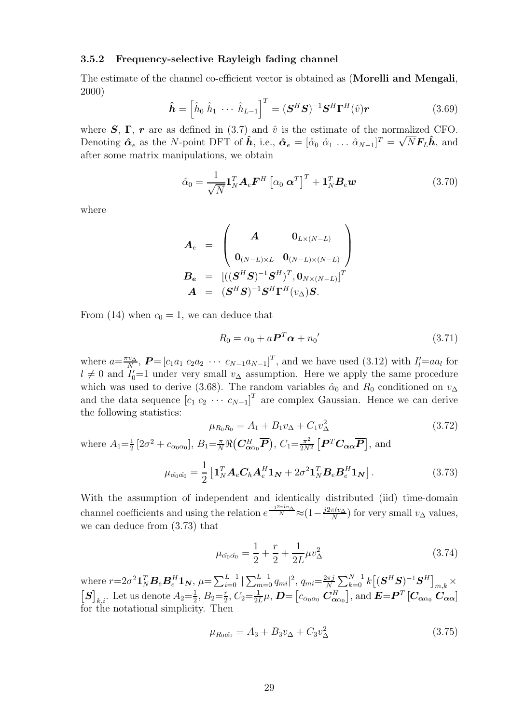#### **3.5.2 Frequency-selective Rayleigh fading channel**

The estimate of the channel co-efficient vector is obtained as (**Morelli and Mengali**, 2000)

$$
\hat{\boldsymbol{h}} = \left[\hat{h}_0 \; \hat{h}_1 \; \cdots \; \hat{h}_{L-1}\right]^T = (\boldsymbol{S}^H \boldsymbol{S})^{-1} \boldsymbol{S}^H \boldsymbol{\Gamma}^H(\hat{v}) \boldsymbol{r}
$$
\n(3.69)

where  $S$ ,  $\Gamma$ ,  $r$  are as defined in (3.7) and  $\hat{v}$  is the estimate of the normalized CFO. Denoting  $\hat{\alpha}_e$  as the N-point DFT of  $\hat{h}$ , i.e.,  $\hat{\alpha}_e = [\hat{\alpha}_0 \ \hat{\alpha}_1 \ \dots \ \hat{\alpha}_{N-1}]^T = \sqrt{N} \mathbf{F}_L \hat{\mathbf{h}}$ , and after some matrix manipulations, we obtain

$$
\hat{\alpha}_0 = \frac{1}{\sqrt{N}} \mathbf{1}_N^T \mathbf{A}_e \mathbf{F}^H \left[ \alpha_0 \ \mathbf{\alpha}^T \right]^T + \mathbf{1}_N^T \mathbf{B}_e \mathbf{w} \tag{3.70}
$$

where

$$
\begin{array}{ccl} \boldsymbol{A}_e &=& \begin{pmatrix} \boldsymbol{A} & \boldsymbol{0}_{L \times (N-L)} \\ \boldsymbol{0}_{(N-L) \times L} & \boldsymbol{0}_{(N-L) \times (N-L)} \end{pmatrix} \\ \boldsymbol{B_e} &=& \begin{bmatrix} ((\boldsymbol{S}^H \boldsymbol{S})^{-1} \boldsymbol{S}^H)^T, \boldsymbol{0}_{N \times (N-L)} \end{bmatrix}^T \\ \boldsymbol{A} &=& (\boldsymbol{S}^H \boldsymbol{S})^{-1} \boldsymbol{S}^H \boldsymbol{\Gamma}^H ({v_{\Delta})} \boldsymbol{S}. \end{bmatrix} \end{array}
$$

From (14) when  $c_0 = 1$ , we can deduce that

$$
R_0 = \alpha_0 + a \mathbf{P}^T \boldsymbol{\alpha} + n_0' \tag{3.71}
$$

where  $a=\frac{\pi v_{\Delta}}{N}$ ,  $P=[c_1a_1\ c_2a_2\ \cdots\ c_{N-1}a_{N-1}]^T$ , and we have used (3.12) with  $I'_l=a a_l$  for  $l\neq 0$  and  $I'-1$  under very small  $v_{\Delta}$  assumption. Here we apply the same procedure  $l \neq 0$  and  $I'_0=1$  under very small  $v_\Delta$  assumption. Here we apply the same procedure which was used to derive (3.68). The random variables  $\hat{\alpha}_0$  and  $R_0$  conditioned on  $v_{\Delta}$ and the data sequence  $[c_1 c_2 \cdots c_{N-1}]^T$  are complex Gaussian. Hence we can derive the following statistics:

$$
\mu_{R_0 R_0} = A_1 + B_1 v_\Delta + C_1 v_\Delta^2 \tag{3.72}
$$

where  $A_1 = \frac{1}{2} [2\sigma^2 + c_{\alpha_0 \alpha_0}], B_1 = \frac{\pi}{N} \Re(\mathbf{C}_{\alpha_0}^H \overline{\mathbf{P}}), C_1 = \frac{\pi^2}{2N}$  $\frac{\pi^2}{2N^2} \left[ \boldsymbol{P}^T \boldsymbol{C}_{\boldsymbol{\alpha} \boldsymbol{\alpha}} \boldsymbol{\overline{P}} \right]$ , and  $\mu_{\hat{\alpha_0}\hat{\alpha_0}} = \frac{1}{2}$  $\left[\mathbf{1}_N^T\mathbf{A}_e\mathbf{C}_h\mathbf{A}_e^H\mathbf{1}_N + 2\sigma^2\mathbf{1}_N^T\mathbf{B}_e\mathbf{B}_e^H\mathbf{1}_N\right]$  $(3.73)$ 

With the assumption of independent and identically distributed (iid) time-domain channel coefficients and using the relation  $e^{\frac{-j2\pi l v_{\Delta}}{N}} \approx (1 - \frac{j2\pi l v_{\Delta}}{N})$  for very small  $v_{\Delta}$  values, we can deduce from (3.73) that

$$
\mu_{\hat{\alpha}_0 \hat{\alpha}_0} = \frac{1}{2} + \frac{r}{2} + \frac{1}{2L} \mu v_\Delta^2 \tag{3.74}
$$

where  $r=2\sigma^2\mathbf{1}_N^T\mathbf{B}_e\mathbf{B}_e^H\mathbf{1}_N$ ,  $\mu=\sum_{i=0}^{L-1}|\sum_{m=0}^{L-1}q_{mi}|^2$ ,  $q_{mi}=\frac{2\pi j}{N}$ where  $r=2\sigma^2\mathbf{1}_N^T \mathbf{B}_e \mathbf{B}_e^H \mathbf{1}_N$ ,  $\mu = \sum_{i=0}^{L-1} |\sum_{m=0}^{L-1} q_{mi}|^2$ ,  $q_{mi} = \frac{2\pi j}{N} \sum_{k=0}^{N-1} k \left[ (\mathbf{S}^H \mathbf{S})^{-1} \mathbf{S}^H \right]_{m,k} \times [\mathbf{S}]_{k,i}$ . Let us denote  $A_2 = \frac{1}{2}$ ,  $B_2 = \frac{r}{2}$ ,  $C_2 = \frac{1}{2L$ for the notational simplicity. Then

$$
\mu_{R_0\hat{\alpha_0}} = A_3 + B_3 v_\Delta + C_3 v_\Delta^2 \tag{3.75}
$$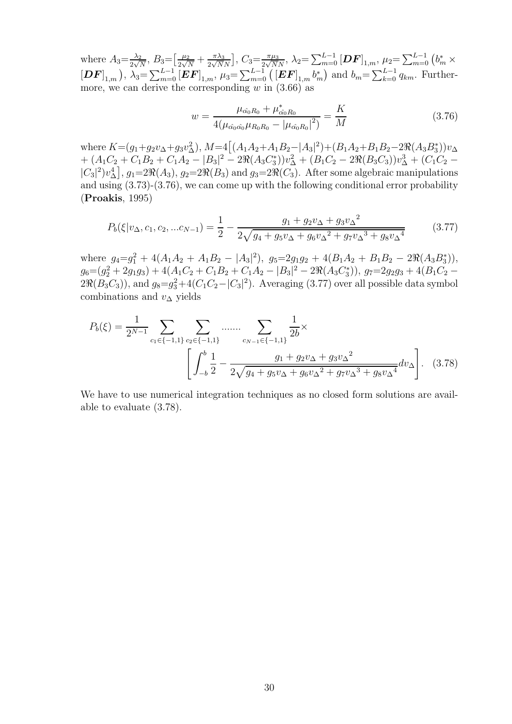where  $A_3 = \frac{\lambda_2}{2\sqrt{N}}$ ,  $B_3 = \left[\frac{\mu_2}{2\sqrt{N}} + \frac{\pi\lambda_3}{2\sqrt{N}}\right]$ NN  $\int_{\mathcal{L}} C_3 = \frac{\pi \mu_3}{2\sqrt{N}N}, \ \lambda_2 = \sum_{m=0}^{L-1} [\bm{DF}]_{1,m}, \ \mu_2 = \sum_{m=0}^{L-1} (b_m^* \times b_m)$  $[DF]_{1,m}$ ,  $\lambda_3 = \sum_{m=0}^{L-1} [EF]_{1,m}, \mu_3 = \sum_{m=0}^{L-1} ([EF]_{1,m} b_m^*$ ) and  $b_m = \sum_{k=0}^{L-1} q_{km}$ . Furthermore, we can derive the corresponding  $w$  in  $(3.66)$  as

$$
w = \frac{\mu_{\hat{\alpha}_0 R_0} + \mu_{\hat{\alpha}_0 R_0}^*}{4(\mu_{\hat{\alpha}_0 \hat{\alpha}_0} \mu_{R_0 R_0} - |\mu_{\hat{\alpha}_0 R_0}|^2)} = \frac{K}{M}
$$
(3.76)

where  $K = (g_1 + g_2 v_\Delta + g_3 v_\Delta^2), M = 4((A_1 A_2 + A_1 B_2 - |A_3|^2) + (B_1 A_2 + B_1 B_2 - 2 \Re(A_3 B_3^*)) v_\Delta$ +  $(A_1C_2 + C_1B_2 + C_1A_2 - |B_3|^2 - 2\Re(A_3C_3^*))v_\Delta^2 + (B_1C_2 - 2\Re(B_3C_3))v_\Delta^3 + (C_1C_2 |C_3|^2 v_{\Delta}^4], g_1=2\Re(A_3), g_2=2\Re(B_3)$  and  $g_3=2\Re(C_3)$ . After some algebraic manipulations and using (3.73)-(3.76), we can come up with the following conditional error probability (**Proakis**, 1995)

$$
P_b(\xi|v_{\Delta}, c_1, c_2, ... c_{N-1}) = \frac{1}{2} - \frac{g_1 + g_2 v_{\Delta} + g_3 v_{\Delta}^2}{2\sqrt{g_4 + g_5 v_{\Delta} + g_6 v_{\Delta}^2 + g_7 v_{\Delta}^3 + g_8 v_{\Delta}^4}}
$$
(3.77)

where  $g_4 = g_1^2 + 4(A_1A_2 + A_1B_2 - |A_3|^2), g_5 = 2g_1g_2 + 4(B_1A_2 + B_1B_2 - 2\Re(A_3B_3^*)),$  $g_6 = (g_2^2 + 2g_1g_3) + 4(A_1C_2 + C_1B_2 + C_1A_2 - |B_3|^2 - 2\Re(A_3C_3^*)), g_7 = 2g_2g_3 + 4(B_1C_2 2\Re(B_3C_3)$ , and  $g_8 = g_3^2 + 4(C_1C_2 - |C_3|^2)$ . Averaging (3.77) over all possible data symbol combinations and  $v_\Lambda$  yields

$$
P_b(\xi) = \frac{1}{2^{N-1}} \sum_{c_1 \in \{-1, 1\}} \sum_{c_2 \in \{-1, 1\}} \dots \dots \sum_{c_{N-1} \in \{-1, 1\}} \frac{1}{2b} \times \left[ \int_{-b}^{b} \frac{1}{2} - \frac{g_1 + g_2 v_\Delta + g_3 v_\Delta^2}{2\sqrt{g_4 + g_5 v_\Delta + g_6 v_\Delta^2 + g_7 v_\Delta^3 + g_8 v_\Delta^4}} dv_\Delta \right].
$$
 (3.78)

We have to use numerical integration techniques as no closed form solutions are available to evaluate (3.78).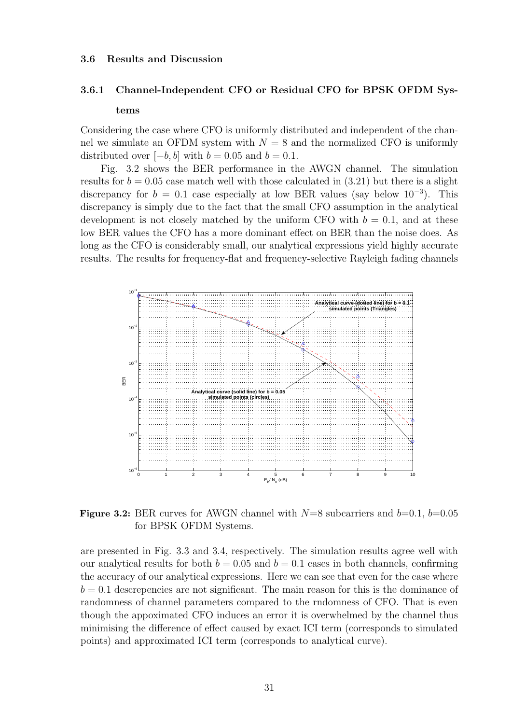#### **3.6 Results and Discussion**

## **3.6.1 Channel-Independent CFO or Residual CFO for BPSK OFDM Sys-**

#### **tems**

Considering the case where CFO is uniformly distributed and independent of the channel we simulate an OFDM system with  $N = 8$  and the normalized CFO is uniformly distributed over  $[-b, b]$  with  $b = 0.05$  and  $b = 0.1$ .

Fig. 3.2 shows the BER performance in the AWGN channel. The simulation results for  $b = 0.05$  case match well with those calculated in  $(3.21)$  but there is a slight discrepancy for  $b = 0.1$  case especially at low BER values (say below  $10^{-3}$ ). This discrepancy is simply due to the fact that the small CFO assumption in the analytical development is not closely matched by the uniform CFO with  $b = 0.1$ , and at these low BER values the CFO has a more dominant effect on BER than the noise does. As long as the CFO is considerably small, our analytical expressions yield highly accurate results. The results for frequency-flat and frequency-selective Rayleigh fading channels



**Figure 3.2:** BER curves for AWGN channel with  $N=8$  subcarriers and  $b=0.1$ ,  $b=0.05$ for BPSK OFDM Systems.

are presented in Fig. 3.3 and 3.4, respectively. The simulation results agree well with our analytical results for both  $b = 0.05$  and  $b = 0.1$  cases in both channels, confirming the accuracy of our analytical expressions. Here we can see that even for the case where  $b = 0.1$  descrepencies are not significant. The main reason for this is the dominance of randomness of channel parameters compared to the rndomness of CFO. That is even though the appoximated CFO induces an error it is overwhelmed by the channel thus minimising the difference of effect caused by exact ICI term (corresponds to simulated points) and approximated ICI term (corresponds to analytical curve).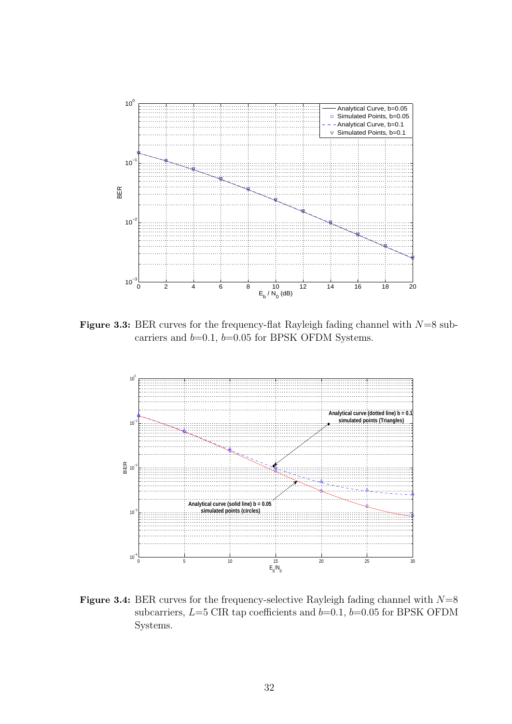

**Figure 3.3:** BER curves for the frequency-flat Rayleigh fading channel with  $N=8$  subcarriers and  $b=0.1$ ,  $b=0.05$  for BPSK OFDM Systems.



**Figure 3.4:** BER curves for the frequency-selective Rayleigh fading channel with  $N=8$ subcarriers,  $L=5$  CIR tap coefficients and  $b=0.1$ ,  $b=0.05$  for BPSK OFDM Systems.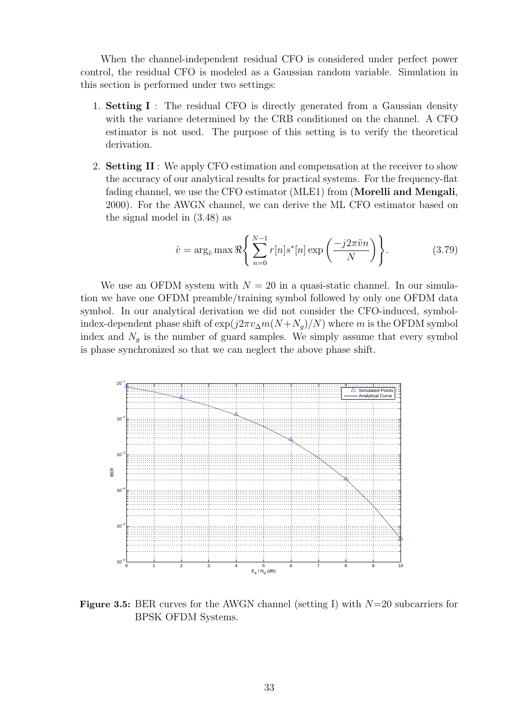When the channel-independent residual CFO is considered under perfect power control, the residual CFO is modeled as a Gaussian random variable. Simulation in this section is performed under two settings:

- 1. **Setting I** : The residual CFO is directly generated from a Gaussian density with the variance determined by the CRB conditioned on the channel. A CFO estimator is not used. The purpose of this setting is to verify the theoretical derivation.
- 2. **Setting II** : We apply CFO estimation and compensation at the receiver to show the accuracy of our analytical results for practical systems. For the frequency-flat fading channel, we use the CFO estimator (MLE1) from (**Morelli and Mengali**, 2000). For the AWGN channel, we can derive the ML CFO estimator based on the signal model in (3.48) as

$$
\hat{v} = \arg_{\tilde{v}} \max \Re \left\{ \sum_{n=0}^{N-1} r[n] s^*[n] \exp \left( \frac{-j2\pi \tilde{v}n}{N} \right) \right\}.
$$
 (3.79)

We use an OFDM system with  $N = 20$  in a quasi-static channel. In our simulation we have one OFDM preamble/training symbol followed by only one OFDM data symbol. In our analytical derivation we did not consider the CFO-induced, symbolindex-dependent phase shift of  $\exp(j2\pi v_{\Delta}m(N+N_q)/N)$  where m is the OFDM symbol index and  $N_g$  is the number of guard samples. We simply assume that every symbol is phase synchronized so that we can neglect the above phase shift.



**Figure 3.5:** BER curves for the AWGN channel (setting I) with  $N=20$  subcarriers for BPSK OFDM Systems.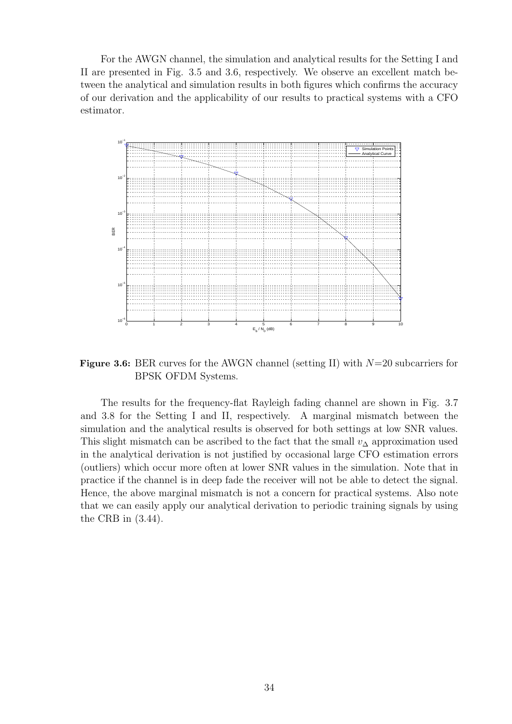For the AWGN channel, the simulation and analytical results for the Setting I and II are presented in Fig. 3.5 and 3.6, respectively. We observe an excellent match between the analytical and simulation results in both figures which confirms the accuracy of our derivation and the applicability of our results to practical systems with a CFO estimator.



**Figure 3.6:** BER curves for the AWGN channel (setting II) with  $N=20$  subcarriers for BPSK OFDM Systems.

The results for the frequency-flat Rayleigh fading channel are shown in Fig. 3.7 and 3.8 for the Setting I and II, respectively. A marginal mismatch between the simulation and the analytical results is observed for both settings at low SNR values. This slight mismatch can be ascribed to the fact that the small  $v_{\Delta}$  approximation used in the analytical derivation is not justified by occasional large CFO estimation errors (outliers) which occur more often at lower SNR values in the simulation. Note that in practice if the channel is in deep fade the receiver will not be able to detect the signal. Hence, the above marginal mismatch is not a concern for practical systems. Also note that we can easily apply our analytical derivation to periodic training signals by using the CRB in (3.44).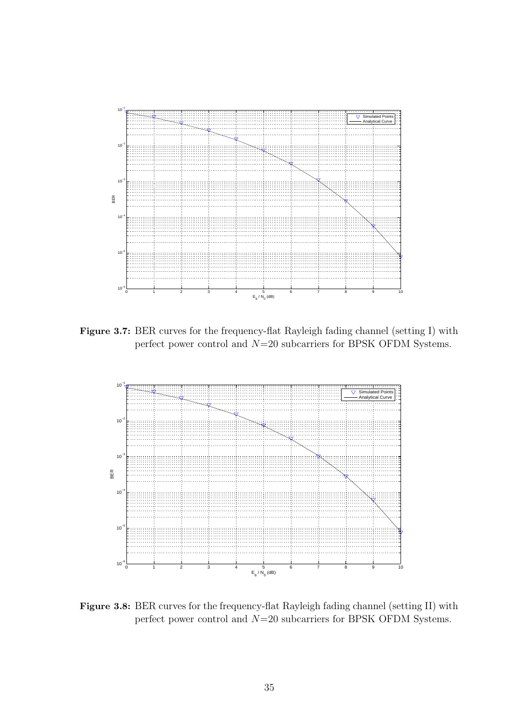

**Figure 3.7:** BER curves for the frequency-flat Rayleigh fading channel (setting I) with perfect power control and N=20 subcarriers for BPSK OFDM Systems.



**Figure 3.8:** BER curves for the frequency-flat Rayleigh fading channel (setting II) with perfect power control and N=20 subcarriers for BPSK OFDM Systems.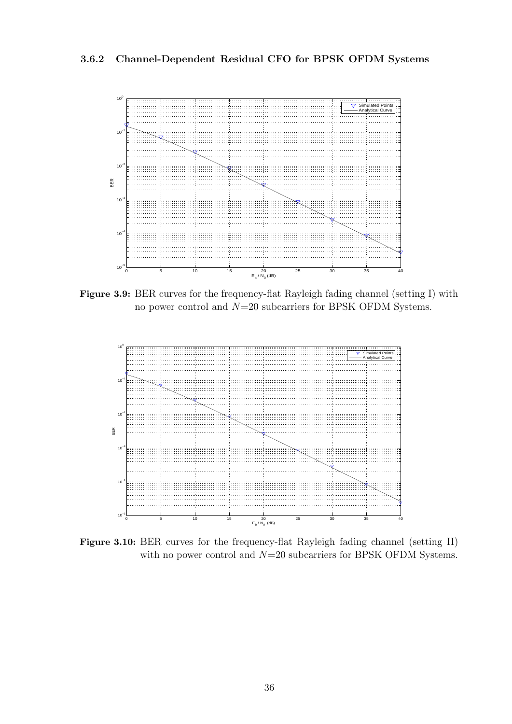**3.6.2 Channel-Dependent Residual CFO for BPSK OFDM Systems**



**Figure 3.9:** BER curves for the frequency-flat Rayleigh fading channel (setting I) with no power control and  $N=20$  subcarriers for BPSK OFDM Systems.



**Figure 3.10:** BER curves for the frequency-flat Rayleigh fading channel (setting II) with no power control and  $N=20$  subcarriers for BPSK OFDM Systems.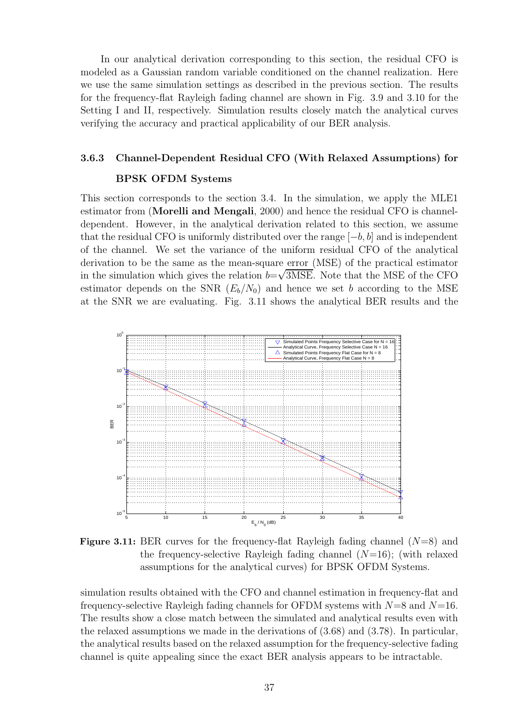In our analytical derivation corresponding to this section, the residual CFO is modeled as a Gaussian random variable conditioned on the channel realization. Here we use the same simulation settings as described in the previous section. The results for the frequency-flat Rayleigh fading channel are shown in Fig. 3.9 and 3.10 for the Setting I and II, respectively. Simulation results closely match the analytical curves verifying the accuracy and practical applicability of our BER analysis.

#### **3.6.3 Channel-Dependent Residual CFO (With Relaxed Assumptions) for**

#### **BPSK OFDM Systems**

This section corresponds to the section 3.4. In the simulation, we apply the MLE1 estimator from (**Morelli and Mengali**, 2000) and hence the residual CFO is channeldependent. However, in the analytical derivation related to this section, we assume that the residual CFO is uniformly distributed over the range  $[-b, b]$  and is independent of the channel. We set the variance of the uniform residual CFO of the analytical derivation to be the same as the mean-square error (MSE) of the practical estimator in the simulation which gives the relation  $b=\sqrt{3MSE}$ . Note that the MSE of the CFO estimator depends on the SNR  $(E_b/N_0)$  and hence we set b according to the MSE at the SNR we are evaluating. Fig. 3.11 shows the analytical BER results and the



**Figure 3.11:** BER curves for the frequency-flat Rayleigh fading channel  $(N=8)$  and the frequency-selective Rayleigh fading channel  $(N=16)$ ; (with relaxed assumptions for the analytical curves) for BPSK OFDM Systems.

simulation results obtained with the CFO and channel estimation in frequency-flat and frequency-selective Rayleigh fading channels for OFDM systems with  $N=8$  and  $N=16$ . The results show a close match between the simulated and analytical results even with the relaxed assumptions we made in the derivations of (3.68) and (3.78). In particular, the analytical results based on the relaxed assumption for the frequency-selective fading channel is quite appealing since the exact BER analysis appears to be intractable.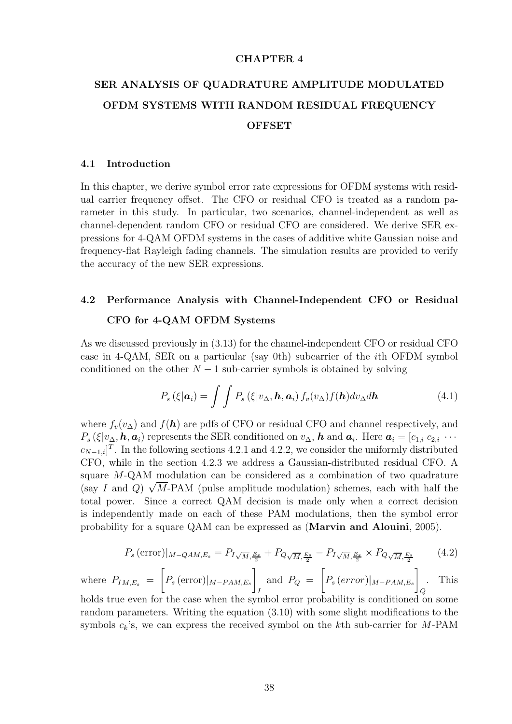#### **CHAPTER 4**

# **SER ANALYSIS OF QUADRATURE AMPLITUDE MODULATED OFDM SYSTEMS WITH RANDOM RESIDUAL FREQUENCY OFFSET**

#### **4.1 Introduction**

In this chapter, we derive symbol error rate expressions for OFDM systems with residual carrier frequency offset. The CFO or residual CFO is treated as a random parameter in this study. In particular, two scenarios, channel-independent as well as channel-dependent random CFO or residual CFO are considered. We derive SER expressions for 4-QAM OFDM systems in the cases of additive white Gaussian noise and frequency-flat Rayleigh fading channels. The simulation results are provided to verify the accuracy of the new SER expressions.

## **4.2 Performance Analysis with Channel-Independent CFO or Residual CFO for 4-QAM OFDM Systems**

As we discussed previously in (3.13) for the channel-independent CFO or residual CFO case in 4-QAM, SER on a particular (say 0th) subcarrier of the ith OFDM symbol conditioned on the other  $N-1$  sub-carrier symbols is obtained by solving

$$
P_s\left(\xi|\boldsymbol{a}_i\right) = \int\int P_s\left(\xi|v_\Delta,\boldsymbol{h},\boldsymbol{a}_i\right) f_v(v_\Delta) f(\boldsymbol{h}) dv_\Delta d\boldsymbol{h}
$$
\n(4.1)

where  $f_v(v_\Delta)$  and  $f(\mathbf{h})$  are pdfs of CFO or residual CFO and channel respectively, and  $P_s$  (ξ|v<sub>Δ</sub>, **h**, **a**<sub>i</sub>) represents the SER conditioned on  $v_\Delta$ , **h** and **a**<sub>i</sub>. Here  $a_i = [c_{1,i} \ c_{2,i} \ \cdots$  $c_{N-1,i}$ <sup>T</sup>. In the following sections 4.2.1 and 4.2.2, we consider the uniformly distributed<br>CEO .  $\frac{1}{1}$  is the unit of the unit of the unit of the unit of the unit of the unit of the unit of the unit of the unit of CFO, while in the section 4.2.3 we address a Gaussian-distributed residual CFO. A square M-QAM modulation can be considered as a combination of two quadrature (say I and Q)  $\sqrt{M}$ -PAM (pulse amplitude modulation) schemes, each with half the total power. Since a correct QAM decision is made only when a correct decision is independently made on each of these PAM modulations, then the symbol error probability for a square QAM can be expressed as (**Marvin and Alouini**, 2005).

$$
P_s\left(\text{error}\right)|_{M-QAM,E_s} = P_{I\sqrt{M},\frac{E_s}{2}} + P_{Q\sqrt{M},\frac{E_s}{2}} - P_{I\sqrt{M},\frac{E_s}{2}} \times P_{Q\sqrt{M},\frac{E_s}{2}} \tag{4.2}
$$

where 
$$
P_{IM,E_s} = \left[ P_s \left( \text{error} \right) \vert_{M-PAM,E_s} \right]_I
$$
 and  $P_Q = \left[ P_s \left( \text{error} \right) \vert_{M-PAM,E_s} \right]_Q$ . This

holds true even for the case when the symbol error probability is conditioned on some random parameters. Writing the equation (3.10) with some slight modifications to the symbols  $c_k$ 's, we can express the received symbol on the kth sub-carrier for M-PAM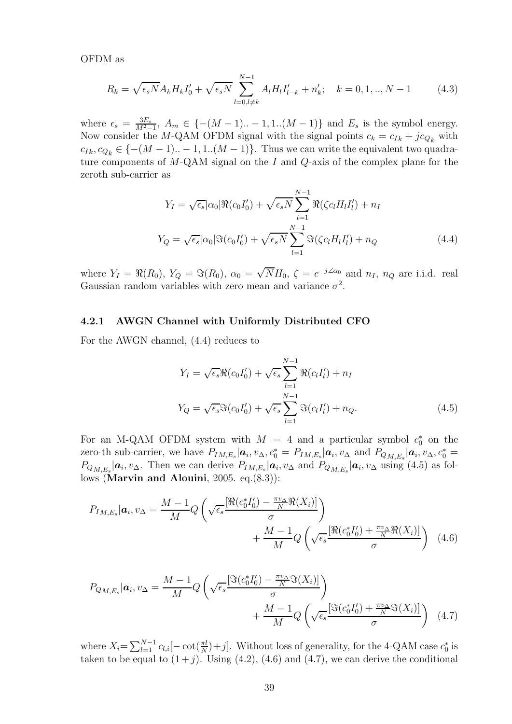OFDM as

$$
R_k = \sqrt{\epsilon_s N} A_k H_k I_0' + \sqrt{\epsilon_s N} \sum_{l=0, l \neq k}^{N-1} A_l H_l I_{l-k}' + n_k'; \quad k = 0, 1, ..., N-1
$$
 (4.3)

where  $\epsilon_s = \frac{3E_s}{M^2-1}$ ,  $A_m \in \{-(M-1)...-1,1...(M-1)\}$  and  $E_s$  is the symbol energy.<br>Now consider the M OAM OFDM signal with the signal points  $c_1 = c_{21} + ic_2$ , with Now consider the M-QAM OFDM signal with the signal points  $c_k = c_{I_k} + j c_{Q_k}$  with  $c_{Ik}, c_{Q_k} \in \{-(M-1) \dots -1, 1 \dots (M-1)\}.$  Thus we can write the equivalent two quadrature components of  $M$ -QAM signal on the  $I$  and  $Q$ -axis of the complex plane for the zeroth sub-carrier as

$$
Y_I = \sqrt{\epsilon_s} |\alpha_0| \Re(c_0 I_0') + \sqrt{\epsilon_s N} \sum_{l=1}^{N-1} \Re(\zeta c_l H_l I_l') + n_I
$$
  

$$
Y_Q = \sqrt{\epsilon_s} |\alpha_0| \Im(c_0 I_0') + \sqrt{\epsilon_s N} \sum_{l=1}^{N-1} \Im(\zeta c_l H_l I_l') + n_Q
$$
(4.4)

where  $Y_I = \Re(R_0)$ ,  $Y_Q = \Im(R_0)$ ,  $\alpha_0 = \sqrt{N}H_0$ ,  $\zeta = e^{-j\angle\alpha_0}$  and  $n_I$ ,  $n_Q$  are i.i.d. real Gaussian random variables with zero mean and variance  $\sigma^2$ .

#### **4.2.1 AWGN Channel with Uniformly Distributed CFO**

For the AWGN channel, (4.4) reduces to

$$
Y_I = \sqrt{\epsilon_s} \Re(c_0 I_0') + \sqrt{\epsilon_s} \sum_{l=1}^{N-1} \Re(c_l I_l') + n_I
$$
  

$$
Y_Q = \sqrt{\epsilon_s} \Im(c_0 I_0') + \sqrt{\epsilon_s} \sum_{l=1}^{N-1} \Im(c_l I_l') + n_Q.
$$
 (4.5)

For an M-QAM OFDM system with  $M = 4$  and a particular symbol  $c_0^*$  on the zero-th sub-carrier, we have  $P_{IM,E_s}|\mathbf{a}_i, v_\Delta, c_0^* = P_{IM,E_s}|\mathbf{a}_i, v_\Delta$  and  $P_{QM,E_s}|\mathbf{a}_i, v_\Delta, c_0^* =$ <br> $P_{IA}$  and  $P_{CA}$  and  $P_{CA}$  are proposed as  $\mathbf{a}_i$ , we see the subset of  $\mathbf{a}_i$ , we have  $\mathbf{a}_i$  and  $P_{CA}$   $P_{QM, E_s} | \mathbf{a}_i, v_{\Delta}$ . Then we can derive  $P_{IM, E_s} | \mathbf{a}_i, v_{\Delta}$  and  $P_{QM, E_s} | \mathbf{a}_i, v_{\Delta}$  using (4.5) as follows (**Marvin and Alouini**, 2005. eq.(8.3)):

$$
P_{IM,E_s}|\boldsymbol{a}_i, v_{\Delta} = \frac{M-1}{M} Q\left(\sqrt{\epsilon_s} \frac{\left[\Re(c_0^* I_0') - \frac{\pi v_{\Delta}}{N} \Re(X_i)\right]}{\sigma} \right) + \frac{M-1}{M} Q\left(\sqrt{\epsilon_s} \frac{\left[\Re(c_0^* I_0') + \frac{\pi v_{\Delta}}{N} \Re(X_i)\right]}{\sigma}\right) \tag{4.6}
$$

$$
P_{Q_{M,E_s}}|\mathbf{a}_i, v_{\Delta} = \frac{M-1}{M} Q\left(\sqrt{\epsilon_s} \frac{[\Im(c_0^* I_0') - \frac{\pi v_{\Delta}}{N} \Im(X_i)]}{\sigma}\right) + \frac{M-1}{M} Q\left(\sqrt{\epsilon_s} \frac{[\Im(c_0^* I_0') + \frac{\pi v_{\Delta}}{N} \Im(X_i)]}{\sigma}\right) \tag{4.7}
$$

where  $X_i = \sum_{l=1}^{N-1} c_{l,i} [-\cot(\frac{\pi l}{N}) + j]$ . Without loss of generality, for the 4-QAM case  $c_0^*$  is<br>taken to be equal to  $(1+i)$ . Using  $(4, 2)$ ,  $(4, 6)$  and  $(4, 7)$ , we can derive the conditional taken to be equal to  $(1+j)$ . Using  $(4.2)$ ,  $(4.6)$  and  $(4.7)$ , we can derive the conditional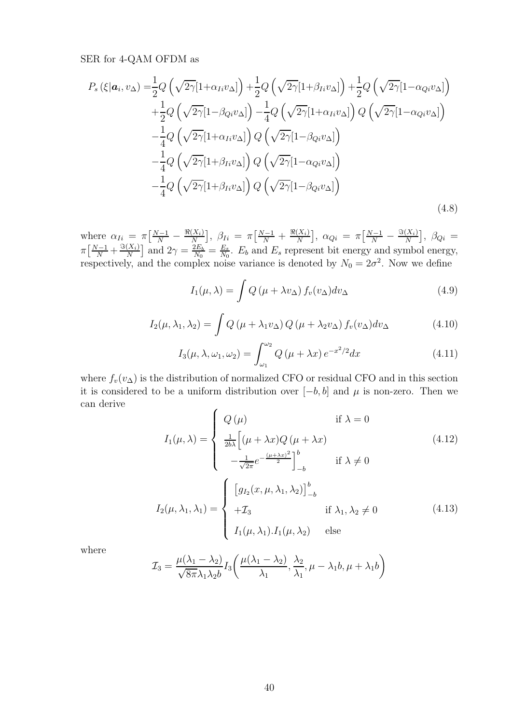### SER for 4-QAM OFDM as

$$
P_s\left(\xi|\mathbf{a}_i, v_{\Delta}\right) = \frac{1}{2} Q\left(\sqrt{2\gamma} [1 + \alpha_{Ii} v_{\Delta}] \right) + \frac{1}{2} Q\left(\sqrt{2\gamma} [1 + \beta_{Ii} v_{\Delta}] \right) + \frac{1}{2} Q\left(\sqrt{2\gamma} [1 - \alpha_{Qi} v_{\Delta}] \right)
$$
  
+ 
$$
\frac{1}{2} Q\left(\sqrt{2\gamma} [1 - \beta_{Qi} v_{\Delta}] \right) - \frac{1}{4} Q\left(\sqrt{2\gamma} [1 + \alpha_{Ii} v_{\Delta}] \right) Q\left(\sqrt{2\gamma} [1 - \alpha_{Qi} v_{\Delta}] \right)
$$
  
- 
$$
\frac{1}{4} Q\left(\sqrt{2\gamma} [1 + \alpha_{Ii} v_{\Delta}] \right) Q\left(\sqrt{2\gamma} [1 - \beta_{Qi} v_{\Delta}] \right)
$$
  
- 
$$
\frac{1}{4} Q\left(\sqrt{2\gamma} [1 + \beta_{Ii} v_{\Delta}] \right) Q\left(\sqrt{2\gamma} [1 - \alpha_{Qi} v_{\Delta}] \right)
$$
  
- 
$$
\frac{1}{4} Q\left(\sqrt{2\gamma} [1 + \beta_{Ii} v_{\Delta}] \right) Q\left(\sqrt{2\gamma} [1 - \beta_{Qi} v_{\Delta}] \right)
$$
(4.8)

where  $\alpha_{Ii} = \pi \left[ \frac{N-1}{N} - \frac{\Re(X_i)}{N} \right]$  $\beta_{Ii} = \pi \left[ \frac{N-1}{N} + \frac{\Re(X_i)}{N} \right]$  $\left[ \begin{array}{c} 0, & \alpha_{Qi} = \pi \left[ \frac{N-1}{N} - \frac{\Im(X_i)}{N} \right] \end{array} \right]$  $\left] ,\ \beta_{Qi}\ \right. =$  $\pi \left[ \frac{N-1}{N} + \frac{\Im(X_i)}{N} \right]$ and  $2\gamma = \frac{2E_b}{N_0} = \frac{E_s}{N_0}$ .  $E_b$  and  $E_s$  represent bit energy and symbol energy, respectively, and the complex noise variance is denoted by  $N_0 = 2\sigma^2$ . Now we define

$$
I_1(\mu,\lambda) = \int Q\left(\mu + \lambda v_\Delta\right) f_v(v_\Delta) dv_\Delta \tag{4.9}
$$

$$
I_2(\mu, \lambda_1, \lambda_2) = \int Q(\mu + \lambda_1 v_\Delta) Q(\mu + \lambda_2 v_\Delta) f_v(v_\Delta) dv_\Delta \qquad (4.10)
$$

$$
I_3(\mu, \lambda, \omega_1, \omega_2) = \int_{\omega_1}^{\omega_2} Q(\mu + \lambda x) e^{-x^2/2} dx \qquad (4.11)
$$

where  $f_v(v_\Delta)$  is the distribution of normalized CFO or residual CFO and in this section it is considered to be a uniform distribution over  $[-b, b]$  and  $\mu$  is non-zero. Then we can derive

$$
I_1(\mu,\lambda) = \begin{cases} Q(\mu) & \text{if } \lambda = 0\\ \frac{1}{2b\lambda} \Big[ (\mu + \lambda x) Q(\mu + \lambda x) & (4.12)\\ -\frac{1}{\sqrt{2\pi}} e^{-\frac{(\mu + \lambda x)^2}{2}} \Big]_{-b}^b & \text{if } \lambda \neq 0 \end{cases}
$$
  

$$
I_2(\mu,\lambda_1,\lambda_1) = \begin{cases} \Big[ g_{I_2}(x,\mu,\lambda_1,\lambda_2) \Big]_{-b}^b & \text{if } \lambda_1, \lambda_2 \neq 0\\ +\mathcal{I}_3 & \text{if } \lambda_1, \lambda_2 \neq 0\\ I_1(\mu,\lambda_1).I_1(\mu,\lambda_2) & \text{else} \end{cases}
$$
(4.13)

where

$$
\mathcal{I}_3 = \frac{\mu(\lambda_1 - \lambda_2)}{\sqrt{8\pi\lambda_1\lambda_2b}} I_3\left(\frac{\mu(\lambda_1 - \lambda_2)}{\lambda_1}, \frac{\lambda_2}{\lambda_1}, \mu - \lambda_1b, \mu + \lambda_1b\right)
$$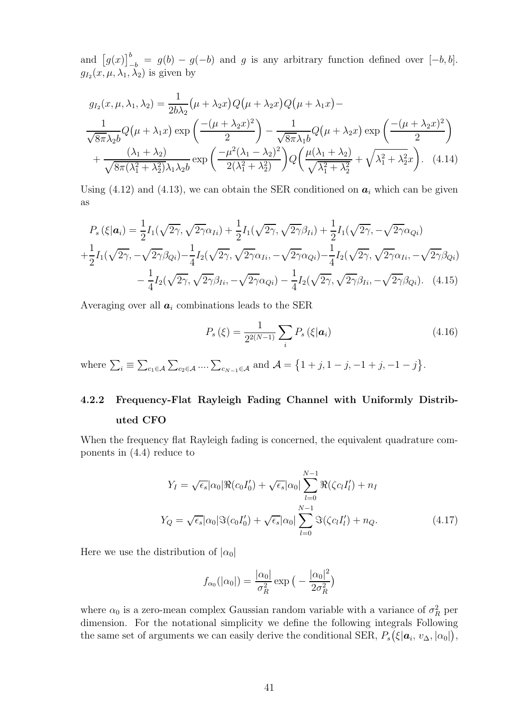and  $[g(x)]_{-b}^{b} = g(b) - g(-b)$  and g is any arbitrary function defined over  $[-b, b]$ .<br> $g_x(x, y, \lambda_1, \lambda_2)$  is given by  $g_{I_2}(x, \mu, \lambda_1, \lambda_2)$  is given by

$$
g_{I_2}(x,\mu,\lambda_1,\lambda_2) = \frac{1}{2b\lambda_2} \left(\mu + \lambda_2 x\right) Q\left(\mu + \lambda_1 x\right) -
$$
  

$$
\frac{1}{\sqrt{8\pi\lambda_2 b}} Q\left(\mu + \lambda_1 x\right) \exp\left(\frac{-(\mu + \lambda_2 x)^2}{2}\right) - \frac{1}{\sqrt{8\pi\lambda_1 b}} Q\left(\mu + \lambda_2 x\right) \exp\left(\frac{-(\mu + \lambda_2 x)^2}{2}\right)
$$

$$
+ \frac{(\lambda_1 + \lambda_2)}{\sqrt{8\pi(\lambda_1^2 + \lambda_2^2)}\lambda_1 \lambda_2 b} \exp\left(\frac{-\mu^2(\lambda_1 - \lambda_2)^2}{2(\lambda_1^2 + \lambda_2^2)}\right) Q\left(\frac{\mu(\lambda_1 + \lambda_2)}{\sqrt{\lambda_1^2 + \lambda_2^2}} + \sqrt{\lambda_1^2 + \lambda_2^2} x\right). \quad (4.14)
$$

Using  $(4.12)$  and  $(4.13)$ , we can obtain the SER conditioned on  $a_i$  which can be given as

$$
P_s(\xi|\mathbf{a}_i) = \frac{1}{2}I_1(\sqrt{2\gamma}, \sqrt{2\gamma}\alpha_{Ii}) + \frac{1}{2}I_1(\sqrt{2\gamma}, \sqrt{2\gamma}\beta_{Ii}) + \frac{1}{2}I_1(\sqrt{2\gamma}, -\sqrt{2\gamma}\alpha_{Qi})
$$
  
+ 
$$
\frac{1}{2}I_1(\sqrt{2\gamma}, -\sqrt{2\gamma}\beta_{Qi}) - \frac{1}{4}I_2(\sqrt{2\gamma}, \sqrt{2\gamma}\alpha_{Ii}, -\sqrt{2\gamma}\alpha_{Qi}) - \frac{1}{4}I_2(\sqrt{2\gamma}, \sqrt{2\gamma}\alpha_{Ii}, -\sqrt{2\gamma}\beta_{Qi})
$$

$$
- \frac{1}{4}I_2(\sqrt{2\gamma}, \sqrt{2\gamma}\beta_{Ii}, -\sqrt{2\gamma}\alpha_{Qi}) - \frac{1}{4}I_2(\sqrt{2\gamma}, \sqrt{2\gamma}\beta_{Ii}, -\sqrt{2\gamma}\beta_{Qi}). \quad (4.15)
$$

Averaging over all  $a_i$  combinations leads to the SER

$$
P_s(\xi) = \frac{1}{2^{2(N-1)}} \sum_i P_s(\xi | \mathbf{a}_i)
$$
\n(4.16)

where  $\sum_i \equiv \sum_{c_1 \in \mathcal{A}} \sum_{c_2 \in \mathcal{A}} \dots \sum_{c_{N-1} \in \mathcal{A}}$  and  $\mathcal{A} = \{1 + j, 1 - j, -1 + j, -1 - j\}.$ 

# **4.2.2 Frequency-Flat Rayleigh Fading Channel with Uniformly Distributed CFO**

When the frequency flat Rayleigh fading is concerned, the equivalent quadrature components in (4.4) reduce to

$$
Y_I = \sqrt{\epsilon_s} |\alpha_0| \Re(c_0 I_0') + \sqrt{\epsilon_s} |\alpha_0| \sum_{l=0}^{N-1} \Re(\zeta c_l I_l') + n_I
$$
  

$$
Y_Q = \sqrt{\epsilon_s} |\alpha_0| \Im(c_0 I_0') + \sqrt{\epsilon_s} |\alpha_0| \sum_{l=0}^{N-1} \Im(\zeta c_l I_l') + n_Q.
$$
 (4.17)

Here we use the distribution of  $|\alpha_0|$ 

$$
f_{\alpha_0}(|\alpha_0|) = \frac{|\alpha_0|}{\sigma_R^2} \exp\big(-\frac{|\alpha_0|^2}{2\sigma_R^2}\big)
$$

where  $\alpha_0$  is a zero-mean complex Gaussian random variable with a variance of  $\sigma_R^2$  per<br>dimension. For the notational simplicity we define the following integrals Following dimension. For the notational simplicity we define the following integrals Following the same set of arguments we can easily derive the conditional SER,  $P_s(\xi|\boldsymbol{a}_i, v_\Delta, |\alpha_0|)$ ,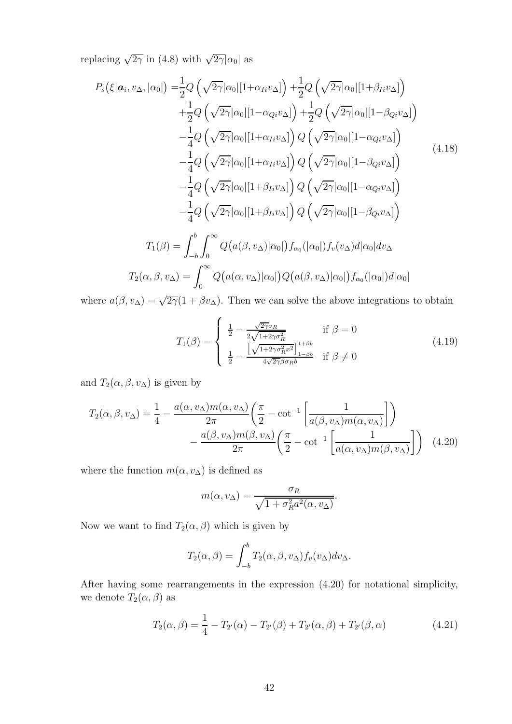replacing  $\sqrt{2\gamma}$  in (4.8) with  $\sqrt{2\gamma}|\alpha_0|$  as

$$
P_s(\xi|\mathbf{a}_i, v_{\Delta}, |\alpha_0|) = \frac{1}{2} Q\left(\sqrt{2\gamma}|\alpha_0| [1 + \alpha_{Ii}v_{\Delta}]\right) + \frac{1}{2} Q\left(\sqrt{2\gamma}|\alpha_0| [1 + \beta_{Ii}v_{\Delta}]\right) + \frac{1}{2} Q\left(\sqrt{2\gamma}|\alpha_0| [1 - \alpha_{Qi}v_{\Delta}]\right) + \frac{1}{2} Q\left(\sqrt{2\gamma}|\alpha_0| [1 - \beta_{Qi}v_{\Delta}]\right) - \frac{1}{4} Q\left(\sqrt{2\gamma}|\alpha_0| [1 + \alpha_{Ii}v_{\Delta}]\right) Q\left(\sqrt{2\gamma}|\alpha_0| [1 - \alpha_{Qi}v_{\Delta}]\right) - \frac{1}{4} Q\left(\sqrt{2\gamma}|\alpha_0| [1 + \alpha_{Ii}v_{\Delta}]\right) Q\left(\sqrt{2\gamma}|\alpha_0| [1 - \beta_{Qi}v_{\Delta}]\right) - \frac{1}{4} Q\left(\sqrt{2\gamma}|\alpha_0| [1 + \beta_{Ii}v_{\Delta}]\right) Q\left(\sqrt{2\gamma}|\alpha_0| [1 - \alpha_{Qi}v_{\Delta}]\right) - \frac{1}{4} Q\left(\sqrt{2\gamma}|\alpha_0| [1 + \beta_{Ii}v_{\Delta}]\right) Q\left(\sqrt{2\gamma}|\alpha_0| [1 - \alpha_{Qi}v_{\Delta}]\right) T_1(\beta) = \int_{-b}^{b} \int_{0}^{\infty} Q\left(a(\beta, v_{\Delta})|\alpha_0|\right) f_{\alpha_0}(|\alpha_0|) f_{\nu}(v_{\Delta}) d|\alpha_0| d\nu_{\Delta} T_2(\alpha, \beta, v_{\Delta}) = \int_{0}^{\infty} Q\left(a(\alpha, v_{\Delta})|\alpha_0|\right) Q\left(a(\beta, v_{\Delta})|\alpha_0|\right) f_{\alpha_0}(|\alpha_0|) d|\alpha_0|
$$

where  $a(\beta, v_{\Delta}) = \sqrt{2\gamma}(1 + \beta v_{\Delta})$ . Then we can solve the above integrations to obtain

$$
T_1(\beta) = \begin{cases} \frac{1}{2} - \frac{\sqrt{2\gamma}\sigma_R}{2\sqrt{1 + 2\gamma\sigma_R^2}} & \text{if } \beta = 0\\ \frac{1}{2} - \frac{\left[\sqrt{1 + 2\gamma\sigma_R^2 x^2}\right]_{1 - \beta b}^{1 + \beta b}}{4\sqrt{2\gamma}\beta\sigma_R b} & \text{if } \beta \neq 0 \end{cases}
$$
(4.19)

and  $T_2(\alpha, \beta, v_\Delta)$  is given by

$$
T_2(\alpha, \beta, v_\Delta) = \frac{1}{4} - \frac{a(\alpha, v_\Delta)m(\alpha, v_\Delta)}{2\pi} \left(\frac{\pi}{2} - \cot^{-1}\left[\frac{1}{a(\beta, v_\Delta)m(\alpha, v_\Delta)}\right]\right) - \frac{a(\beta, v_\Delta)m(\beta, v_\Delta)}{2\pi} \left(\frac{\pi}{2} - \cot^{-1}\left[\frac{1}{a(\alpha, v_\Delta)m(\beta, v_\Delta)}\right]\right) \tag{4.20}
$$

where the function  $m(\alpha, v_{\Delta})$  is defined as

$$
m(\alpha, v_{\Delta}) = \frac{\sigma_R}{\sqrt{1 + \sigma_R^2 a^2(\alpha, v_{\Delta})}}.
$$

Now we want to find  $T_2(\alpha, \beta)$  which is given by

$$
T_2(\alpha, \beta) = \int_{-b}^{b} T_2(\alpha, \beta, v_{\Delta}) f_v(v_{\Delta}) dv_{\Delta}.
$$

After having some rearrangements in the expression (4.20) for notational simplicity, we denote  $T_2(\alpha,\beta)$  as

$$
T_2(\alpha, \beta) = \frac{1}{4} - T_{2'}(\alpha) - T_{2'}(\beta) + T_{2'}(\alpha, \beta) + T_{2'}(\beta, \alpha)
$$
(4.21)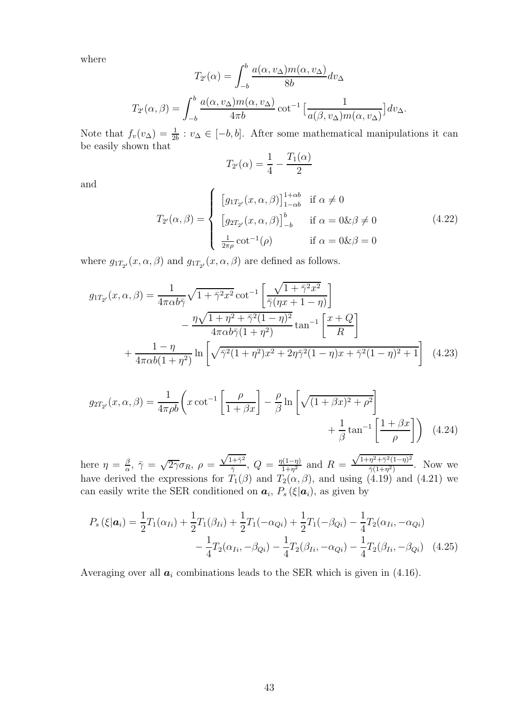where

$$
T_{2'}(\alpha) = \int_{-b}^{b} \frac{a(\alpha, v_{\Delta})m(\alpha, v_{\Delta})}{8b} dv_{\Delta}
$$

$$
T_{2'}(\alpha, \beta) = \int_{-b}^{b} \frac{a(\alpha, v_{\Delta})m(\alpha, v_{\Delta})}{4\pi b} \cot^{-1} \left[\frac{1}{a(\beta, v_{\Delta})m(\alpha, v_{\Delta})}\right] dv_{\Delta}.
$$

Note that  $f_v(v_\Delta) = \frac{1}{2b} : v_\Delta \in [-b, b]$ . After some mathematical manipulations it can<br>be easily shown that be easily shown that

$$
T_{2'}(\alpha) = \frac{1}{4} - \frac{T_1(\alpha)}{2}
$$

and

$$
T_{2'}(\alpha,\beta) = \begin{cases} \left[ g_{1T_{2'}}(x,\alpha,\beta) \right]_{1-\alpha b}^{1+\alpha b} & \text{if } \alpha \neq 0\\ \left[ g_{2T_{2'}}(x,\alpha,\beta) \right]_{-b}^{b} & \text{if } \alpha = 0 \& \beta \neq 0\\ \frac{1}{2\pi \rho} \cot^{-1}(\rho) & \text{if } \alpha = 0 \& \beta = 0 \end{cases}
$$
(4.22)

where  $g_{1T_{2'}}(x,\alpha,\beta)$  and  $g_{1T_{2'}}(x,\alpha,\beta)$  are defined as follows.

$$
g_{1T_{2'}}(x,\alpha,\beta) = \frac{1}{4\pi\alpha b\bar{\gamma}} \sqrt{1+\bar{\gamma}^{2}x^{2}} \cot^{-1} \left[ \frac{\sqrt{1+\bar{\gamma}^{2}x^{2}}}{\bar{\gamma}(\eta x+1-\eta)} \right] - \frac{\eta\sqrt{1+\eta^{2}+\bar{\gamma}^{2}(1-\eta)^{2}}}{4\pi\alpha b\bar{\gamma}(1+\eta^{2})} \tan^{-1} \left[ \frac{x+Q}{R} \right] + \frac{1-\eta}{4\pi\alpha b(1+\eta^{2})} \ln \left[ \sqrt{\bar{\gamma}^{2}(1+\eta^{2})x^{2}+2\eta\bar{\gamma}^{2}(1-\eta)x+\bar{\gamma}^{2}(1-\eta)^{2}+1} \right] \quad (4.23)
$$

$$
g_{2T_{2'}}(x,\alpha,\beta) = \frac{1}{4\pi\rho b} \left( x \cot^{-1} \left[ \frac{\rho}{1+\beta x} \right] - \frac{\rho}{\beta} \ln \left[ \sqrt{(1+\beta x)^2 + \rho^2} \right] + \frac{1}{\beta} \tan^{-1} \left[ \frac{1+\beta x}{\rho} \right] \right) \tag{4.24}
$$

here  $\eta = \frac{\beta}{\alpha}$  $\frac{\beta}{\alpha}$ ,  $\bar{\gamma} = \sqrt{2\gamma} \sigma_R$ ,  $\rho = \frac{\sqrt{1+\bar{\gamma}^2}}{\bar{\gamma}}$  $\frac{q_1+\bar{\gamma}^2}{\bar{\gamma}}, Q = \frac{\eta(1-\eta)}{1+\eta^2}$  and  $R =$  $\frac{\sqrt{1+\eta^2+\bar{\gamma}^2(1-\eta)^2}}{\tau(1+\tau^2)}$ here  $\eta = \frac{\beta}{\alpha}$ ,  $\bar{\gamma} = \sqrt{2\gamma}\sigma_R$ ,  $\rho = \frac{\sqrt{1+\gamma}}{\bar{\gamma}}$ ,  $Q = \frac{\eta(1-\eta)}{1+\eta^2}$  and  $R = \frac{\sqrt{1+\eta} + \gamma(1-\eta)}{\bar{\gamma}(1+\eta^2)}$ . Now we have derived the expressions for  $T_1(\beta)$  and  $T_2(\alpha, \beta)$ , and using (4.19) and (4.21) we can easily write the SER conditioned on  $a_i$ ,  $P_s(\xi|a_i)$ , as given by

$$
P_s(\xi|\mathbf{a}_i) = \frac{1}{2}T_1(\alpha_{Ii}) + \frac{1}{2}T_1(\beta_{Ii}) + \frac{1}{2}T_1(-\alpha_{Qi}) + \frac{1}{2}T_1(-\beta_{Qi}) - \frac{1}{4}T_2(\alpha_{Ii}, -\alpha_{Qi}) - \frac{1}{4}T_2(\beta_{Ii}, -\beta_{Qi}) - \frac{1}{4}T_2(\beta_{Ii}, -\beta_{Qi}) - \frac{1}{4}T_2(\beta_{Ii}, -\beta_{Qi})
$$
(4.25)

Averaging over all  $a_i$  combinations leads to the SER which is given in  $(4.16)$ .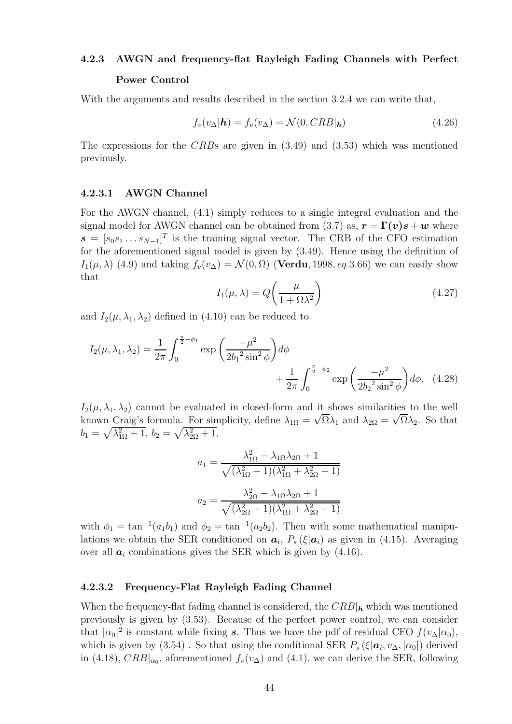#### **4.2.3 AWGN and frequency-flat Rayleigh Fading Channels with Perfect**

#### **Power Control**

With the arguments and results described in the section 3.2.4 we can write that,

$$
f_v(v_\Delta|\mathbf{h}) = f_v(v_\Delta) = \mathcal{N}(0, CRB|\mathbf{h})\tag{4.26}
$$

The expressions for the CRBs are given in (3.49) and (3.53) which was mentioned previously.

#### **4.2.3.1 AWGN Channel**

For the AWGN channel, (4.1) simply reduces to a single integral evaluation and the signal model for AWGN channel can be obtained from (3.7) as,  $\mathbf{r} = \Gamma(\mathbf{v})\mathbf{s} + \mathbf{w}$  where  $\boldsymbol{s} = [s_0 s_1 \dots s_{N-1}]^T$  is the training signal vector. The CRB of the CFO estimation for the aforementioned signal model is given by (3.49). Hence using the definition of  $I_1(\mu, \lambda)$  (4.9) and taking  $f_v(v_\Delta) = \mathcal{N}(0, \Omega)$  (**Verdu**, 1998, eq. 3.66) we can easily show that

$$
I_1(\mu,\lambda) = Q\left(\frac{\mu}{1 + \Omega\lambda^2}\right) \tag{4.27}
$$

and  $I_2(\mu, \lambda_1, \lambda_2)$  defined in (4.10) can be reduced to

$$
I_2(\mu, \lambda_1, \lambda_2) = \frac{1}{2\pi} \int_0^{\frac{\pi}{2} - \phi_1} \exp\left(\frac{-\mu^2}{2b_1^2 \sin^2 \phi}\right) d\phi + \frac{1}{2\pi} \int_0^{\frac{\pi}{2} - \phi_2} \exp\left(\frac{-\mu^2}{2b_2^2 \sin^2 \phi}\right) d\phi. \quad (4.28)
$$

 $I_2(\mu, \lambda_1, \lambda_2)$  cannot be evaluated in closed-form and it shows similarities to the well  $L_2(\mu, \lambda_1, \lambda_2)$  cannot be evaluated in closed-form and it shows similarities to the well<br>known Craig's formula. For simplicity, define  $\lambda_{1\Omega} = \sqrt{\Omega} \lambda_1$  and  $\lambda_{2\Omega} = \sqrt{\Omega} \lambda_2$ . So that  $b_1 = \sqrt{\lambda_{1\Omega}^2 + 1}, b_2 = \sqrt{\lambda_{2\Omega}^2 + 1},$ 

$$
a_1 = \frac{\lambda_{1\Omega}^2 - \lambda_{1\Omega}\lambda_{2\Omega} + 1}{\sqrt{(\lambda_{1\Omega}^2 + 1)(\lambda_{1\Omega}^2 + \lambda_{2\Omega}^2 + 1)}}
$$

$$
a_2 = \frac{\lambda_{2\Omega}^2 - \lambda_{1\Omega}\lambda_{2\Omega} + 1}{\sqrt{(\lambda_{2\Omega}^2 + 1)(\lambda_{1\Omega}^2 + \lambda_{2\Omega}^2 + 1)}}
$$

with  $\phi_1 = \tan^{-1}(a_1b_1)$  and  $\phi_2 = \tan^{-1}(a_2b_2)$ . Then with some mathematical manipulations we obtain the SER conditioned on  $a_i$ ,  $P_s(\xi|a_i)$  as given in (4.15). Averaging over all  $a_i$  combinations gives the SER which is given by  $(4.16)$ .

#### **4.2.3.2 Frequency-Flat Rayleigh Fading Channel**

When the frequency-flat fading channel is considered, the  $CRB|_h$  which was mentioned previously is given by (3.53). Because of the perfect power control, we can consider that  $|\alpha_0|^2$  is constant while fixing *s*. Thus we have the pdf of residual CFO  $f(v_\Delta|\alpha_0)$ , which is given by (3.54). So that using the conditional SER  $P_s(\xi|\mathbf{a}_i, v_\Delta, |\alpha_0|)$  derived in (4.18),  $CRB|_{\alpha_0}$ , aforementioned  $f_v(v_\Delta)$  and (4.1), we can derive the SER, following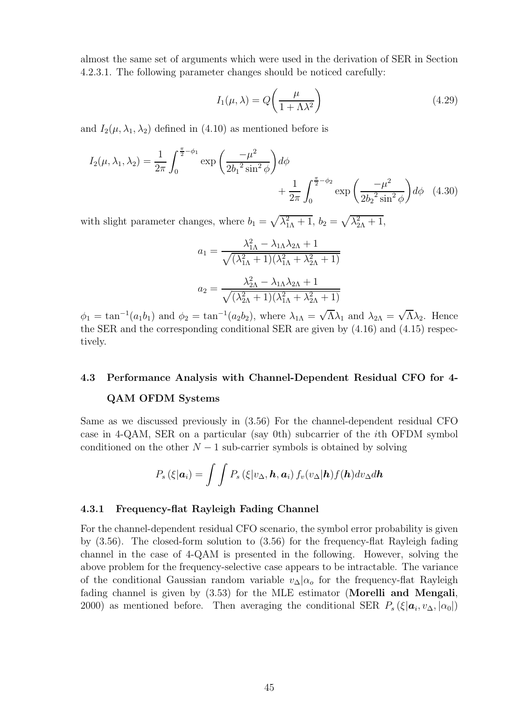almost the same set of arguments which were used in the derivation of SER in Section 4.2.3.1. The following parameter changes should be noticed carefully:

$$
I_1(\mu,\lambda) = Q\left(\frac{\mu}{1+\Lambda\lambda^2}\right) \tag{4.29}
$$

and  $I_2(\mu, \lambda_1, \lambda_2)$  defined in (4.10) as mentioned before is

$$
I_2(\mu, \lambda_1, \lambda_2) = \frac{1}{2\pi} \int_0^{\frac{\pi}{2} - \phi_1} \exp\left(\frac{-\mu^2}{2b_1^2 \sin^2 \phi}\right) d\phi + \frac{1}{2\pi} \int_0^{\frac{\pi}{2} - \phi_2} \exp\left(\frac{-\mu^2}{2b_2^2 \sin^2 \phi}\right) d\phi \quad (4.30)
$$

with slight parameter changes, where  $b_1 = \sqrt{\lambda_{1\Lambda}^2 + 1}$ ,  $b_2 = \sqrt{\lambda_{2\Lambda}^2 + 1}$ ,

$$
a_1 = \frac{\lambda_{1\Lambda}^2 - \lambda_{1\Lambda}\lambda_{2\Lambda} + 1}{\sqrt{(\lambda_{1\Lambda}^2 + 1)(\lambda_{1\Lambda}^2 + \lambda_{2\Lambda}^2 + 1)}}
$$

$$
a_2 = \frac{\lambda_{2\Lambda}^2 - \lambda_{1\Lambda}\lambda_{2\Lambda} + 1}{\sqrt{(\lambda_{2\Lambda}^2 + 1)(\lambda_{1\Lambda}^2 + \lambda_{2\Lambda}^2 + 1)}}
$$

 $\phi_1 = \tan^{-1}(a_1b_1)$  and  $\phi_2 = \tan^{-1}(a_2b_2)$ , where  $\lambda_{1\Lambda} = \sqrt{\Lambda}\lambda_1$  and  $\lambda_{2\Lambda} = \sqrt{\Lambda}\lambda_2$ . Hence the SER and the corresponding conditional SER are given by (4.16) and (4.15) respectively.

# **4.3 Performance Analysis with Channel-Dependent Residual CFO for 4- QAM OFDM Systems**

Same as we discussed previously in (3.56) For the channel-dependent residual CFO case in 4-QAM, SER on a particular (say 0th) subcarrier of the ith OFDM symbol conditioned on the other  $N-1$  sub-carrier symbols is obtained by solving

$$
P_s\left(\xi|\boldsymbol{a}_i\right) = \int\int P_s\left(\xi|v_\Delta,\boldsymbol{h},\boldsymbol{a}_i\right)f_v(v_\Delta|\boldsymbol{h})f(\boldsymbol{h})dv_\Delta d\boldsymbol{h}
$$

#### **4.3.1 Frequency-flat Rayleigh Fading Channel**

For the channel-dependent residual CFO scenario, the symbol error probability is given by (3.56). The closed-form solution to (3.56) for the frequency-flat Rayleigh fading channel in the case of 4-QAM is presented in the following. However, solving the above problem for the frequency-selective case appears to be intractable. The variance of the conditional Gaussian random variable  $v_{\Delta}|\alpha_{o}$  for the frequency-flat Rayleigh fading channel is given by (3.53) for the MLE estimator (**Morelli and Mengali**, 2000) as mentioned before. Then averaging the conditional SER  $P_s(\xi|\mathbf{a}_i, v_\Delta, |\alpha_0|)$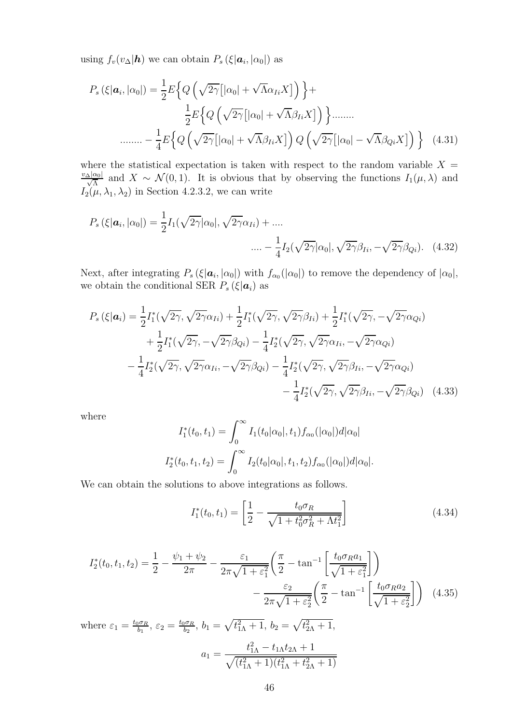using  $f_v(v_\Delta|\mathbf{h})$  we can obtain  $P_s(\xi|\mathbf{a}_i,|\alpha_0|)$  as

<sup>P</sup>s (ξ|*a*i, <sup>|</sup>α0|) = <sup>1</sup> 2 E Q "#2γ 4 <sup>|</sup>α0<sup>|</sup> <sup>+</sup> <sup>√</sup> <sup>Λ</sup>αIiX5\$ <sup>+</sup> 1 2 E Q "#2γ 4 <sup>|</sup>α0<sup>|</sup> <sup>+</sup> <sup>√</sup> <sup>Λ</sup>βIiX5\$ ........ ........ <sup>−</sup> <sup>1</sup> 4 E Q "#2γ 4 <sup>|</sup>α0<sup>|</sup> <sup>+</sup> <sup>√</sup> <sup>Λ</sup>βIiX5\$ Q "#2γ 4 <sup>|</sup>α0| − <sup>√</sup> <sup>Λ</sup>βQiX5\$ (4.31)

where the statistical expectation is taken with respect to the random variable  $X =$  $\frac{v_{\Delta}|\alpha_0|}{\sqrt{\Lambda}}$  and  $X \sim \mathcal{N}(0, 1)$ . It is obvious that by observing the functions  $I_1(\mu, \lambda)$  and  $I_2(\mu, \lambda_1, \lambda_2)$  in Section 4.2.3.2, we can write

$$
P_s\left(\xi|\mathbf{a}_i,|\alpha_0|\right) = \frac{1}{2}I_1(\sqrt{2\gamma}|\alpha_0|,\sqrt{2\gamma}\alpha_{Ii}) + \dots
$$

$$
\dots - \frac{1}{4}I_2(\sqrt{2\gamma}|\alpha_0|,\sqrt{2\gamma}\beta_{Ii},-\sqrt{2\gamma}\beta_{Qi}). \quad (4.32)
$$

Next, after integrating  $P_s(\xi|\mathbf{a}_i,|\alpha_0|)$  with  $f_{\alpha_0}(|\alpha_0|)$  to remove the dependency of  $|\alpha_0|$ , we obtain the conditional SER  $P_s(\xi|\boldsymbol{a}_i)$  as

$$
P_s(\xi|\mathbf{a}_i) = \frac{1}{2}I_1^*(\sqrt{2\gamma}, \sqrt{2\gamma}\alpha_{Ii}) + \frac{1}{2}I_1^*(\sqrt{2\gamma}, \sqrt{2\gamma}\beta_{Ii}) + \frac{1}{2}I_1^*(\sqrt{2\gamma}, -\sqrt{2\gamma}\alpha_{Qi}) + \frac{1}{2}I_1^*(\sqrt{2\gamma}, -\sqrt{2\gamma}\beta_{Qi}) - \frac{1}{4}I_2^*(\sqrt{2\gamma}, \sqrt{2\gamma}\alpha_{Ii}, -\sqrt{2\gamma}\alpha_{Qi}) - \frac{1}{4}I_2^*(\sqrt{2\gamma}, \sqrt{2\gamma}\alpha_{Ii}, -\sqrt{2\gamma}\beta_{Qi}) - \frac{1}{4}I_2^*(\sqrt{2\gamma}, \sqrt{2\gamma}\beta_{Ii}, -\sqrt{2\gamma}\alpha_{Qi}) - \frac{1}{4}I_2^*(\sqrt{2\gamma}, \sqrt{2\gamma}\beta_{Ii}, -\sqrt{2\gamma}\beta_{Qi})
$$
(4.33)

where

$$
I_1^*(t_0, t_1) = \int_0^\infty I_1(t_0|\alpha_0|, t_1) f_{\alpha_0}(|\alpha_0|) d|\alpha_0|
$$
  

$$
I_2^*(t_0, t_1, t_2) = \int_0^\infty I_2(t_0|\alpha_0|, t_1, t_2) f_{\alpha_0}(|\alpha_0|) d|\alpha_0|.
$$

We can obtain the solutions to above integrations as follows.

$$
I_1^*(t_0, t_1) = \left[\frac{1}{2} - \frac{t_0 \sigma_R}{\sqrt{1 + t_0^2 \sigma_R^2 + \Lambda t_1^2}}\right]
$$
(4.34)

$$
I_2^*(t_0, t_1, t_2) = \frac{1}{2} - \frac{\psi_1 + \psi_2}{2\pi} - \frac{\varepsilon_1}{2\pi\sqrt{1 + \varepsilon_1^2}} \left(\frac{\pi}{2} - \tan^{-1}\left[\frac{t_0 \sigma_R a_1}{\sqrt{1 + \varepsilon_1^2}}\right]\right) - \frac{\varepsilon_2}{2\pi\sqrt{1 + \varepsilon_2^2}} \left(\frac{\pi}{2} - \tan^{-1}\left[\frac{t_0 \sigma_R a_2}{\sqrt{1 + \varepsilon_2^2}}\right]\right) \tag{4.35}
$$

where  $\varepsilon_1 = \frac{t_0 \sigma_R}{b_1}$ ,  $\varepsilon_2 = \frac{t_0 \sigma_R}{b_2}$ ,  $b_1 = \sqrt{t_{1\Lambda}^2 + 1}$ ,  $b_2 = \sqrt{t_{2\Lambda}^2 + 1}$ ,

$$
a_1 = \frac{t_{1\Lambda}^2 - t_{1\Lambda}t_{2\Lambda} + 1}{\sqrt{(t_{1\Lambda}^2 + 1)(t_{1\Lambda}^2 + t_{2\Lambda}^2 + 1)}}
$$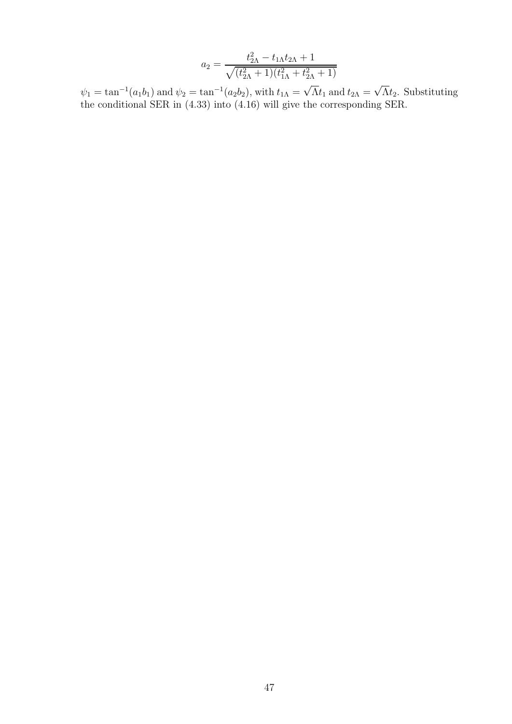$$
a_2 = \frac{t_{2\Lambda}^2 - t_{1\Lambda}t_{2\Lambda} + 1}{\sqrt{(t_{2\Lambda}^2 + 1)(t_{1\Lambda}^2 + t_{2\Lambda}^2 + 1)}}
$$

 $\psi_1 = \tan^{-1}(a_1b_1)$  and  $\psi_2 = \tan^{-1}(a_2b_2)$ , with  $t_{1\Lambda} = \sqrt{\Lambda}t_1$  and  $t_{2\Lambda} = \sqrt{\Lambda}t_2$ . Substituting the conditional SER in (4.33) into (4.16) will give the corresponding SER.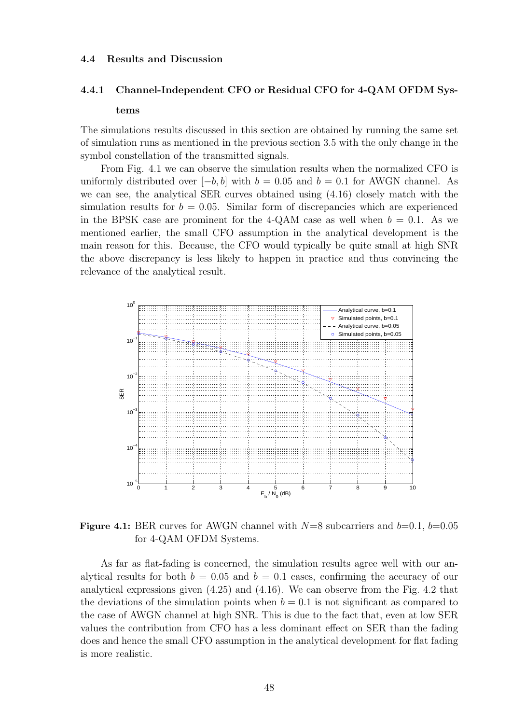#### **4.4 Results and Discussion**

#### **4.4.1 Channel-Independent CFO or Residual CFO for 4-QAM OFDM Sys-**

#### **tems**

The simulations results discussed in this section are obtained by running the same set of simulation runs as mentioned in the previous section 3.5 with the only change in the symbol constellation of the transmitted signals.

From Fig. 4.1 we can observe the simulation results when the normalized CFO is uniformly distributed over  $[-b, b]$  with  $b = 0.05$  and  $b = 0.1$  for AWGN channel. As we can see, the analytical SER curves obtained using (4.16) closely match with the simulation results for  $b = 0.05$ . Similar form of discrepancies which are experienced in the BPSK case are prominent for the 4-QAM case as well when  $b = 0.1$ . As we mentioned earlier, the small CFO assumption in the analytical development is the main reason for this. Because, the CFO would typically be quite small at high SNR the above discrepancy is less likely to happen in practice and thus convincing the relevance of the analytical result.



**Figure 4.1:** BER curves for AWGN channel with  $N=8$  subcarriers and  $b=0.1$ ,  $b=0.05$ for 4-QAM OFDM Systems.

As far as flat-fading is concerned, the simulation results agree well with our analytical results for both  $b = 0.05$  and  $b = 0.1$  cases, confirming the accuracy of our analytical expressions given (4.25) and (4.16). We can observe from the Fig. 4.2 that the deviations of the simulation points when  $b = 0.1$  is not significant as compared to the case of AWGN channel at high SNR. This is due to the fact that, even at low SER values the contribution from CFO has a less dominant effect on SER than the fading does and hence the small CFO assumption in the analytical development for flat fading is more realistic.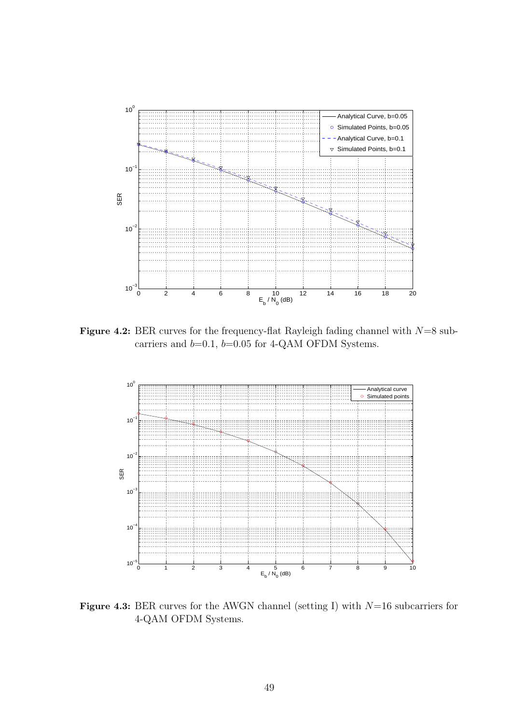

**Figure 4.2:** BER curves for the frequency-flat Rayleigh fading channel with  $N=8$  subcarriers and  $b=0.1$ ,  $b=0.05$  for 4-QAM OFDM Systems.



**Figure 4.3:** BER curves for the AWGN channel (setting I) with  $N=16$  subcarriers for 4-QAM OFDM Systems.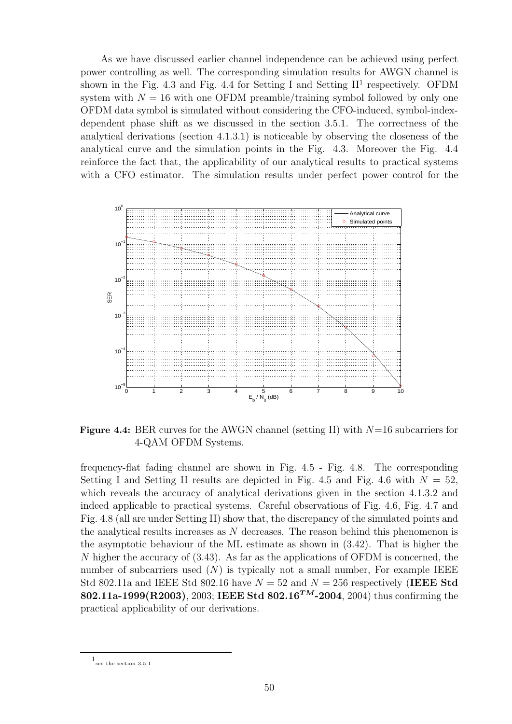As we have discussed earlier channel independence can be achieved using perfect power controlling as well. The corresponding simulation results for AWGN channel is shown in the Fig. 4.3 and Fig. 4.4 for Setting I and Setting  $II<sup>1</sup>$  respectively. OFDM system with  $N = 16$  with one OFDM preamble/training symbol followed by only one OFDM data symbol is simulated without considering the CFO-induced, symbol-indexdependent phase shift as we discussed in the section 3.5.1. The correctness of the analytical derivations (section 4.1.3.1) is noticeable by observing the closeness of the analytical curve and the simulation points in the Fig. 4.3. Moreover the Fig. 4.4 reinforce the fact that, the applicability of our analytical results to practical systems with a CFO estimator. The simulation results under perfect power control for the



**Figure 4.4:** BER curves for the AWGN channel (setting II) with  $N=16$  subcarriers for 4-QAM OFDM Systems.

frequency-flat fading channel are shown in Fig. 4.5 - Fig. 4.8. The corresponding Setting I and Setting II results are depicted in Fig. 4.5 and Fig. 4.6 with  $N = 52$ , which reveals the accuracy of analytical derivations given in the section 4.1.3.2 and indeed applicable to practical systems. Careful observations of Fig. 4.6, Fig. 4.7 and Fig. 4.8 (all are under Setting II) show that, the discrepancy of the simulated points and the analytical results increases as  $N$  decreases. The reason behind this phenomenon is the asymptotic behaviour of the ML estimate as shown in (3.42). That is higher the N higher the accuracy of (3.43). As far as the applications of OFDM is concerned, the number of subcarriers used  $(N)$  is typically not a small number, For example IEEE Std 802.11a and IEEE Std 802.16 have  $N = 52$  and  $N = 256$  respectively (IEEE Std **802.11a-1999(R2003)**, 2003; **IEEE Std 802***.***16***TM***-2004**, 2004) thus confirming the practical applicability of our derivations.

 $1\!\!_{\rm see}$  the section  $3.5.1\!\!$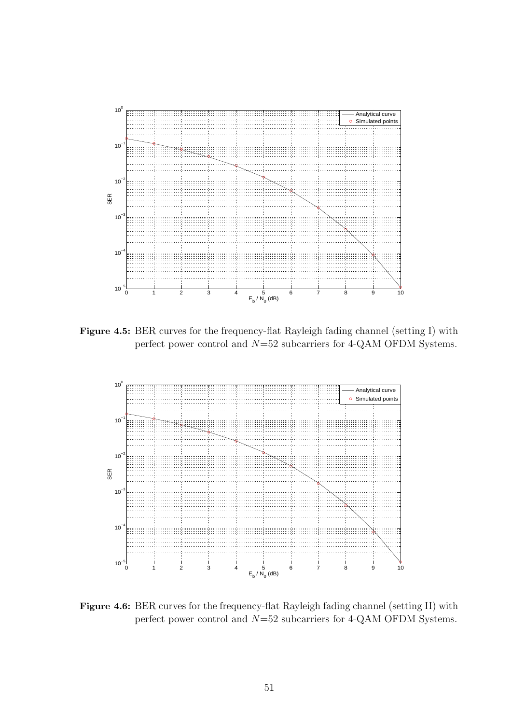

**Figure 4.5:** BER curves for the frequency-flat Rayleigh fading channel (setting I) with perfect power control and  $N=52$  subcarriers for 4-QAM OFDM Systems.



**Figure 4.6:** BER curves for the frequency-flat Rayleigh fading channel (setting II) with perfect power control and  $N=52$  subcarriers for 4-QAM OFDM Systems.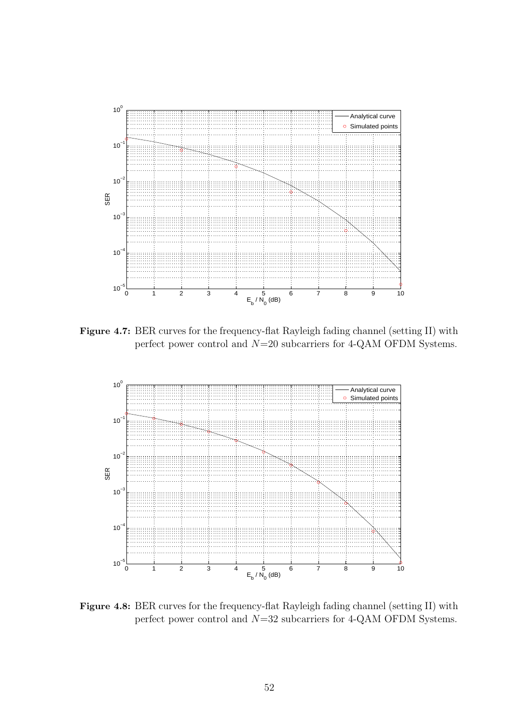

**Figure 4.7:** BER curves for the frequency-flat Rayleigh fading channel (setting II) with perfect power control and  $N=20$  subcarriers for 4-QAM OFDM Systems.



**Figure 4.8:** BER curves for the frequency-flat Rayleigh fading channel (setting II) with perfect power control and  $N=32$  subcarriers for 4-QAM OFDM Systems.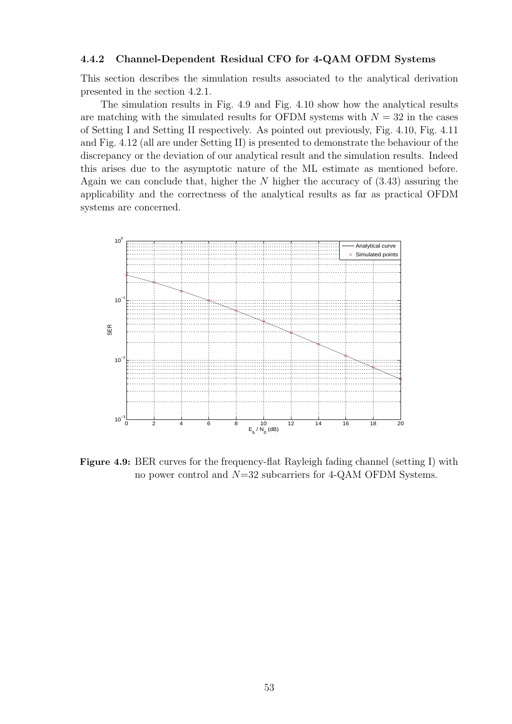#### **4.4.2 Channel-Dependent Residual CFO for 4-QAM OFDM Systems**

This section describes the simulation results associated to the analytical derivation presented in the section 4.2.1.

The simulation results in Fig. 4.9 and Fig. 4.10 show how the analytical results are matching with the simulated results for OFDM systems with  $N = 32$  in the cases of Setting I and Setting II respectively. As pointed out previously, Fig. 4.10, Fig. 4.11 and Fig. 4.12 (all are under Setting II) is presented to demonstrate the behaviour of the discrepancy or the deviation of our analytical result and the simulation results. Indeed this arises due to the asymptotic nature of the ML estimate as mentioned before. Again we can conclude that, higher the  $N$  higher the accuracy of  $(3.43)$  assuring the applicability and the correctness of the analytical results as far as practical OFDM systems are concerned.



**Figure 4.9:** BER curves for the frequency-flat Rayleigh fading channel (setting I) with no power control and  $N=32$  subcarriers for 4-QAM OFDM Systems.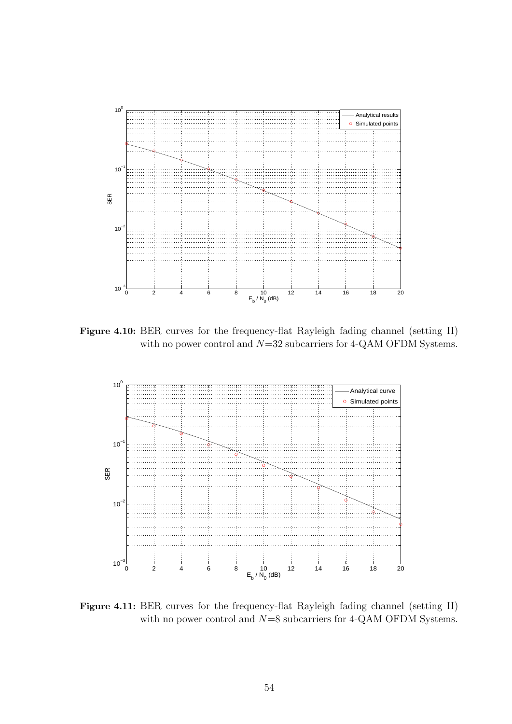

**Figure 4.10:** BER curves for the frequency-flat Rayleigh fading channel (setting II) with no power control and  $N=32$  subcarriers for 4-QAM OFDM Systems.



**Figure 4.11:** BER curves for the frequency-flat Rayleigh fading channel (setting II) with no power control and  $N=8$  subcarriers for 4-QAM OFDM Systems.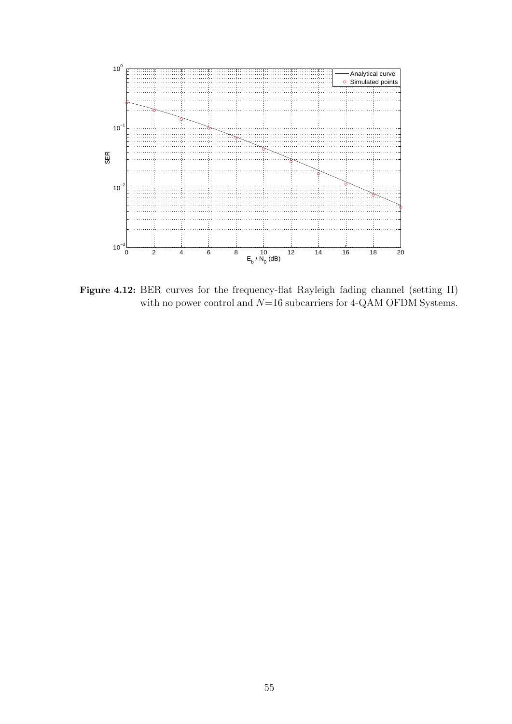

**Figure 4.12:** BER curves for the frequency-flat Rayleigh fading channel (setting II) with no power control and  $N{=}16$  subcarriers for 4-QAM OFDM Systems.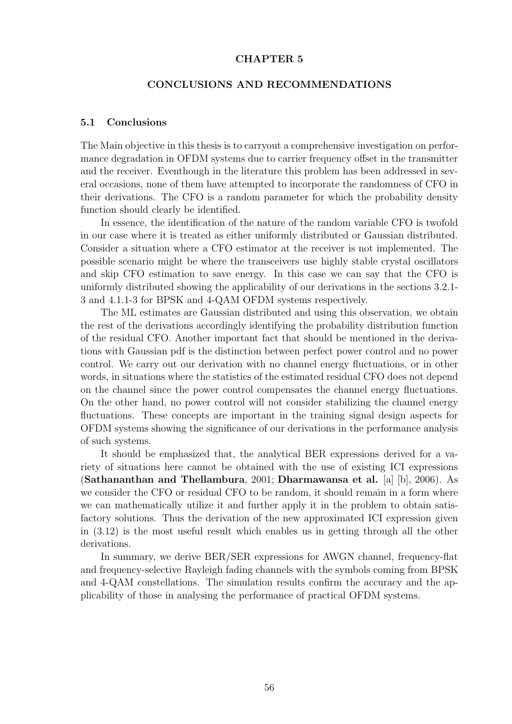#### **CHAPTER 5**

### **CONCLUSIONS AND RECOMMENDATIONS**

#### **5.1 Conclusions**

The Main objective in this thesis is to carryout a comprehensive investigation on performance degradation in OFDM systems due to carrier frequency offset in the transmitter and the receiver. Eventhough in the literature this problem has been addressed in several occasions, none of them have attempted to incorporate the randomness of CFO in their derivations. The CFO is a random parameter for which the probability density function should clearly be identified.

In essence, the identification of the nature of the random variable CFO is twofold in our case where it is treated as either uniformly distributed or Gaussian distributed. Consider a situation where a CFO estimator at the receiver is not implemented. The possible scenario might be where the transceivers use highly stable crystal oscillators and skip CFO estimation to save energy. In this case we can say that the CFO is uniformly distributed showing the applicability of our derivations in the sections 3.2.1- 3 and 4.1.1-3 for BPSK and 4-QAM OFDM systems respectively.

The ML estimates are Gaussian distributed and using this observation, we obtain the rest of the derivations accordingly identifying the probability distribution function of the residual CFO. Another important fact that should be mentioned in the derivations with Gaussian pdf is the distinction between perfect power control and no power control. We carry out our derivation with no channel energy fluctuations, or in other words, in situations where the statistics of the estimated residual CFO does not depend on the channel since the power control compensates the channel energy fluctuations. On the other hand, no power control will not consider stabilizing the channel energy fluctuations. These concepts are important in the training signal design aspects for OFDM systems showing the significance of our derivations in the performance analysis of such systems.

It should be emphasized that, the analytical BER expressions derived for a variety of situations here cannot be obtained with the use of existing ICI expressions (**Sathananthan and Thellambura**, 2001; **Dharmawansa et al.** [a] [b], 2006). As we consider the CFO or residual CFO to be random, it should remain in a form where we can mathematically utilize it and further apply it in the problem to obtain satisfactory solutions. Thus the derivation of the new approximated ICI expression given in (3.12) is the most useful result which enables us in getting through all the other derivations.

In summary, we derive BER/SER expressions for AWGN channel, frequency-flat and frequency-selective Rayleigh fading channels with the symbols coming from BPSK and 4-QAM constellations. The simulation results confirm the accuracy and the applicability of those in analysing the performance of practical OFDM systems.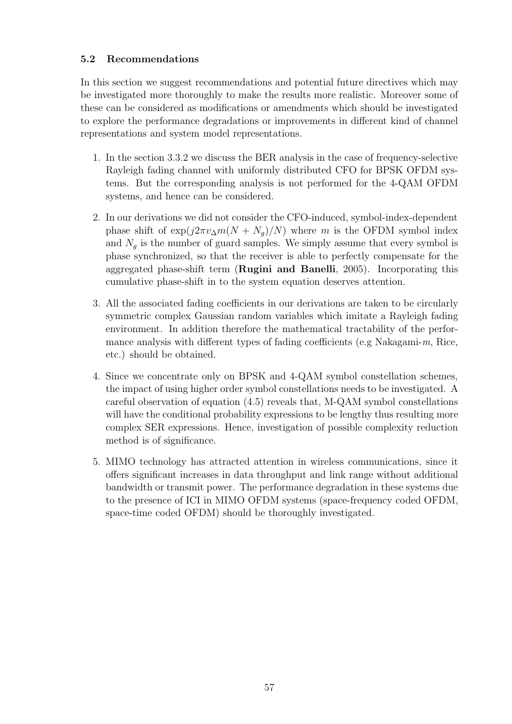### **5.2 Recommendations**

In this section we suggest recommendations and potential future directives which may be investigated more thoroughly to make the results more realistic. Moreover some of these can be considered as modifications or amendments which should be investigated to explore the performance degradations or improvements in different kind of channel representations and system model representations.

- 1. In the section 3.3.2 we discuss the BER analysis in the case of frequency-selective Rayleigh fading channel with uniformly distributed CFO for BPSK OFDM systems. But the corresponding analysis is not performed for the 4-QAM OFDM systems, and hence can be considered.
- 2. In our derivations we did not consider the CFO-induced, symbol-index-dependent phase shift of  $\exp(j2\pi v_{\Delta}m(N + N_q)/N)$  where m is the OFDM symbol index and  $N_q$  is the number of guard samples. We simply assume that every symbol is phase synchronized, so that the receiver is able to perfectly compensate for the aggregated phase-shift term (**Rugini and Banelli**, 2005). Incorporating this cumulative phase-shift in to the system equation deserves attention.
- 3. All the associated fading coefficients in our derivations are taken to be circularly symmetric complex Gaussian random variables which imitate a Rayleigh fading environment. In addition therefore the mathematical tractability of the performance analysis with different types of fading coefficients (e.g Nakagami- $m$ , Rice, etc.) should be obtained.
- 4. Since we concentrate only on BPSK and 4-QAM symbol constellation schemes, the impact of using higher order symbol constellations needs to be investigated. A careful observation of equation (4.5) reveals that, M-QAM symbol constellations will have the conditional probability expressions to be lengthy thus resulting more complex SER expressions. Hence, investigation of possible complexity reduction method is of significance.
- 5. MIMO technology has attracted attention in wireless communications, since it offers significant increases in data throughput and link range without additional bandwidth or transmit power. The performance degradation in these systems due to the presence of ICI in MIMO OFDM systems (space-frequency coded OFDM, space-time coded OFDM) should be thoroughly investigated.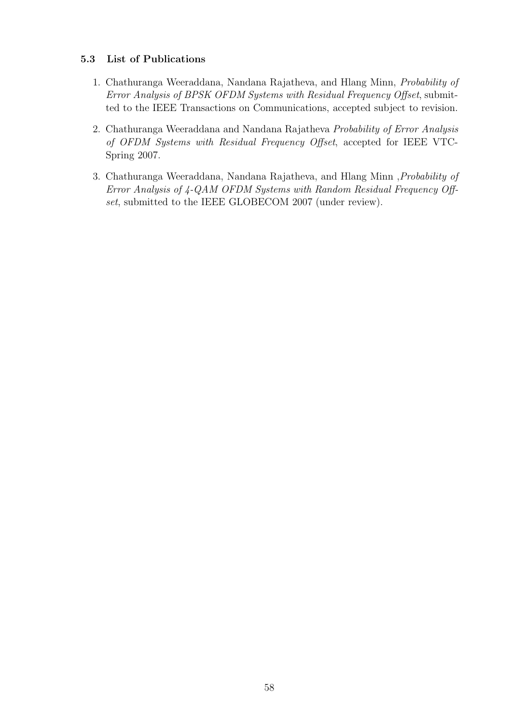### **5.3 List of Publications**

- 1. Chathuranga Weeraddana, Nandana Rajatheva, and Hlang Minn, Probability of Error Analysis of BPSK OFDM Systems with Residual Frequency Offset, submitted to the IEEE Transactions on Communications, accepted subject to revision.
- 2. Chathuranga Weeraddana and Nandana Rajatheva Probability of Error Analysis of OFDM Systems with Residual Frequency Offset, accepted for IEEE VTC-Spring 2007.
- 3. Chathuranga Weeraddana, Nandana Rajatheva, and Hlang Minn ,Probability of Error Analysis of 4-QAM OFDM Systems with Random Residual Frequency Offset, submitted to the IEEE GLOBECOM 2007 (under review).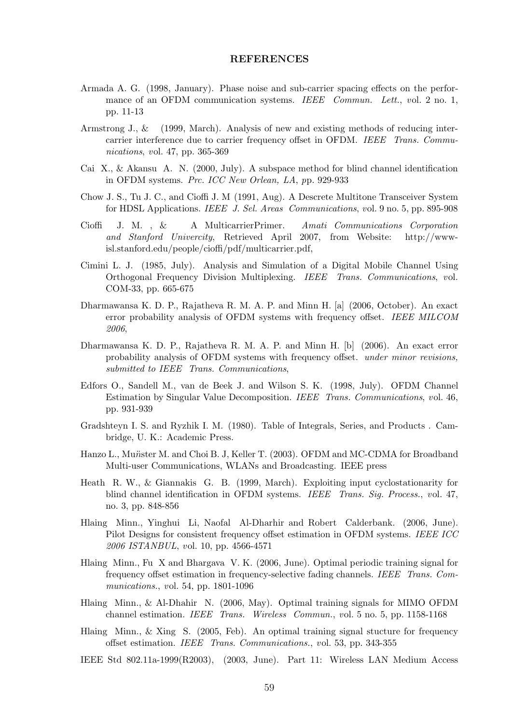#### **REFERENCES**

- Armada A. G. (1998, January). Phase noise and sub-carrier spacing effects on the performance of an OFDM communication systems. *IEEE Commun. Lett.*, *v*ol. 2 no. 1, pp. 11-13
- Armstrong J., & (1999, March). Analysis of new and existing methods of reducing intercarrier interference due to carrier frequency offset in OFDM. *IEEE Trans. Communications*, *v*ol. 47, pp. 365-369
- Cai X., & Akansu A. N. (2000, July). A subspace method for blind channel identification in OFDM systems. *Prc. ICC New Orlean, LA*, *p*p. 929-933
- Chow J. S., Tu J. C., and Cioffi J. M (1991, Aug). A Descrete Multitone Transceiver System for HDSL Applications. *IEEE J. Sel. Areas Communications*, *v*ol. 9 no. 5, pp. 895-908
- Cioffi J. M. , & A MulticarrierPrimer. *Amati Communications Corporation and Stanford Univercity*, Retrieved April 2007, from Website: http://wwwisl.stanford.edu/people/cioffi/pdf/multicarrier.pdf,
- Cimini L. J. (1985, July). Analysis and Simulation of a Digital Mobile Channel Using Orthogonal Frequency Division Multiplexing. *IEEE Trans. Communications*, *v*ol. COM-33, pp. 665-675
- Dharmawansa K. D. P., Rajatheva R. M. A. P. and Minn H. [a] (2006, October). An exact error probability analysis of OFDM systems with frequency offset. *IEEE MILCOM 2006*,
- Dharmawansa K. D. P., Rajatheva R. M. A. P. and Minn H. [b] (2006). An exact error probability analysis of OFDM systems with frequency offset. *under minor revisions, submitted to IEEE Trans. Communications*,
- Edfors O., Sandell M., van de Beek J. and Wilson S. K. (1998, July). OFDM Channel Estimation by Singular Value Decomposition. *IEEE Trans. Communications*, *v*ol. 46, pp. 931-939
- Gradshteyn I. S. and Ryzhik I. M. (1980). Table of Integrals, Series, and Products . Cambridge, U. K.: Academic Press.
- Hanzo L., Mu*n*ster M. and Choi B. J, Keller T. (2003). OFDM and MC-CDMA for Broadband Multi-user Communications, WLANs and Broadcasting. IEEE press
- Heath R. W., & Giannakis G. B. (1999, March). Exploiting input cyclostationarity for blind channel identification in OFDM systems. *IEEE Trans. Sig. Process.*, *v*ol. 47, no. 3, pp. 848-856
- Hlaing Minn., Yinghui Li, Naofal Al-Dharhir and Robert Calderbank. (2006, June). Pilot Designs for consistent frequency offset estimation in OFDM systems. *IEEE ICC 2006 ISTANBUL*, *v*ol. 10, pp. 4566-4571
- Hlaing Minn., Fu X and Bhargava V. K. (2006, June). Optimal periodic training signal for frequency offset estimation in frequency-selective fading channels. *IEEE Trans. Communications.*, *v*ol. 54, pp. 1801-1096
- Hlaing Minn., & Al-Dhahir N. (2006, May). Optimal training signals for MIMO OFDM channel estimation. *IEEE Trans. Wireless Commun.*, *v*ol. 5 no. 5, pp. 1158-1168
- Hlaing Minn., & Xing S. (2005, Feb). An optimal training signal stucture for frequency offset estimation. *IEEE Trans. Communications.*, *v*ol. 53, pp. 343-355
- IEEE Std 802.11a-1999(R2003), (2003, June). Part 11: Wireless LAN Medium Access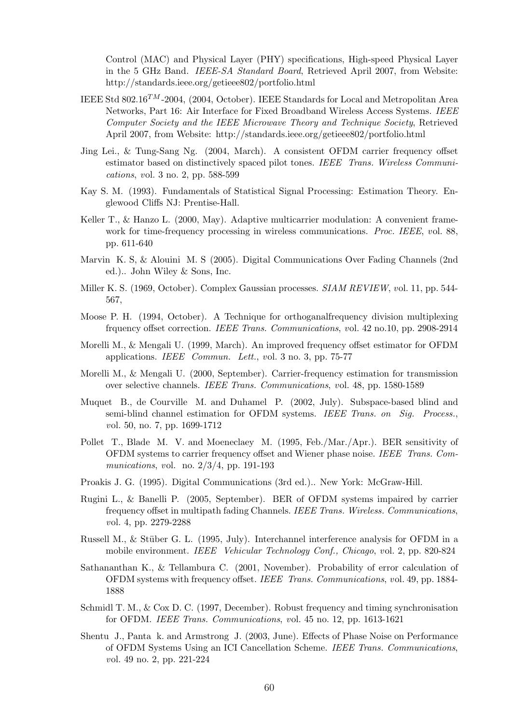Control (MAC) and Physical Layer (PHY) specifications, High-speed Physical Layer in the 5 GHz Band. *IEEE-SA Standard Board*, Retrieved April 2007, from Website: http://standards.ieee.org/getieee802/portfolio.html

- IEEE Std 802*.*16TM -2004, (2004, October). IEEE Standards for Local and Metropolitan Area Networks, Part 16: Air Interface for Fixed Broadband Wireless Access Systems. *IEEE Computer Society and the IEEE Microwave Theory and Technique Society*, Retrieved April 2007, from Website: http://standards.ieee.org/getieee802/portfolio.html
- Jing Lei., & Tung-Sang Ng. (2004, March). A consistent OFDM carrier frequency offset estimator based on distinctively spaced pilot tones. *IEEE Trans. Wireless Communications*, *v*ol. 3 no. 2, pp. 588-599
- Kay S. M. (1993). Fundamentals of Statistical Signal Processing: Estimation Theory. Englewood Cliffs NJ: Prentise-Hall.
- Keller T., & Hanzo L. (2000, May). Adaptive multicarrier modulation: A convenient framework for time-frequency processing in wireless communications. *Proc. IEEE*, *v*ol. 88, pp. 611-640
- Marvin K. S, & Alouini M. S (2005). Digital Communications Over Fading Channels (2nd ed.).. John Wiley & Sons, Inc.
- Miller K. S. (1969, October). Complex Gaussian processes. *SIAM REVIEW*, *v*ol. 11, pp. 544- 567,
- Moose P. H. (1994, October). A Technique for orthoganalfrequency division multiplexing frquency offset correction. *IEEE Trans. Communications*, *v*ol. 42 no.10, pp. 2908-2914
- Morelli M., & Mengali U. (1999, March). An improved frequency offset estimator for OFDM applications. *IEEE Commun. Lett.*, *v*ol. 3 no. 3, pp. 75-77
- Morelli M., & Mengali U. (2000, September). Carrier-frequency estimation for transmission over selective channels. *IEEE Trans. Communications*, *v*ol. 48, pp. 1580-1589
- Muquet B., de Courville M. and Duhamel P. (2002, July). Subspace-based blind and semi-blind channel estimation for OFDM systems. *IEEE Trans. on Sig. Process.*, *v*ol. 50, no. 7, pp. 1699-1712
- Pollet T., Blade M. V. and Moeneclaey M. (1995, Feb./Mar./Apr.). BER sensitivity of OFDM systems to carrier frequency offset and Wiener phase noise. *IEEE Trans. Communications*, *v*ol. no. 2/3/4, pp. 191-193
- Proakis J. G. (1995). Digital Communications (3rd ed.).. New York: McGraw-Hill.
- Rugini L., & Banelli P. (2005, September). BER of OFDM systems impaired by carrier frequency offset in multipath fading Channels. *IEEE Trans. Wireless. Communications*, *v*ol. 4, pp. 2279-2288
- Russell M., & Stüber G. L. (1995, July). Interchannel interference analysis for OFDM in a mobile environment. *IEEE Vehicular Technology Conf., Chicago*, *v*ol. 2, pp. 820-824
- Sathananthan K., & Tellambura C. (2001, November). Probability of error calculation of OFDM systems with frequency offset. *IEEE Trans. Communications*, *v*ol. 49, pp. 1884- 1888
- Schmidl T. M., & Cox D. C. (1997, December). Robust frequency and timing synchronisation for OFDM. *IEEE Trans. Communications*, *v*ol. 45 no. 12, pp. 1613-1621
- Shentu J., Panta k. and Armstrong J. (2003, June). Effects of Phase Noise on Performance of OFDM Systems Using an ICI Cancellation Scheme. *IEEE Trans. Communications*, *v*ol. 49 no. 2, pp. 221-224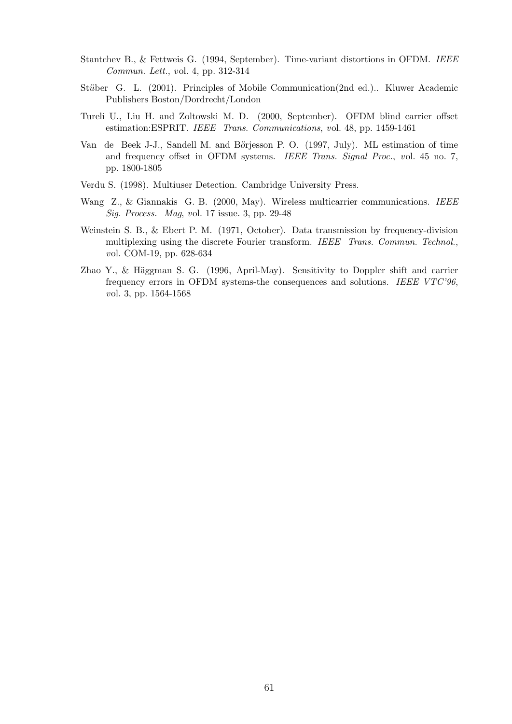- Stantchev B., & Fettweis G. (1994, September). Time-variant distortions in OFDM. *IEEE Commun. Lett.*, *v*ol. 4, pp. 312-314
- Stüber G. L. (2001). Principles of Mobile Communication(2nd ed.).. Kluwer Academic Publishers Boston/Dordrecht/London
- Tureli U., Liu H. and Zoltowski M. D. (2000, September). OFDM blind carrier offset estimation:ESPRIT. *IEEE Trans. Communications*, *v*ol. 48, pp. 1459-1461
- Van de Beek J-J., Sandell M. and Börjesson P. O. (1997, July). ML estimation of time and frequency offset in OFDM systems. *IEEE Trans. Signal Proc.*, *v*ol. 45 no. 7, pp. 1800-1805
- Verdu S. (1998). Multiuser Detection. Cambridge University Press.
- Wang Z., & Giannakis G. B. (2000, May). Wireless multicarrier communications. *IEEE Sig. Process. Mag*, *v*ol. 17 issue. 3, pp. 29-48
- Weinstein S. B., & Ebert P. M. (1971, October). Data transmission by frequency-division multiplexing using the discrete Fourier transform. *IEEE Trans. Commun. Technol.*, *v*ol. COM-19, pp. 628-634
- Zhao Y., & Häggman S. G. (1996, April-May). Sensitivity to Doppler shift and carrier frequency errors in OFDM systems-the consequences and solutions. *IEEE VTC'96*, *v*ol. 3, pp. 1564-1568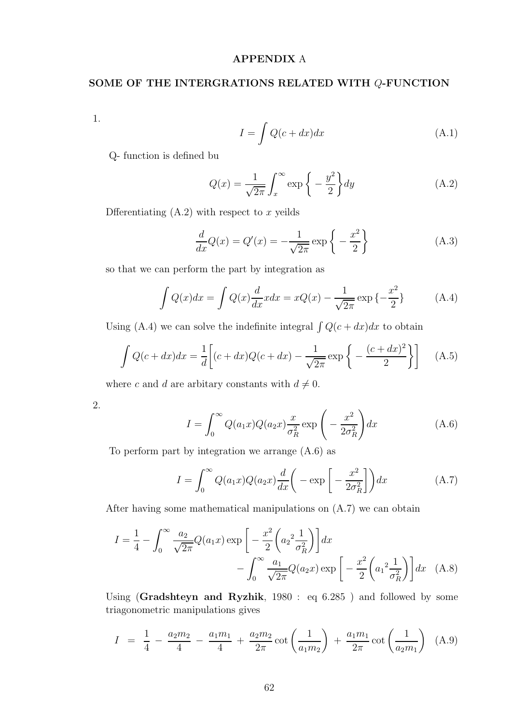## **APPENDIX** A

## **SOME OF THE INTERGRATIONS RELATED WITH** Q**-FUNCTION**

1.

$$
I = \int Q(c + dx)dx
$$
 (A.1)

Q- function is defined bu

$$
Q(x) = \frac{1}{\sqrt{2\pi}} \int_{x}^{\infty} \exp\left\{-\frac{y^2}{2}\right\} dy
$$
 (A.2)

Dfferentiating  $(A.2)$  with respect to x yeilds

$$
\frac{d}{dx}Q(x) = Q'(x) = -\frac{1}{\sqrt{2\pi}}\exp\left\{-\frac{x^2}{2}\right\}
$$
\n(A.3)

so that we can perform the part by integration as

$$
\int Q(x)dx = \int Q(x)\frac{d}{dx}xdx = xQ(x) - \frac{1}{\sqrt{2\pi}}\exp\{-\frac{x^2}{2}\}\
$$
 (A.4)

Using (A.4) we can solve the indefinite integral  $\int Q(c+dx)dx$  to obtain

$$
\int Q(c+dx)dx = \frac{1}{d}\left[ (c+dx)Q(c+dx) - \frac{1}{\sqrt{2\pi}}\exp\left\{-\frac{(c+dx)^2}{2}\right\} \right]
$$
 (A.5)

where c and d are arbitary constants with  $d \neq 0$ .

2.

$$
I = \int_0^\infty Q(a_1 x) Q(a_2 x) \frac{x}{\sigma_R^2} \exp\left(-\frac{x^2}{2\sigma_R^2}\right) dx \tag{A.6}
$$

To perform part by integration we arrange (A.6) as

$$
I = \int_0^\infty Q(a_1 x) Q(a_2 x) \frac{d}{dx} \left( -\exp\left[ -\frac{x^2}{2\sigma_R^2} \right] \right) dx \tag{A.7}
$$

After having some mathematical manipulations on (A.7) we can obtain

$$
I = \frac{1}{4} - \int_0^\infty \frac{a_2}{\sqrt{2\pi}} Q(a_1 x) \exp\left[-\frac{x^2}{2} \left(a_2^2 \frac{1}{\sigma_R^2}\right)\right] dx - \int_0^\infty \frac{a_1}{\sqrt{2\pi}} Q(a_2 x) \exp\left[-\frac{x^2}{2} \left(a_1^2 \frac{1}{\sigma_R^2}\right)\right] dx \quad (A.8)
$$

Using (**Gradshteyn and Ryzhik**, 1980 : eq 6.285 ) and followed by some triagonometric manipulations gives

$$
I = \frac{1}{4} - \frac{a_2 m_2}{4} - \frac{a_1 m_1}{4} + \frac{a_2 m_2}{2\pi} \cot\left(\frac{1}{a_1 m_2}\right) + \frac{a_1 m_1}{2\pi} \cot\left(\frac{1}{a_2 m_1}\right)
$$
 (A.9)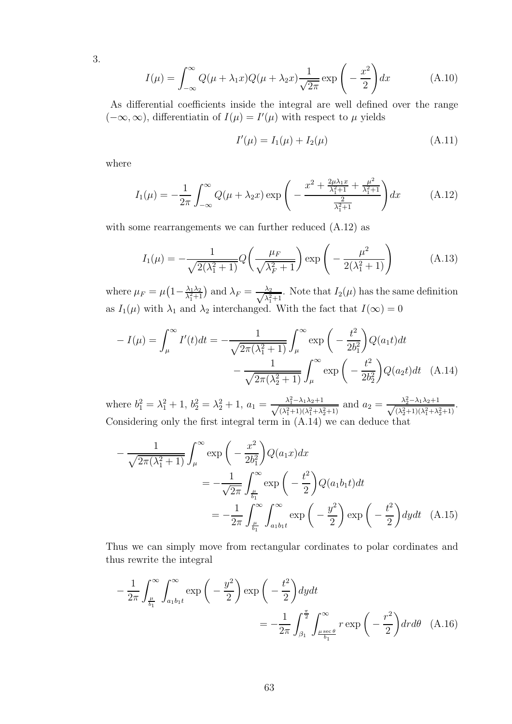3.

$$
I(\mu) = \int_{-\infty}^{\infty} Q(\mu + \lambda_1 x) Q(\mu + \lambda_2 x) \frac{1}{\sqrt{2\pi}} \exp\left(-\frac{x^2}{2}\right) dx \tag{A.10}
$$

As differential coefficients inside the integral are well defined over the range  $(-\infty, \infty)$ , differentiatin of  $I(\mu) = I'(\mu)$  with respect to  $\mu$  yields

$$
I'(\mu) = I_1(\mu) + I_2(\mu) \tag{A.11}
$$

where

$$
I_1(\mu) = -\frac{1}{2\pi} \int_{-\infty}^{\infty} Q(\mu + \lambda_2 x) \exp\left(-\frac{x^2 + \frac{2\mu\lambda_1 x}{\lambda_1^2 + 1} + \frac{\mu^2}{\lambda_1^2 + 1}}{\frac{2}{\lambda_1^2 + 1}}\right) dx \tag{A.12}
$$

with some rearrangements we can further reduced  $(A.12)$  as

$$
I_1(\mu) = -\frac{1}{\sqrt{2(\lambda_1^2 + 1)}} Q\left(\frac{\mu_F}{\sqrt{\lambda_F^2 + 1}}\right) \exp\left(-\frac{\mu^2}{2(\lambda_1^2 + 1)}\right) \tag{A.13}
$$

where  $\mu_F = \mu \left(1 - \frac{\lambda_1 \lambda_2}{\lambda_1^2 + 1}\right)$  and  $\lambda_F = \frac{\lambda_2}{\sqrt{\lambda_1^2 + 1}}$ . Note that  $I_2(\mu)$  has the same definition as  $I_1(\mu)$  with  $\lambda_1$  and  $\lambda_2$  interchanged. With the fact that  $I(\infty)=0$ 

$$
-I(\mu) = \int_{\mu}^{\infty} I'(t)dt = -\frac{1}{\sqrt{2\pi(\lambda_1^2 + 1)}} \int_{\mu}^{\infty} \exp\left(-\frac{t^2}{2b_1^2}\right) Q(a_1 t) dt - \frac{1}{\sqrt{2\pi(\lambda_2^2 + 1)}} \int_{\mu}^{\infty} \exp\left(-\frac{t^2}{2b_2^2}\right) Q(a_2 t) dt \quad (A.14)
$$

where  $b_1^2 = \lambda_1^2 + 1$ ,  $b_2^2 = \lambda_2^2 + 1$ ,  $a_1 = \frac{\lambda_1^2 - \lambda_1 \lambda_2 + 1}{\sqrt{(\lambda_1^2 + 1)(\lambda_2^2 + 1)}}$  $\frac{\lambda_1^2 - \lambda_1 \lambda_2 + 1}{(\lambda_1^2 + 1)(\lambda_1^2 + \lambda_2^2 + 1)}$  and  $a_2 = \frac{\lambda_2^2 - \lambda_1 \lambda_2 + 1}{\sqrt{(\lambda_2^2 + 1)(\lambda_1^2 + \lambda_2^2)}}$  $\frac{\lambda_2 - \lambda_1 \lambda_2 + 1}{(\lambda_2^2 + 1)(\lambda_1^2 + \lambda_2^2 + 1)}$ Considering only the first integral term in (A.14) we can deduce that

$$
-\frac{1}{\sqrt{2\pi(\lambda_1^2+1)}} \int_{\mu}^{\infty} \exp\left(-\frac{x^2}{2b_1^2}\right) Q(a_1 x) dx
$$
  
=  $-\frac{1}{\sqrt{2\pi}} \int_{\frac{\mu}{b_1}}^{\infty} \exp\left(-\frac{t^2}{2}\right) Q(a_1 b_1 t) dt$   
=  $-\frac{1}{2\pi} \int_{\frac{\mu}{b_1}}^{\infty} \int_{a_1 b_1 t}^{\infty} \exp\left(-\frac{y^2}{2}\right) \exp\left(-\frac{t^2}{2}\right) dy dt$  (A.15)

Thus we can simply move from rectangular cordinates to polar cordinates and thus rewrite the integral

$$
-\frac{1}{2\pi} \int_{\frac{\mu}{b_1}}^{\infty} \int_{a_1 b_1 t}^{\infty} \exp\left(-\frac{y^2}{2}\right) \exp\left(-\frac{t^2}{2}\right) dy dt
$$
  
=  $-\frac{1}{2\pi} \int_{\beta_1}^{\frac{\pi}{2}} \int_{\frac{\mu \sec \theta}{b_1}}^{\infty} r \exp\left(-\frac{r^2}{2}\right) dr d\theta$  (A.16)